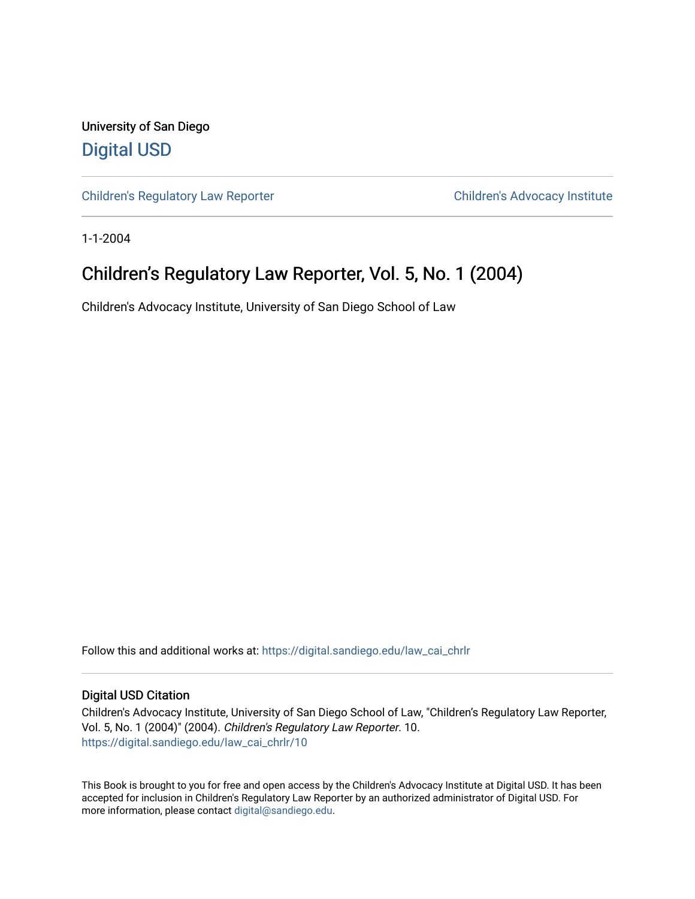University of San Diego [Digital USD](https://digital.sandiego.edu/)

[Children's Regulatory Law Reporter](https://digital.sandiego.edu/law_cai_chrlr) Children's Advocacy Institute

1-1-2004

## Children's Regulatory Law Reporter, Vol. 5, No. 1 (2004)

Children's Advocacy Institute, University of San Diego School of Law

Follow this and additional works at: [https://digital.sandiego.edu/law\\_cai\\_chrlr](https://digital.sandiego.edu/law_cai_chrlr?utm_source=digital.sandiego.edu%2Flaw_cai_chrlr%2F10&utm_medium=PDF&utm_campaign=PDFCoverPages) 

#### Digital USD Citation

Children's Advocacy Institute, University of San Diego School of Law, "Children's Regulatory Law Reporter, Vol. 5, No. 1 (2004)" (2004). Children's Regulatory Law Reporter. 10. [https://digital.sandiego.edu/law\\_cai\\_chrlr/10](https://digital.sandiego.edu/law_cai_chrlr/10?utm_source=digital.sandiego.edu%2Flaw_cai_chrlr%2F10&utm_medium=PDF&utm_campaign=PDFCoverPages) 

This Book is brought to you for free and open access by the Children's Advocacy Institute at Digital USD. It has been accepted for inclusion in Children's Regulatory Law Reporter by an authorized administrator of Digital USD. For more information, please contact [digital@sandiego.edu.](mailto:digital@sandiego.edu)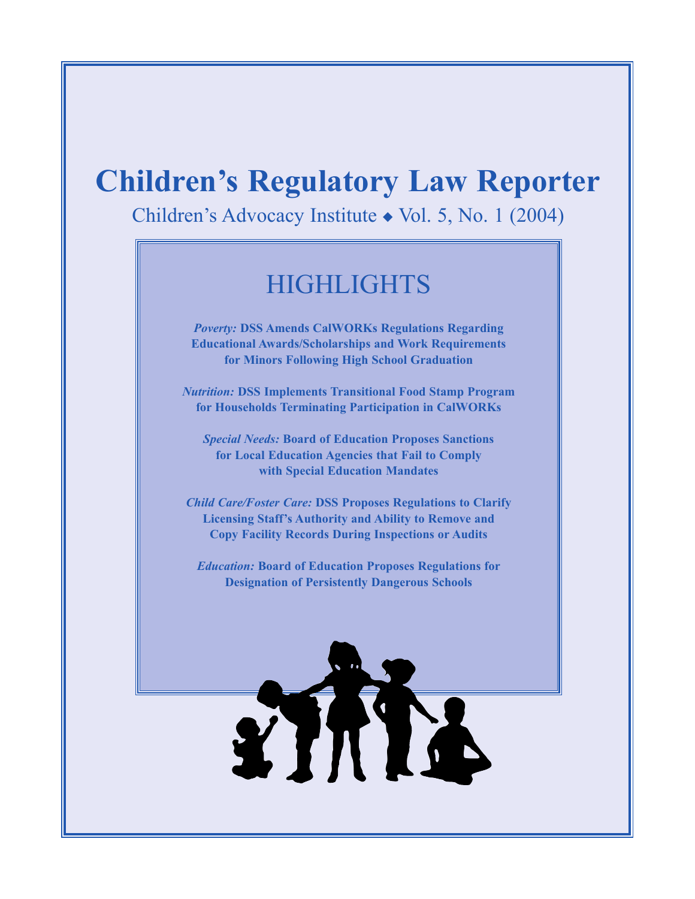# **Children's Regulatory Law Reporter**

Children's Advocacy Institute ◆ Vol. 5, No. 1 (2004)

## **HIGHLIGHTS**

*Poverty:* **DSS Amends CalWORKs Regulations Regarding Educational Awards/Scholarships and Work Requirements for Minors Following High School Graduation**

*Nutrition:* **DSS Implements Transitional Food Stamp Program for Households Terminating Participation in CalWORKs**

*Special Needs:* **Board of Education Proposes Sanctions for Local Education Agencies that Fail to Comply with Special Education Mandates**

*Child Care/Foster Care:* **DSS Proposes Regulations to Clarify Licensing Staff's Authority and Ability to Remove and Copy Facility Records During Inspections or Audits**

*Education:* **Board of Education Proposes Regulations for Designation of Persistently Dangerous Schools**

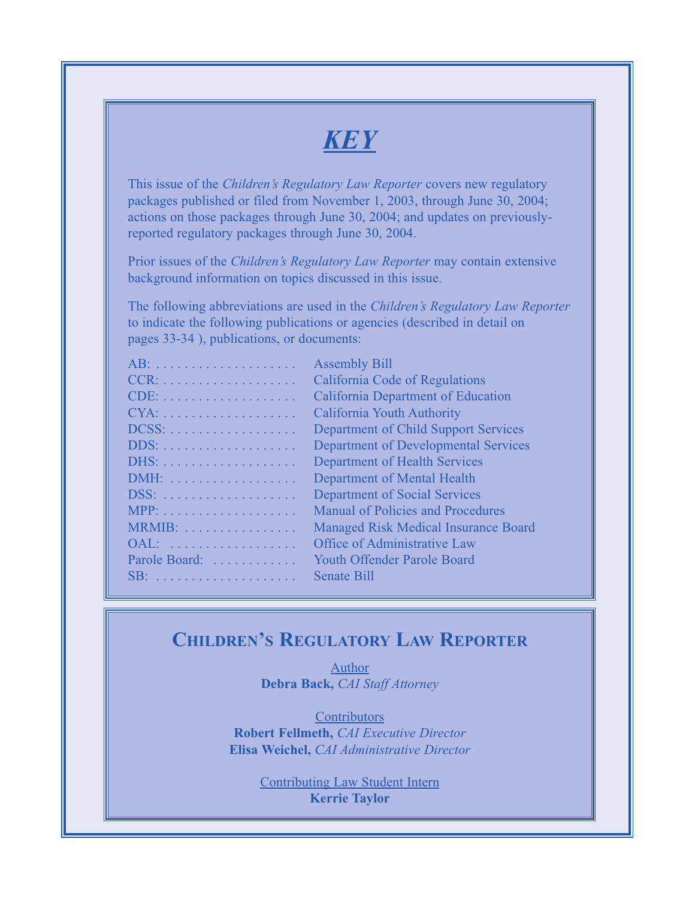## *KEY*

This issue of the *Children's Regulatory Law Reporter* covers new regulatory packages published or filed from November 1, 2003, through June 30, 2004; actions on those packages through June 30, 2004; and updates on previouslyreported regulatory packages through June 30, 2004.

Prior issues of the *Children's Regulatory Law Reporter* may contain extensive background information on topics discussed in this issue.

The following abbreviations are used in the *Children's Regulatory Law Reporter* to indicate the following publications or agencies (described in detail on pages 33-34 ), publications, or documents:

|                                                                                                                                                                                                                                                 | l. |
|-------------------------------------------------------------------------------------------------------------------------------------------------------------------------------------------------------------------------------------------------|----|
| $CCR: \ldots, \ldots, \ldots, \ldots, \ldots$                                                                                                                                                                                                   |    |
|                                                                                                                                                                                                                                                 |    |
| $CYA: \ldots \ldots \ldots \ldots \ldots \ldots$                                                                                                                                                                                                |    |
| $DCSS: \ldots \ldots \ldots \ldots \ldots \ldots$                                                                                                                                                                                               |    |
|                                                                                                                                                                                                                                                 |    |
|                                                                                                                                                                                                                                                 | j  |
|                                                                                                                                                                                                                                                 | j  |
|                                                                                                                                                                                                                                                 |    |
|                                                                                                                                                                                                                                                 |    |
|                                                                                                                                                                                                                                                 |    |
| MRMIB:                                                                                                                                                                                                                                          |    |
|                                                                                                                                                                                                                                                 |    |
| Parole Board:<br>$\sim$ 100 km and 100 km and 100 km and 100 km and 100 km and 100 km and 100 km and 100 km and 100 km and 100 km and 100 km and 100 km and 100 km and 100 km and 100 km and 100 km and 100 km and 100 km and 100 km and 100 km |    |
| SB:                                                                                                                                                                                                                                             |    |

Assembly Bill California Code of Regulations California Department of Education California Youth Authority Department of Child Support Services Department of Developmental Services Department of Health Services Department of Mental Health Department of Social Services Manual of Policies and Procedures Managed Risk Medical Insurance Board Office of Administrative Law Youth Offender Parole Board Senate Bill

## **CHILDREN'S REGULATORY LAW REPORTER**

Author **Debra Back,** *CAI Staff Attorney*

**Contributors Robert Fellmeth,** *CAI Executive Director* **Elisa Weichel,** *CAI Administrative Director*

> Contributing Law Student Intern **Kerrie Taylor**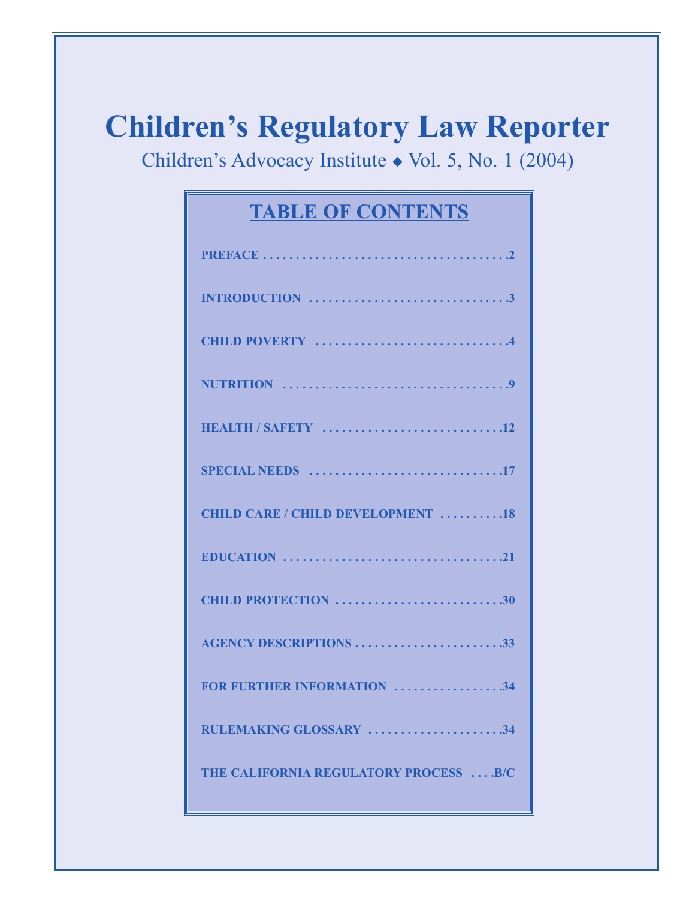# **Children's Regulatory Law Reporter**

Children's Advocacy Institute ◆ Vol. 5, No. 1 (2004)

## **TABLE OF CONTENTS**

| HEALTH / SAFETY 12                                                                              |
|-------------------------------------------------------------------------------------------------|
|                                                                                                 |
| <b>CHILD CARE / CHILD DEVELOPMENT 18</b>                                                        |
| EDUCATION $\ldots \ldots \ldots \ldots \ldots \ldots \ldots \ldots \ldots \ldots \ldots \ldots$ |
| CHILD PROTECTION 30                                                                             |
| <b>AGENCY DESCRIPTIONS 33</b>                                                                   |
| FOR FURTHER INFORMATION 34                                                                      |
| RULEMAKING GLOSSARY 34                                                                          |
| THE CALIFORNIA REGULATORY PROCESS  B/C                                                          |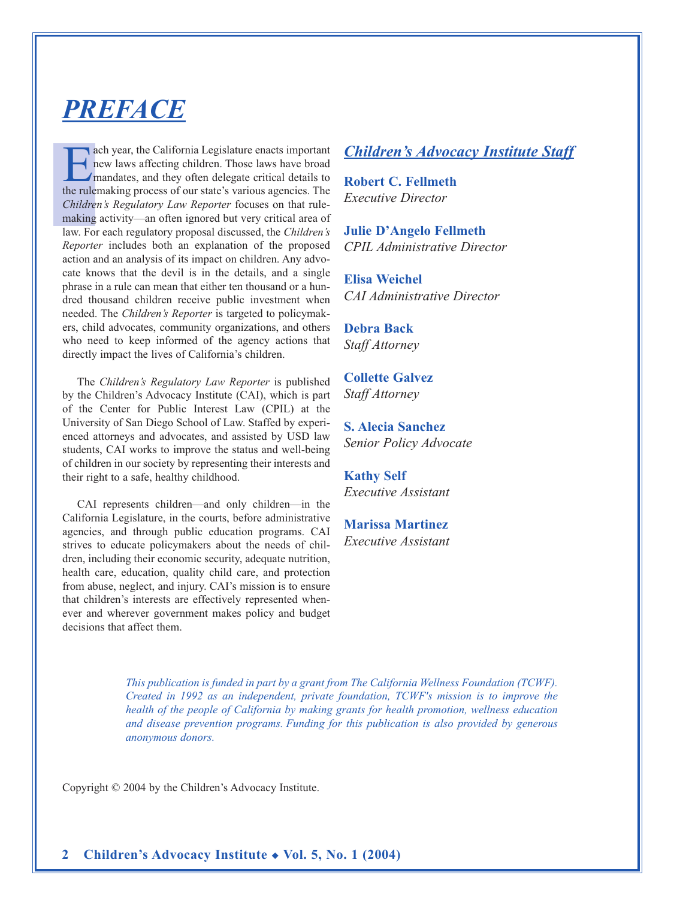## *PREFACE*

ach year, the California Legislature enacts important new laws affecting children. Those laws have broad mandates, and they often delegate critical details to the rulemaking process of our state's various agencies. The *Children's Regulatory Law Reporter* focuses on that rulemaking activity—an often ignored but very critical area of law. For each regulatory proposal discussed, the *Children's Reporter* includes both an explanation of the proposed action and an analysis of its impact on children. Any advocate knows that the devil is in the details, and a single phrase in a rule can mean that either ten thousand or a hundred thousand children receive public investment when needed. The *Children's Reporter* is targeted to policymakers, child advocates, community organizations, and others who need to keep informed of the agency actions that directly impact the lives of California's children.

The *Children's Regulatory Law Reporter* is published by the Children's Advocacy Institute (CAI), which is part of the Center for Public Interest Law (CPIL) at the University of San Diego School of Law. Staffed by experienced attorneys and advocates, and assisted by USD law students, CAI works to improve the status and well-being of children in our society by representing their interests and their right to a safe, healthy childhood.

CAI represents children—and only children—in the California Legislature, in the courts, before administrative agencies, and through public education programs. CAI strives to educate policymakers about the needs of children, including their economic security, adequate nutrition, health care, education, quality child care, and protection from abuse, neglect, and injury. CAI's mission is to ensure that children's interests are effectively represented whenever and wherever government makes policy and budget decisions that affect them.

## *Children's Advocacy Institute Staff*

**Robert C. Fellmeth** *Executive Director*

**Julie D'Angelo Fellmeth** *CPIL Administrative Director*

**Elisa Weichel** *CAI Administrative Director*

**Debra Back** *Staff Attorney*

**Collette Galvez** *Staff Attorney*

**S. Alecia Sanchez** *Senior Policy Advocate* 

**Kathy Self** *Executive Assistant*

**Marissa Martinez** *Executive Assistant*

*This publication is funded in part by a grant from The California Wellness Foundation (TCWF). Created in 1992 as an independent, private foundation, TCWF's mission is to improve the health of the people of California by making grants for health promotion, wellness education and disease prevention programs. Funding for this publication is also provided by generous anonymous donors.*

Copyright © 2004 by the Children's Advocacy Institute.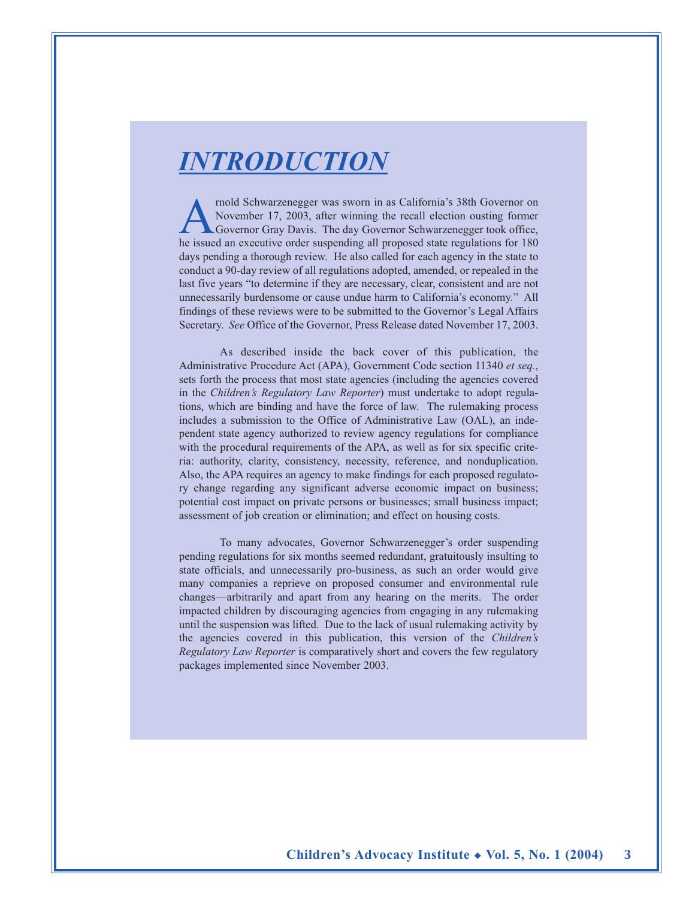## *INTRODUCTION*

mold Schwarzenegger was sworn in as California's 38th Governor on<br>November 17, 2003, after winning the recall election ousting former<br>Governor Gray Davis. The day Governor Schwarzenegger took office,<br>he issued an executive November 17, 2003, after winning the recall election ousting former Governor Gray Davis. The day Governor Schwarzenegger took office, he issued an executive order suspending all proposed state regulations for 180 days pending a thorough review. He also called for each agency in the state to conduct a 90-day review of all regulations adopted, amended, or repealed in the last five years "to determine if they are necessary, clear, consistent and are not unnecessarily burdensome or cause undue harm to California's economy." All findings of these reviews were to be submitted to the Governor's Legal Affairs Secretary. *See* Office of the Governor, Press Release dated November 17, 2003.

As described inside the back cover of this publication, the Administrative Procedure Act (APA), Government Code section 11340 *et seq.*, sets forth the process that most state agencies (including the agencies covered in the *Children's Regulatory Law Reporter*) must undertake to adopt regulations, which are binding and have the force of law. The rulemaking process includes a submission to the Office of Administrative Law (OAL), an independent state agency authorized to review agency regulations for compliance with the procedural requirements of the APA, as well as for six specific criteria: authority, clarity, consistency, necessity, reference, and nonduplication. Also, the APA requires an agency to make findings for each proposed regulatory change regarding any significant adverse economic impact on business; potential cost impact on private persons or businesses; small business impact; assessment of job creation or elimination; and effect on housing costs.

To many advocates, Governor Schwarzenegger's order suspending pending regulations for six months seemed redundant, gratuitously insulting to state officials, and unnecessarily pro-business, as such an order would give many companies a reprieve on proposed consumer and environmental rule changes—arbitrarily and apart from any hearing on the merits. The order impacted children by discouraging agencies from engaging in any rulemaking until the suspension was lifted. Due to the lack of usual rulemaking activity by the agencies covered in this publication, this version of the *Children's Regulatory Law Reporter* is comparatively short and covers the few regulatory packages implemented since November 2003.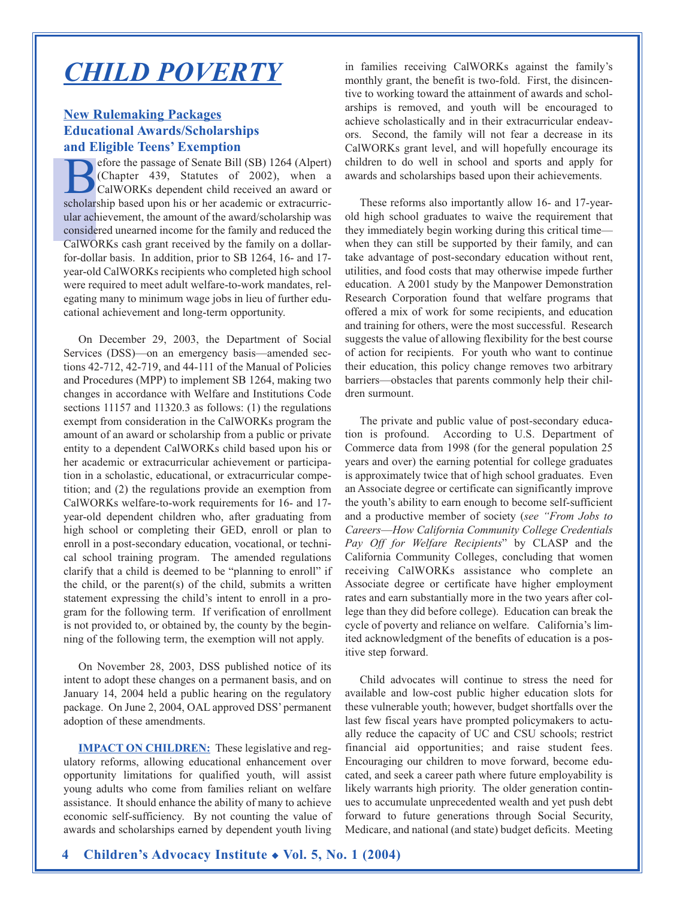## *CHILD POVERTY*

## **New Rulemaking Packages Educational Awards/Scholarships and Eligible Teens' Exemption**

efore the passage of Senate Bill (SB) 1264 (Alpert) (Chapter 439, Statutes of 2002), when a CalWORKs dependent child received an award or scholarship based upon his or her academic or extracurricular achievement, the amount of the award/scholarship was considered unearned income for the family and reduced the CalWORKs cash grant received by the family on a dollarfor-dollar basis. In addition, prior to SB 1264, 16- and 17 year-old CalWORKs recipients who completed high school were required to meet adult welfare-to-work mandates, relegating many to minimum wage jobs in lieu of further educational achievement and long-term opportunity.

On December 29, 2003, the Department of Social Services (DSS)—on an emergency basis—amended sections 42-712, 42-719, and 44-111 of the Manual of Policies and Procedures (MPP) to implement SB 1264, making two changes in accordance with Welfare and Institutions Code sections 11157 and 11320.3 as follows: (1) the regulations exempt from consideration in the CalWORKs program the amount of an award or scholarship from a public or private entity to a dependent CalWORKs child based upon his or her academic or extracurricular achievement or participation in a scholastic, educational, or extracurricular competition; and (2) the regulations provide an exemption from CalWORKs welfare-to-work requirements for 16- and 17 year-old dependent children who, after graduating from high school or completing their GED, enroll or plan to enroll in a post-secondary education, vocational, or technical school training program. The amended regulations clarify that a child is deemed to be "planning to enroll" if the child, or the parent(s) of the child, submits a written statement expressing the child's intent to enroll in a program for the following term. If verification of enrollment is not provided to, or obtained by, the county by the beginning of the following term, the exemption will not apply.

On November 28, 2003, DSS published notice of its intent to adopt these changes on a permanent basis, and on January 14, 2004 held a public hearing on the regulatory package. On June 2, 2004, OAL approved DSS' permanent adoption of these amendments.

**IMPACT ON CHILDREN:** These legislative and regulatory reforms, allowing educational enhancement over opportunity limitations for qualified youth, will assist young adults who come from families reliant on welfare assistance. It should enhance the ability of many to achieve economic self-sufficiency. By not counting the value of awards and scholarships earned by dependent youth living

in families receiving CalWORKs against the family's monthly grant, the benefit is two-fold. First, the disincentive to working toward the attainment of awards and scholarships is removed, and youth will be encouraged to achieve scholastically and in their extracurricular endeavors. Second, the family will not fear a decrease in its CalWORKs grant level, and will hopefully encourage its children to do well in school and sports and apply for awards and scholarships based upon their achievements.

These reforms also importantly allow 16- and 17-yearold high school graduates to waive the requirement that they immediately begin working during this critical time when they can still be supported by their family, and can take advantage of post-secondary education without rent, utilities, and food costs that may otherwise impede further education. A 2001 study by the Manpower Demonstration Research Corporation found that welfare programs that offered a mix of work for some recipients, and education and training for others, were the most successful. Research suggests the value of allowing flexibility for the best course of action for recipients. For youth who want to continue their education, this policy change removes two arbitrary barriers—obstacles that parents commonly help their children surmount.

The private and public value of post-secondary education is profound. According to U.S. Department of Commerce data from 1998 (for the general population 25 years and over) the earning potential for college graduates is approximately twice that of high school graduates. Even an Associate degree or certificate can significantly improve the youth's ability to earn enough to become self-sufficient and a productive member of society (*see "From Jobs to Careers*—*How California Community College Credentials Pay Off for Welfare Recipients*" by CLASP and the California Community Colleges, concluding that women receiving CalWORKs assistance who complete an Associate degree or certificate have higher employment rates and earn substantially more in the two years after college than they did before college). Education can break the cycle of poverty and reliance on welfare. California's limited acknowledgment of the benefits of education is a positive step forward.

Child advocates will continue to stress the need for available and low-cost public higher education slots for these vulnerable youth; however, budget shortfalls over the last few fiscal years have prompted policymakers to actually reduce the capacity of UC and CSU schools; restrict financial aid opportunities; and raise student fees. Encouraging our children to move forward, become educated, and seek a career path where future employability is likely warrants high priority. The older generation continues to accumulate unprecedented wealth and yet push debt forward to future generations through Social Security, Medicare, and national (and state) budget deficits. Meeting

**4 Children's Advocacy Institute** ◆ **Vol. 5, No. 1 (2004)**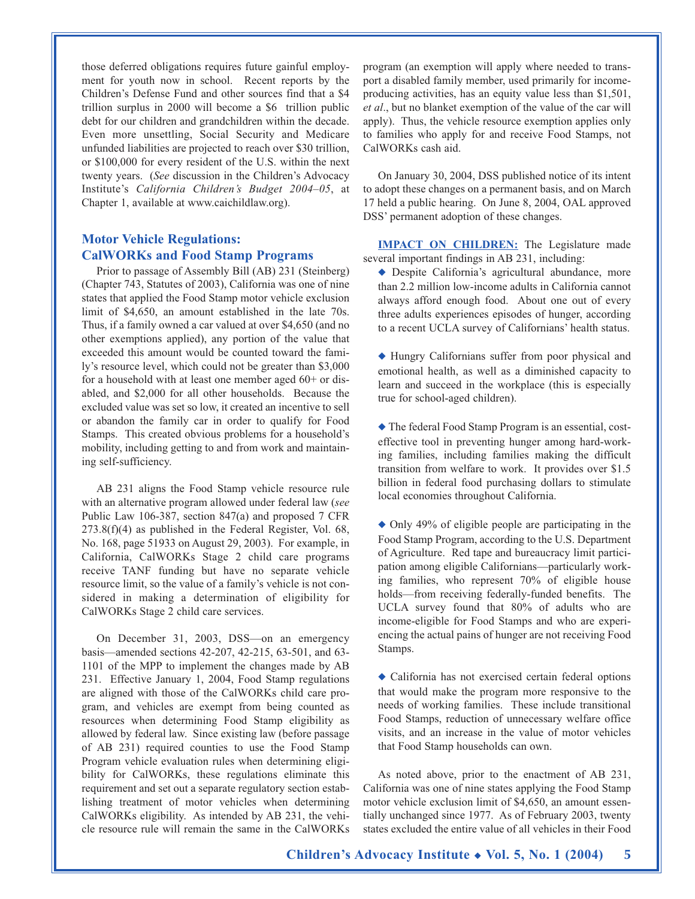those deferred obligations requires future gainful employment for youth now in school. Recent reports by the Children's Defense Fund and other sources find that a \$4 trillion surplus in 2000 will become a \$6 trillion public debt for our children and grandchildren within the decade. Even more unsettling, Social Security and Medicare unfunded liabilities are projected to reach over \$30 trillion, or \$100,000 for every resident of the U.S. within the next twenty years. (*See* discussion in the Children's Advocacy Institute's *California Children's Budget 2004–05*, at Chapter 1, available at www.caichildlaw.org).

### **Motor Vehicle Regulations: CalWORKs and Food Stamp Programs**

Prior to passage of Assembly Bill (AB) 231 (Steinberg) (Chapter 743, Statutes of 2003), California was one of nine states that applied the Food Stamp motor vehicle exclusion limit of \$4,650, an amount established in the late 70s. Thus, if a family owned a car valued at over \$4,650 (and no other exemptions applied), any portion of the value that exceeded this amount would be counted toward the family's resource level, which could not be greater than \$3,000 for a household with at least one member aged 60+ or disabled, and \$2,000 for all other households. Because the excluded value was set so low, it created an incentive to sell or abandon the family car in order to qualify for Food Stamps. This created obvious problems for a household's mobility, including getting to and from work and maintaining self-sufficiency.

AB 231 aligns the Food Stamp vehicle resource rule with an alternative program allowed under federal law (*see* Public Law 106-387, section 847(a) and proposed 7 CFR 273.8(f)(4) as published in the Federal Register, Vol. 68, No. 168, page 51933 on August 29, 2003). For example, in California, CalWORKs Stage 2 child care programs receive TANF funding but have no separate vehicle resource limit, so the value of a family's vehicle is not considered in making a determination of eligibility for CalWORKs Stage 2 child care services.

On December 31, 2003, DSS—on an emergency basis—amended sections 42-207, 42-215, 63-501, and 63- 1101 of the MPP to implement the changes made by AB 231. Effective January 1, 2004, Food Stamp regulations are aligned with those of the CalWORKs child care program, and vehicles are exempt from being counted as resources when determining Food Stamp eligibility as allowed by federal law. Since existing law (before passage of AB 231) required counties to use the Food Stamp Program vehicle evaluation rules when determining eligibility for CalWORKs, these regulations eliminate this requirement and set out a separate regulatory section establishing treatment of motor vehicles when determining CalWORKs eligibility. As intended by AB 231, the vehicle resource rule will remain the same in the CalWORKs

program (an exemption will apply where needed to transport a disabled family member, used primarily for incomeproducing activities, has an equity value less than \$1,501, *et al*., but no blanket exemption of the value of the car will apply). Thus, the vehicle resource exemption applies only to families who apply for and receive Food Stamps, not CalWORKs cash aid.

On January 30, 2004, DSS published notice of its intent to adopt these changes on a permanent basis, and on March 17 held a public hearing. On June 8, 2004, OAL approved DSS' permanent adoption of these changes.

**IMPACT ON CHILDREN:** The Legislature made several important findings in AB 231, including:

- ◆ Despite California's agricultural abundance, more than 2.2 million low-income adults in California cannot always afford enough food. About one out of every three adults experiences episodes of hunger, according to a recent UCLA survey of Californians' health status.
- ◆ Hungry Californians suffer from poor physical and emotional health, as well as a diminished capacity to learn and succeed in the workplace (this is especially true for school-aged children).

◆ The federal Food Stamp Program is an essential, costeffective tool in preventing hunger among hard-working families, including families making the difficult transition from welfare to work. It provides over \$1.5 billion in federal food purchasing dollars to stimulate local economies throughout California.

◆ Only 49% of eligible people are participating in the Food Stamp Program, according to the U.S. Department of Agriculture. Red tape and bureaucracy limit participation among eligible Californians—particularly working families, who represent 70% of eligible house holds—from receiving federally-funded benefits. The UCLA survey found that 80% of adults who are income-eligible for Food Stamps and who are experiencing the actual pains of hunger are not receiving Food Stamps.

◆ California has not exercised certain federal options that would make the program more responsive to the needs of working families. These include transitional Food Stamps, reduction of unnecessary welfare office visits, and an increase in the value of motor vehicles that Food Stamp households can own.

As noted above, prior to the enactment of AB 231, California was one of nine states applying the Food Stamp motor vehicle exclusion limit of \$4,650, an amount essentially unchanged since 1977. As of February 2003, twenty states excluded the entire value of all vehicles in their Food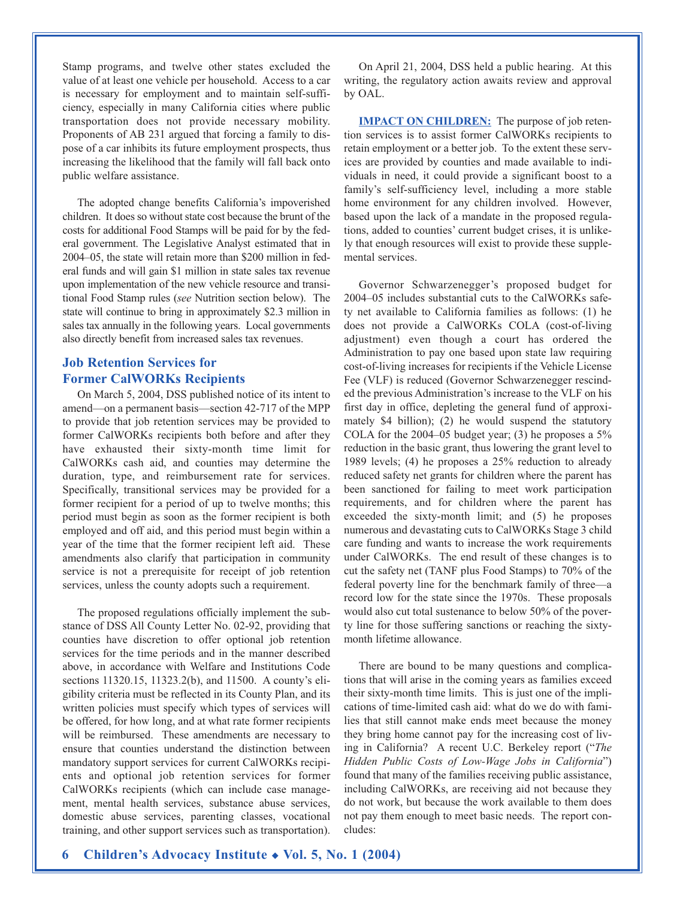Stamp programs, and twelve other states excluded the value of at least one vehicle per household. Access to a car is necessary for employment and to maintain self-sufficiency, especially in many California cities where public transportation does not provide necessary mobility. Proponents of AB 231 argued that forcing a family to dispose of a car inhibits its future employment prospects, thus increasing the likelihood that the family will fall back onto public welfare assistance.

The adopted change benefits California's impoverished children. It does so without state cost because the brunt of the costs for additional Food Stamps will be paid for by the federal government. The Legislative Analyst estimated that in 2004–05, the state will retain more than \$200 million in federal funds and will gain \$1 million in state sales tax revenue upon implementation of the new vehicle resource and transitional Food Stamp rules (*see* Nutrition section below). The state will continue to bring in approximately \$2.3 million in sales tax annually in the following years. Local governments also directly benefit from increased sales tax revenues.

## **Job Retention Services for Former CalWORKs Recipients**

On March 5, 2004, DSS published notice of its intent to amend—on a permanent basis—section 42-717 of the MPP to provide that job retention services may be provided to former CalWORKs recipients both before and after they have exhausted their sixty-month time limit for CalWORKs cash aid, and counties may determine the duration, type, and reimbursement rate for services. Specifically, transitional services may be provided for a former recipient for a period of up to twelve months; this period must begin as soon as the former recipient is both employed and off aid, and this period must begin within a year of the time that the former recipient left aid. These amendments also clarify that participation in community service is not a prerequisite for receipt of job retention services, unless the county adopts such a requirement.

The proposed regulations officially implement the substance of DSS All County Letter No. 02-92, providing that counties have discretion to offer optional job retention services for the time periods and in the manner described above, in accordance with Welfare and Institutions Code sections 11320.15, 11323.2(b), and 11500. A county's eligibility criteria must be reflected in its County Plan, and its written policies must specify which types of services will be offered, for how long, and at what rate former recipients will be reimbursed. These amendments are necessary to ensure that counties understand the distinction between mandatory support services for current CalWORKs recipients and optional job retention services for former CalWORKs recipients (which can include case management, mental health services, substance abuse services, domestic abuse services, parenting classes, vocational training, and other support services such as transportation).

On April 21, 2004, DSS held a public hearing. At this writing, the regulatory action awaits review and approval by OAL.

**IMPACT ON CHILDREN:** The purpose of job retention services is to assist former CalWORKs recipients to retain employment or a better job. To the extent these services are provided by counties and made available to individuals in need, it could provide a significant boost to a family's self-sufficiency level, including a more stable home environment for any children involved. However, based upon the lack of a mandate in the proposed regulations, added to counties' current budget crises, it is unlikely that enough resources will exist to provide these supplemental services.

Governor Schwarzenegger's proposed budget for 2004–05 includes substantial cuts to the CalWORKs safety net available to California families as follows: (1) he does not provide a CalWORKs COLA (cost-of-living adjustment) even though a court has ordered the Administration to pay one based upon state law requiring cost-of-living increases for recipients if the Vehicle License Fee (VLF) is reduced (Governor Schwarzenegger rescinded the previous Administration's increase to the VLF on his first day in office, depleting the general fund of approximately \$4 billion); (2) he would suspend the statutory COLA for the 2004–05 budget year; (3) he proposes a 5% reduction in the basic grant, thus lowering the grant level to 1989 levels; (4) he proposes a 25% reduction to already reduced safety net grants for children where the parent has been sanctioned for failing to meet work participation requirements, and for children where the parent has exceeded the sixty-month limit; and (5) he proposes numerous and devastating cuts to CalWORKs Stage 3 child care funding and wants to increase the work requirements under CalWORKs. The end result of these changes is to cut the safety net (TANF plus Food Stamps) to 70% of the federal poverty line for the benchmark family of three—a record low for the state since the 1970s. These proposals would also cut total sustenance to below 50% of the poverty line for those suffering sanctions or reaching the sixtymonth lifetime allowance.

There are bound to be many questions and complications that will arise in the coming years as families exceed their sixty-month time limits. This is just one of the implications of time-limited cash aid: what do we do with families that still cannot make ends meet because the money they bring home cannot pay for the increasing cost of living in California? A recent U.C. Berkeley report ("*The Hidden Public Costs of Low-Wage Jobs in California*") found that many of the families receiving public assistance, including CalWORKs, are receiving aid not because they do not work, but because the work available to them does not pay them enough to meet basic needs. The report concludes: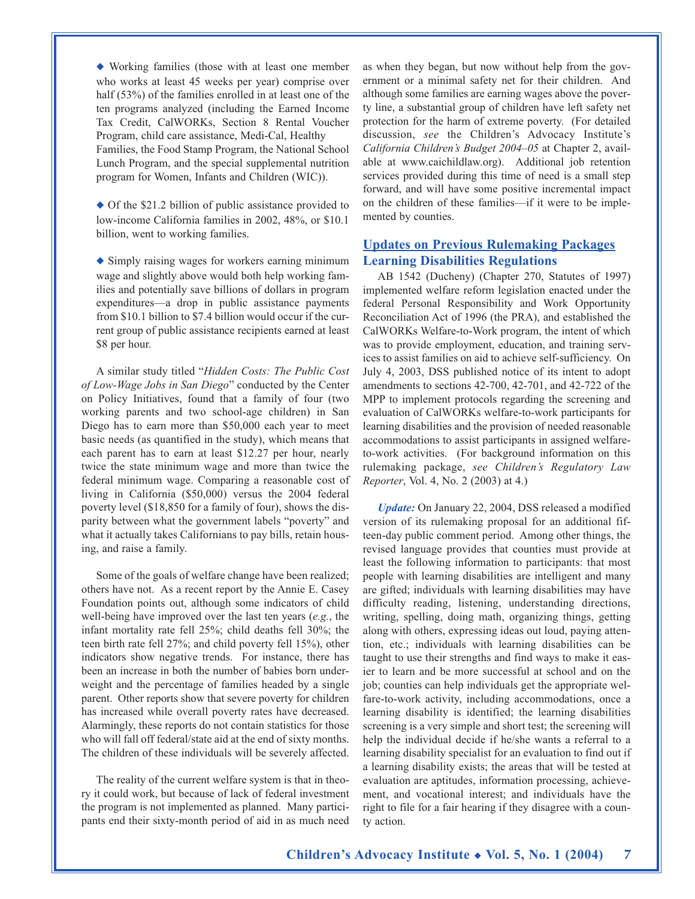◆ Working families (those with at least one member who works at least 45 weeks per year) comprise over half (53%) of the families enrolled in at least one of the ten programs analyzed (including the Earned Income Tax Credit, CalWORKs, Section 8 Rental Voucher Program, child care assistance, Medi-Cal, Healthy Families, the Food Stamp Program, the National School Lunch Program, and the special supplemental nutrition program for Women, Infants and Children (WIC)).

◆ Of the \$21.2 billion of public assistance provided to low-income California families in 2002, 48%, or \$10.1 billion, went to working families.

◆ Simply raising wages for workers earning minimum wage and slightly above would both help working families and potentially save billions of dollars in program expenditures—a drop in public assistance payments from \$10.1 billion to \$7.4 billion would occur if the current group of public assistance recipients earned at least \$8 per hour.

A similar study titled "*Hidden Costs: The Public Cost of Low-Wage Jobs in San Diego*" conducted by the Center on Policy Initiatives, found that a family of four (two working parents and two school-age children) in San Diego has to earn more than \$50,000 each year to meet basic needs (as quantified in the study), which means that each parent has to earn at least \$12.27 per hour, nearly twice the state minimum wage and more than twice the federal minimum wage. Comparing a reasonable cost of living in California (\$50,000) versus the 2004 federal poverty level (\$18,850 for a family of four), shows the disparity between what the government labels "poverty" and what it actually takes Californians to pay bills, retain housing, and raise a family.

Some of the goals of welfare change have been realized; others have not. As a recent report by the Annie E. Casey Foundation points out, although some indicators of child well-being have improved over the last ten years (*e.g.*, the infant mortality rate fell 25%; child deaths fell 30%; the teen birth rate fell 27%; and child poverty fell 15%), other indicators show negative trends. For instance, there has been an increase in both the number of babies born underweight and the percentage of families headed by a single parent. Other reports show that severe poverty for children has increased while overall poverty rates have decreased. Alarmingly, these reports do not contain statistics for those who will fall off federal/state aid at the end of sixty months. The children of these individuals will be severely affected.

The reality of the current welfare system is that in theory it could work, but because of lack of federal investment the program is not implemented as planned. Many participants end their sixty-month period of aid in as much need as when they began, but now without help from the government or a minimal safety net for their children. And although some families are earning wages above the poverty line, a substantial group of children have left safety net protection for the harm of extreme poverty. (For detailed discussion, *see* the Children's Advocacy Institute's *California Children's Budget 2004–05* at Chapter 2, available at www.caichildlaw.org). Additional job retention services provided during this time of need is a small step forward, and will have some positive incremental impact on the children of these families—if it were to be implemented by counties.

#### **Updates on Previous Rulemaking Packages Learning Disabilities Regulations**

AB 1542 (Ducheny) (Chapter 270, Statutes of 1997) implemented welfare reform legislation enacted under the federal Personal Responsibility and Work Opportunity Reconciliation Act of 1996 (the PRA), and established the CalWORKs Welfare-to-Work program, the intent of which was to provide employment, education, and training services to assist families on aid to achieve self-sufficiency. On July 4, 2003, DSS published notice of its intent to adopt amendments to sections 42-700, 42-701, and 42-722 of the MPP to implement protocols regarding the screening and evaluation of CalWORKs welfare-to-work participants for learning disabilities and the provision of needed reasonable accommodations to assist participants in assigned welfareto-work activities. (For background information on this rulemaking package, *see Children's Regulatory Law Reporter*, Vol. 4, No. 2 (2003) at 4.)

*Update:* On January 22, 2004, DSS released a modified version of its rulemaking proposal for an additional fifteen-day public comment period. Among other things, the revised language provides that counties must provide at least the following information to participants: that most people with learning disabilities are intelligent and many are gifted; individuals with learning disabilities may have difficulty reading, listening, understanding directions, writing, spelling, doing math, organizing things, getting along with others, expressing ideas out loud, paying attention, etc.; individuals with learning disabilities can be taught to use their strengths and find ways to make it easier to learn and be more successful at school and on the job; counties can help individuals get the appropriate welfare-to-work activity, including accommodations, once a learning disability is identified; the learning disabilities screening is a very simple and short test; the screening will help the individual decide if he/she wants a referral to a learning disability specialist for an evaluation to find out if a learning disability exists; the areas that will be tested at evaluation are aptitudes, information processing, achievement, and vocational interest; and individuals have the right to file for a fair hearing if they disagree with a county action.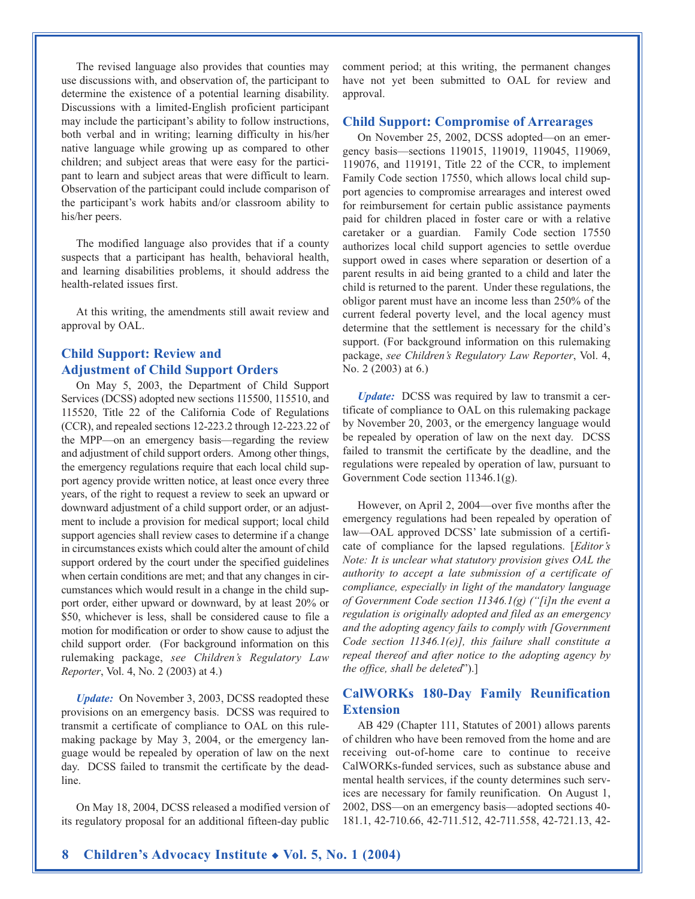The revised language also provides that counties may use discussions with, and observation of, the participant to determine the existence of a potential learning disability. Discussions with a limited-English proficient participant may include the participant's ability to follow instructions, both verbal and in writing; learning difficulty in his/her native language while growing up as compared to other children; and subject areas that were easy for the participant to learn and subject areas that were difficult to learn. Observation of the participant could include comparison of the participant's work habits and/or classroom ability to his/her peers.

The modified language also provides that if a county suspects that a participant has health, behavioral health, and learning disabilities problems, it should address the health-related issues first.

At this writing, the amendments still await review and approval by OAL.

## **Child Support: Review and Adjustment of Child Support Orders**

On May 5, 2003, the Department of Child Support Services (DCSS) adopted new sections 115500, 115510, and 115520, Title 22 of the California Code of Regulations (CCR), and repealed sections 12-223.2 through 12-223.22 of the MPP—on an emergency basis—regarding the review and adjustment of child support orders. Among other things, the emergency regulations require that each local child support agency provide written notice, at least once every three years, of the right to request a review to seek an upward or downward adjustment of a child support order, or an adjustment to include a provision for medical support; local child support agencies shall review cases to determine if a change in circumstances exists which could alter the amount of child support ordered by the court under the specified guidelines when certain conditions are met; and that any changes in circumstances which would result in a change in the child support order, either upward or downward, by at least 20% or \$50, whichever is less, shall be considered cause to file a motion for modification or order to show cause to adjust the child support order. (For background information on this rulemaking package, *see Children's Regulatory Law Reporter*, Vol. 4, No. 2 (2003) at 4.)

*Update:* On November 3, 2003, DCSS readopted these provisions on an emergency basis. DCSS was required to transmit a certificate of compliance to OAL on this rulemaking package by May 3, 2004, or the emergency language would be repealed by operation of law on the next day. DCSS failed to transmit the certificate by the deadline.

On May 18, 2004, DCSS released a modified version of its regulatory proposal for an additional fifteen-day public comment period; at this writing, the permanent changes have not yet been submitted to OAL for review and approval.

#### **Child Support: Compromise of Arrearages**

On November 25, 2002, DCSS adopted—on an emergency basis—sections 119015, 119019, 119045, 119069, 119076, and 119191, Title 22 of the CCR, to implement Family Code section 17550, which allows local child support agencies to compromise arrearages and interest owed for reimbursement for certain public assistance payments paid for children placed in foster care or with a relative caretaker or a guardian. Family Code section 17550 authorizes local child support agencies to settle overdue support owed in cases where separation or desertion of a parent results in aid being granted to a child and later the child is returned to the parent. Under these regulations, the obligor parent must have an income less than 250% of the current federal poverty level, and the local agency must determine that the settlement is necessary for the child's support. (For background information on this rulemaking package, *see Children's Regulatory Law Reporter*, Vol. 4, No. 2 (2003) at 6.)

*Update:* DCSS was required by law to transmit a certificate of compliance to OAL on this rulemaking package by November 20, 2003, or the emergency language would be repealed by operation of law on the next day. DCSS failed to transmit the certificate by the deadline, and the regulations were repealed by operation of law, pursuant to Government Code section 11346.1(g).

However, on April 2, 2004—over five months after the emergency regulations had been repealed by operation of law—OAL approved DCSS' late submission of a certificate of compliance for the lapsed regulations. [*Editor's Note: It is unclear what statutory provision gives OAL the authority to accept a late submission of a certificate of compliance, especially in light of the mandatory language of Government Code section 11346.1(g) ("[i]n the event a regulation is originally adopted and filed as an emergency and the adopting agency fails to comply with [Government Code section 11346.1(e)], this failure shall constitute a repeal thereof and after notice to the adopting agency by the office, shall be deleted*").]

#### **CalWORKs 180-Day Family Reunification Extension**

AB 429 (Chapter 111, Statutes of 2001) allows parents of children who have been removed from the home and are receiving out-of-home care to continue to receive CalWORKs-funded services, such as substance abuse and mental health services, if the county determines such services are necessary for family reunification. On August 1, 2002, DSS—on an emergency basis—adopted sections 40- 181.1, 42-710.66, 42-711.512, 42-711.558, 42-721.13, 42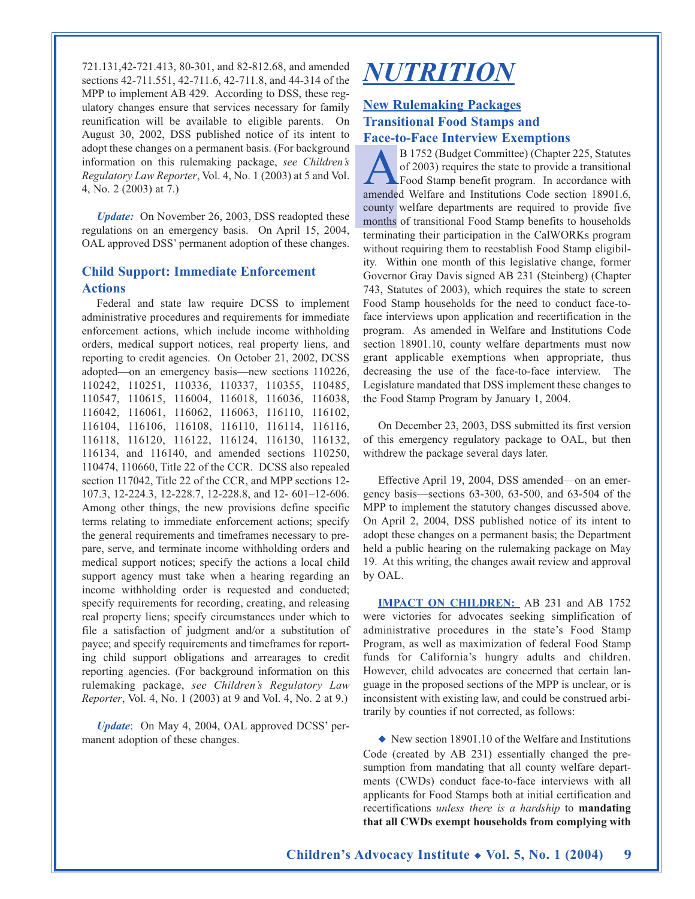721.131,42-721.413, 80-301, and 82-812.68, and amended sections 42-711.551, 42-711.6, 42-711.8, and 44-314 of the MPP to implement AB 429. According to DSS, these regulatory changes ensure that services necessary for family reunification will be available to eligible parents. On August 30, 2002, DSS published notice of its intent to adopt these changes on a permanent basis. (For background information on this rulemaking package, *see Children's Regulatory Law Reporter*, Vol. 4, No. 1 (2003) at 5 and Vol. 4, No. 2 (2003) at 7.)

*Update:* On November 26, 2003, DSS readopted these regulations on an emergency basis. On April 15, 2004, OAL approved DSS' permanent adoption of these changes.

### **Child Support: Immediate Enforcement Actions**

Federal and state law require DCSS to implement administrative procedures and requirements for immediate enforcement actions, which include income withholding orders, medical support notices, real property liens, and reporting to credit agencies. On October 21, 2002, DCSS adopted—on an emergency basis—new sections 110226, 110242, 110251, 110336, 110337, 110355, 110485, 110547, 110615, 116004, 116018, 116036, 116038, 116042, 116061, 116062, 116063, 116110, 116102, 116104, 116106, 116108, 116110, 116114, 116116, 116118, 116120, 116122, 116124, 116130, 116132, 116134, and 116140, and amended sections 110250, 110474, 110660, Title 22 of the CCR. DCSS also repealed section 117042, Title 22 of the CCR, and MPP sections 12- 107.3, 12-224.3, 12-228.7, 12-228.8, and 12- 601–12-606. Among other things, the new provisions define specific terms relating to immediate enforcement actions; specify the general requirements and timeframes necessary to prepare, serve, and terminate income withholding orders and medical support notices; specify the actions a local child support agency must take when a hearing regarding an income withholding order is requested and conducted; specify requirements for recording, creating, and releasing real property liens; specify circumstances under which to file a satisfaction of judgment and/or a substitution of payee; and specify requirements and timeframes for reporting child support obligations and arrearages to credit reporting agencies. (For background information on this rulemaking package, *see Children's Regulatory Law Reporter*, Vol. 4, No. 1 (2003) at 9 and Vol. 4, No. 2 at 9.)

*Update*: On May 4, 2004, OAL approved DCSS' permanent adoption of these changes.

# *NUTRITION*

### **New Rulemaking Packages Transitional Food Stamps and Face-to-Face Interview Exemptions**

B 1752 (Budget Committee) (Chapter 225, Statutes<br>of 2003) requires the state to provide a transitional<br>Food Stamp benefit program. In accordance with<br>amended Welfare and Institutions Code section 189016 of 2003) requires the state to provide a transitional Food Stamp benefit program. In accordance with amended Welfare and Institutions Code section 18901.6, county welfare departments are required to provide five months of transitional Food Stamp benefits to households terminating their participation in the CalWORKs program without requiring them to reestablish Food Stamp eligibility. Within one month of this legislative change, former Governor Gray Davis signed AB 231 (Steinberg) (Chapter 743, Statutes of 2003), which requires the state to screen Food Stamp households for the need to conduct face-toface interviews upon application and recertification in the program. As amended in Welfare and Institutions Code section 18901.10, county welfare departments must now grant applicable exemptions when appropriate, thus decreasing the use of the face-to-face interview. The Legislature mandated that DSS implement these changes to the Food Stamp Program by January 1, 2004.

On December 23, 2003, DSS submitted its first version of this emergency regulatory package to OAL, but then withdrew the package several days later.

Effective April 19, 2004, DSS amended—on an emergency basis—sections 63-300, 63-500, and 63-504 of the MPP to implement the statutory changes discussed above. On April 2, 2004, DSS published notice of its intent to adopt these changes on a permanent basis; the Department held a public hearing on the rulemaking package on May 19. At this writing, the changes await review and approval by OAL.

**IMPACT ON CHILDREN:** AB 231 and AB 1752 were victories for advocates seeking simplification of administrative procedures in the state's Food Stamp Program, as well as maximization of federal Food Stamp funds for California's hungry adults and children. However, child advocates are concerned that certain language in the proposed sections of the MPP is unclear, or is inconsistent with existing law, and could be construed arbitrarily by counties if not corrected, as follows:

◆ New section 18901.10 of the Welfare and Institutions Code (created by AB 231) essentially changed the presumption from mandating that all county welfare departments (CWDs) conduct face-to-face interviews with all applicants for Food Stamps both at initial certification and recertifications *unless there is a hardship* to **mandating that all CWDs exempt households from complying with**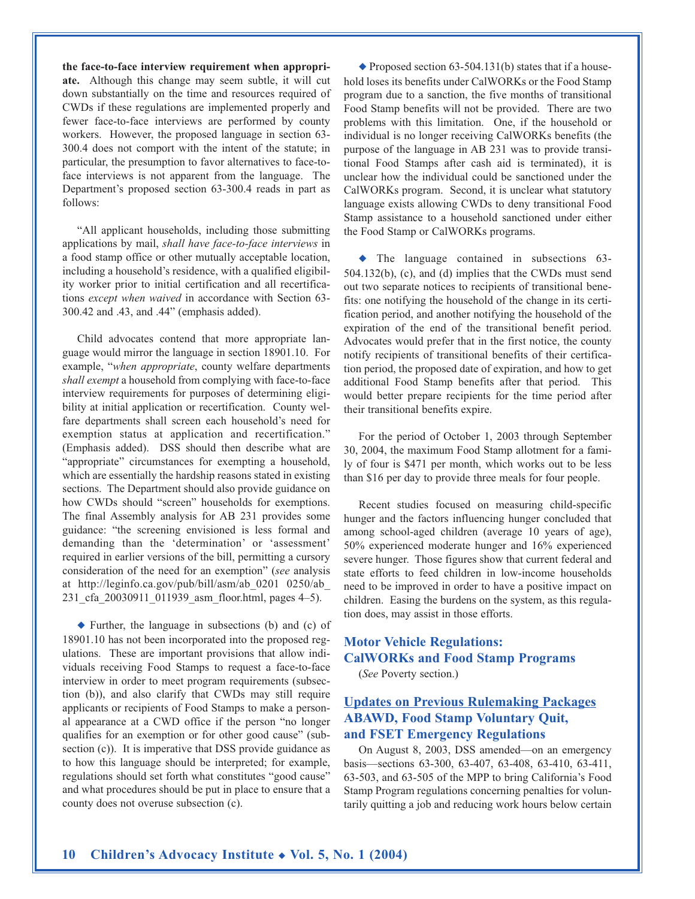**the face-to-face interview requirement when appropriate.** Although this change may seem subtle, it will cut down substantially on the time and resources required of CWDs if these regulations are implemented properly and fewer face-to-face interviews are performed by county workers. However, the proposed language in section 63- 300.4 does not comport with the intent of the statute; in particular, the presumption to favor alternatives to face-toface interviews is not apparent from the language. The Department's proposed section 63-300.4 reads in part as follows:

"All applicant households, including those submitting applications by mail, *shall have face-to-face interviews* in a food stamp office or other mutually acceptable location, including a household's residence, with a qualified eligibility worker prior to initial certification and all recertifications *except when waived* in accordance with Section 63- 300.42 and .43, and .44" (emphasis added).

Child advocates contend that more appropriate language would mirror the language in section 18901.10. For example, "*when appropriate*, county welfare departments *shall exempt* a household from complying with face-to-face interview requirements for purposes of determining eligibility at initial application or recertification. County welfare departments shall screen each household's need for exemption status at application and recertification." (Emphasis added). DSS should then describe what are "appropriate" circumstances for exempting a household, which are essentially the hardship reasons stated in existing sections. The Department should also provide guidance on how CWDs should "screen" households for exemptions. The final Assembly analysis for AB 231 provides some guidance: "the screening envisioned is less formal and demanding than the 'determination' or 'assessment' required in earlier versions of the bill, permitting a cursory consideration of the need for an exemption" (*see* analysis at http://leginfo.ca.gov/pub/bill/asm/ab\_0201 0250/ab\_ 231\_cfa\_20030911\_011939\_asm\_floor.html, pages 4–5).

◆ Further, the language in subsections (b) and (c) of 18901.10 has not been incorporated into the proposed regulations. These are important provisions that allow individuals receiving Food Stamps to request a face-to-face interview in order to meet program requirements (subsection (b)), and also clarify that CWDs may still require applicants or recipients of Food Stamps to make a personal appearance at a CWD office if the person "no longer qualifies for an exemption or for other good cause" (subsection (c)). It is imperative that DSS provide guidance as to how this language should be interpreted; for example, regulations should set forth what constitutes "good cause" and what procedures should be put in place to ensure that a county does not overuse subsection (c).

◆ Proposed section 63-504.131(b) states that if a household loses its benefits under CalWORKs or the Food Stamp program due to a sanction, the five months of transitional Food Stamp benefits will not be provided. There are two problems with this limitation. One, if the household or individual is no longer receiving CalWORKs benefits (the purpose of the language in AB 231 was to provide transitional Food Stamps after cash aid is terminated), it is unclear how the individual could be sanctioned under the CalWORKs program. Second, it is unclear what statutory language exists allowing CWDs to deny transitional Food Stamp assistance to a household sanctioned under either the Food Stamp or CalWORKs programs.

◆ The language contained in subsections 63- 504.132(b), (c), and (d) implies that the CWDs must send out two separate notices to recipients of transitional benefits: one notifying the household of the change in its certification period, and another notifying the household of the expiration of the end of the transitional benefit period. Advocates would prefer that in the first notice, the county notify recipients of transitional benefits of their certification period, the proposed date of expiration, and how to get additional Food Stamp benefits after that period. This would better prepare recipients for the time period after their transitional benefits expire.

For the period of October 1, 2003 through September 30, 2004, the maximum Food Stamp allotment for a family of four is \$471 per month, which works out to be less than \$16 per day to provide three meals for four people.

Recent studies focused on measuring child-specific hunger and the factors influencing hunger concluded that among school-aged children (average 10 years of age), 50% experienced moderate hunger and 16% experienced severe hunger. Those figures show that current federal and state efforts to feed children in low-income households need to be improved in order to have a positive impact on children. Easing the burdens on the system, as this regulation does, may assist in those efforts.

## **Motor Vehicle Regulations: CalWORKs and Food Stamp Programs**

(*See* Poverty section.)

### **Updates on Previous Rulemaking Packages ABAWD, Food Stamp Voluntary Quit, and FSET Emergency Regulations**

On August 8, 2003, DSS amended—on an emergency basis—sections 63-300, 63-407, 63-408, 63-410, 63-411, 63-503, and 63-505 of the MPP to bring California's Food Stamp Program regulations concerning penalties for voluntarily quitting a job and reducing work hours below certain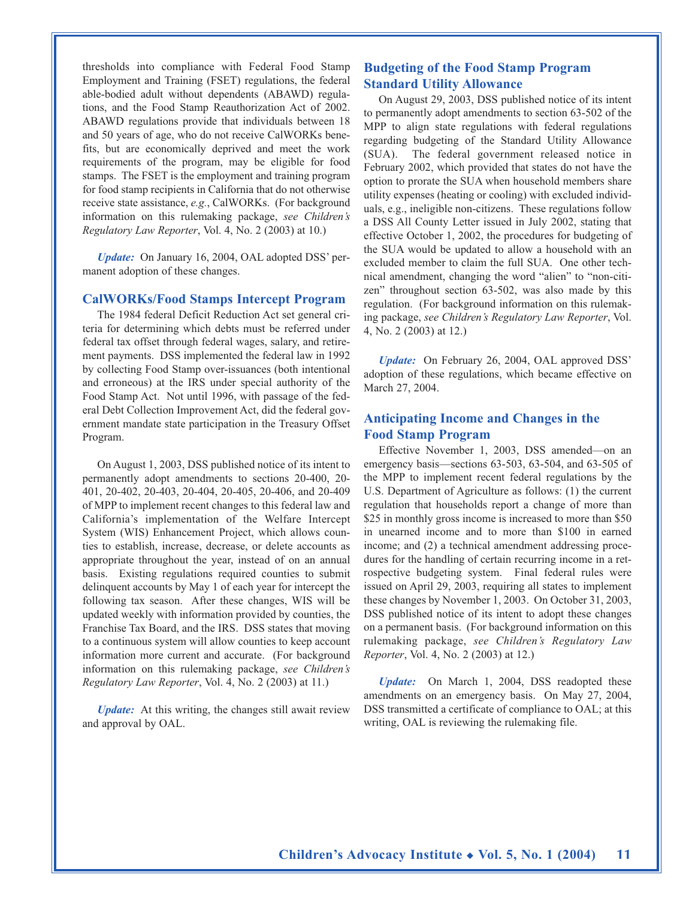thresholds into compliance with Federal Food Stamp Employment and Training (FSET) regulations, the federal able-bodied adult without dependents (ABAWD) regulations, and the Food Stamp Reauthorization Act of 2002. ABAWD regulations provide that individuals between 18 and 50 years of age, who do not receive CalWORKs benefits, but are economically deprived and meet the work requirements of the program, may be eligible for food stamps. The FSET is the employment and training program for food stamp recipients in California that do not otherwise receive state assistance, *e.g.*, CalWORKs. (For background information on this rulemaking package, *see Children's Regulatory Law Reporter*, Vol. 4, No. 2 (2003) at 10.)

*Update:* On January 16, 2004, OAL adopted DSS' permanent adoption of these changes.

#### **CalWORKs/Food Stamps Intercept Program**

The 1984 federal Deficit Reduction Act set general criteria for determining which debts must be referred under federal tax offset through federal wages, salary, and retirement payments. DSS implemented the federal law in 1992 by collecting Food Stamp over-issuances (both intentional and erroneous) at the IRS under special authority of the Food Stamp Act. Not until 1996, with passage of the federal Debt Collection Improvement Act, did the federal government mandate state participation in the Treasury Offset Program.

On August 1, 2003, DSS published notice of its intent to permanently adopt amendments to sections 20-400, 20- 401, 20-402, 20-403, 20-404, 20-405, 20-406, and 20-409 of MPP to implement recent changes to this federal law and California's implementation of the Welfare Intercept System (WIS) Enhancement Project, which allows counties to establish, increase, decrease, or delete accounts as appropriate throughout the year, instead of on an annual basis. Existing regulations required counties to submit delinquent accounts by May 1 of each year for intercept the following tax season. After these changes, WIS will be updated weekly with information provided by counties, the Franchise Tax Board, and the IRS. DSS states that moving to a continuous system will allow counties to keep account information more current and accurate. (For background information on this rulemaking package, *see Children's Regulatory Law Reporter*, Vol. 4, No. 2 (2003) at 11.)

*Update:* At this writing, the changes still await review and approval by OAL.

#### **Budgeting of the Food Stamp Program Standard Utility Allowance**

On August 29, 2003, DSS published notice of its intent to permanently adopt amendments to section 63-502 of the MPP to align state regulations with federal regulations regarding budgeting of the Standard Utility Allowance (SUA). The federal government released notice in February 2002, which provided that states do not have the option to prorate the SUA when household members share utility expenses (heating or cooling) with excluded individuals, e.g., ineligible non-citizens. These regulations follow a DSS All County Letter issued in July 2002, stating that effective October 1, 2002, the procedures for budgeting of the SUA would be updated to allow a household with an excluded member to claim the full SUA. One other technical amendment, changing the word "alien" to "non-citizen" throughout section 63-502, was also made by this regulation. (For background information on this rulemaking package, *see Children's Regulatory Law Reporter*, Vol. 4, No. 2 (2003) at 12.)

*Update:* On February 26, 2004, OAL approved DSS' adoption of these regulations, which became effective on March 27, 2004.

#### **Anticipating Income and Changes in the Food Stamp Program**

Effective November 1, 2003, DSS amended—on an emergency basis—sections 63-503, 63-504, and 63-505 of the MPP to implement recent federal regulations by the U.S. Department of Agriculture as follows: (1) the current regulation that households report a change of more than \$25 in monthly gross income is increased to more than \$50 in unearned income and to more than \$100 in earned income; and (2) a technical amendment addressing procedures for the handling of certain recurring income in a retrospective budgeting system. Final federal rules were issued on April 29, 2003, requiring all states to implement these changes by November 1, 2003. On October 31, 2003, DSS published notice of its intent to adopt these changes on a permanent basis. (For background information on this rulemaking package, *see Children's Regulatory Law Reporter*, Vol. 4, No. 2 (2003) at 12.)

*Update:* On March 1, 2004, DSS readopted these amendments on an emergency basis. On May 27, 2004, DSS transmitted a certificate of compliance to OAL; at this writing, OAL is reviewing the rulemaking file.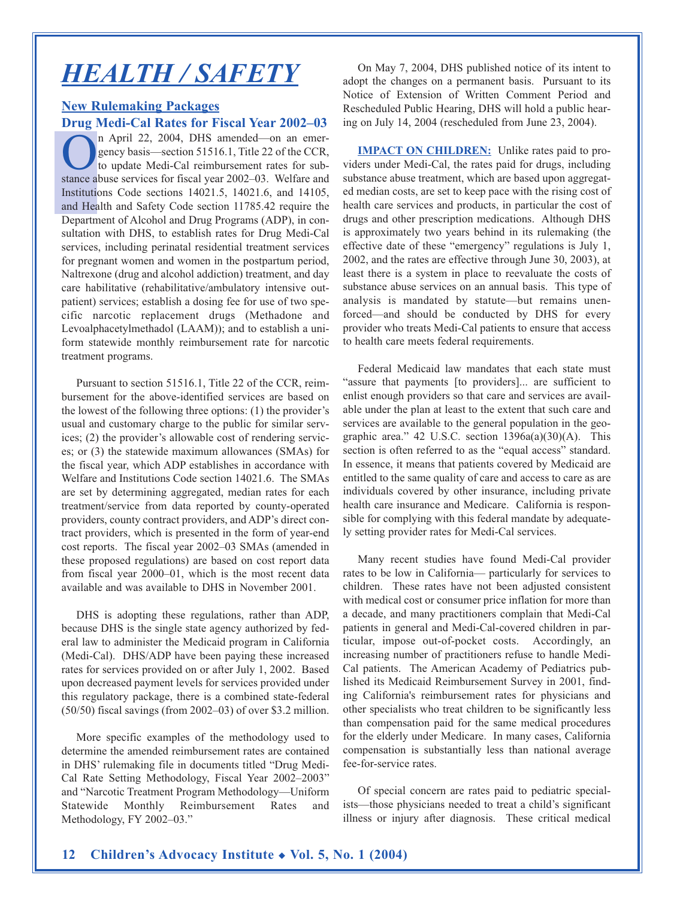## *HEALTH / SAFETY*

### **New Rulemaking Packages Drug Medi-Cal Rates for Fiscal Year 2002–03**

n April 22, 2004, DHS amended-on an emergency basis—section 51516.1, Title 22 of the CCR, to update Medi-Cal reimbursement rates for substance abuse services for fiscal year 2002–03. Welfare and Institutions Code sections 14021.5, 14021.6, and 14105, and Health and Safety Code section 11785.42 require the Department of Alcohol and Drug Programs (ADP), in consultation with DHS, to establish rates for Drug Medi-Cal services, including perinatal residential treatment services for pregnant women and women in the postpartum period, Naltrexone (drug and alcohol addiction) treatment, and day care habilitative (rehabilitative/ambulatory intensive outpatient) services; establish a dosing fee for use of two specific narcotic replacement drugs (Methadone and Levoalphacetylmethadol (LAAM)); and to establish a uniform statewide monthly reimbursement rate for narcotic treatment programs.

Pursuant to section 51516.1, Title 22 of the CCR, reimbursement for the above-identified services are based on the lowest of the following three options: (1) the provider's usual and customary charge to the public for similar services; (2) the provider's allowable cost of rendering services; or (3) the statewide maximum allowances (SMAs) for the fiscal year, which ADP establishes in accordance with Welfare and Institutions Code section 14021.6. The SMAs are set by determining aggregated, median rates for each treatment/service from data reported by county-operated providers, county contract providers, and ADP's direct contract providers, which is presented in the form of year-end cost reports. The fiscal year 2002–03 SMAs (amended in these proposed regulations) are based on cost report data from fiscal year 2000–01, which is the most recent data available and was available to DHS in November 2001.

DHS is adopting these regulations, rather than ADP, because DHS is the single state agency authorized by federal law to administer the Medicaid program in California (Medi-Cal). DHS/ADP have been paying these increased rates for services provided on or after July 1, 2002. Based upon decreased payment levels for services provided under this regulatory package, there is a combined state-federal (50/50) fiscal savings (from 2002–03) of over \$3.2 million.

More specific examples of the methodology used to determine the amended reimbursement rates are contained in DHS' rulemaking file in documents titled "Drug Medi-Cal Rate Setting Methodology, Fiscal Year 2002–2003" and "Narcotic Treatment Program Methodology—Uniform Statewide Monthly Reimbursement Rates and Methodology, FY 2002–03."

On May 7, 2004, DHS published notice of its intent to adopt the changes on a permanent basis. Pursuant to its Notice of Extension of Written Comment Period and Rescheduled Public Hearing, DHS will hold a public hearing on July 14, 2004 (rescheduled from June 23, 2004).

**IMPACT ON CHILDREN:** Unlike rates paid to providers under Medi-Cal, the rates paid for drugs, including substance abuse treatment, which are based upon aggregated median costs, are set to keep pace with the rising cost of health care services and products, in particular the cost of drugs and other prescription medications. Although DHS is approximately two years behind in its rulemaking (the effective date of these "emergency" regulations is July 1, 2002, and the rates are effective through June 30, 2003), at least there is a system in place to reevaluate the costs of substance abuse services on an annual basis. This type of analysis is mandated by statute—but remains unenforced—and should be conducted by DHS for every provider who treats Medi-Cal patients to ensure that access to health care meets federal requirements.

Federal Medicaid law mandates that each state must "assure that payments [to providers]... are sufficient to enlist enough providers so that care and services are available under the plan at least to the extent that such care and services are available to the general population in the geographic area."  $42$  U.S.C. section  $1396a(a)(30)(A)$ . This section is often referred to as the "equal access" standard. In essence, it means that patients covered by Medicaid are entitled to the same quality of care and access to care as are individuals covered by other insurance, including private health care insurance and Medicare. California is responsible for complying with this federal mandate by adequately setting provider rates for Medi-Cal services.

Many recent studies have found Medi-Cal provider rates to be low in California— particularly for services to children. These rates have not been adjusted consistent with medical cost or consumer price inflation for more than a decade, and many practitioners complain that Medi-Cal patients in general and Medi-Cal-covered children in particular, impose out-of-pocket costs. Accordingly, an increasing number of practitioners refuse to handle Medi-Cal patients. The American Academy of Pediatrics published its Medicaid Reimbursement Survey in 2001, finding California's reimbursement rates for physicians and other specialists who treat children to be significantly less than compensation paid for the same medical procedures for the elderly under Medicare. In many cases, California compensation is substantially less than national average fee-for-service rates.

Of special concern are rates paid to pediatric specialists—those physicians needed to treat a child's significant illness or injury after diagnosis. These critical medical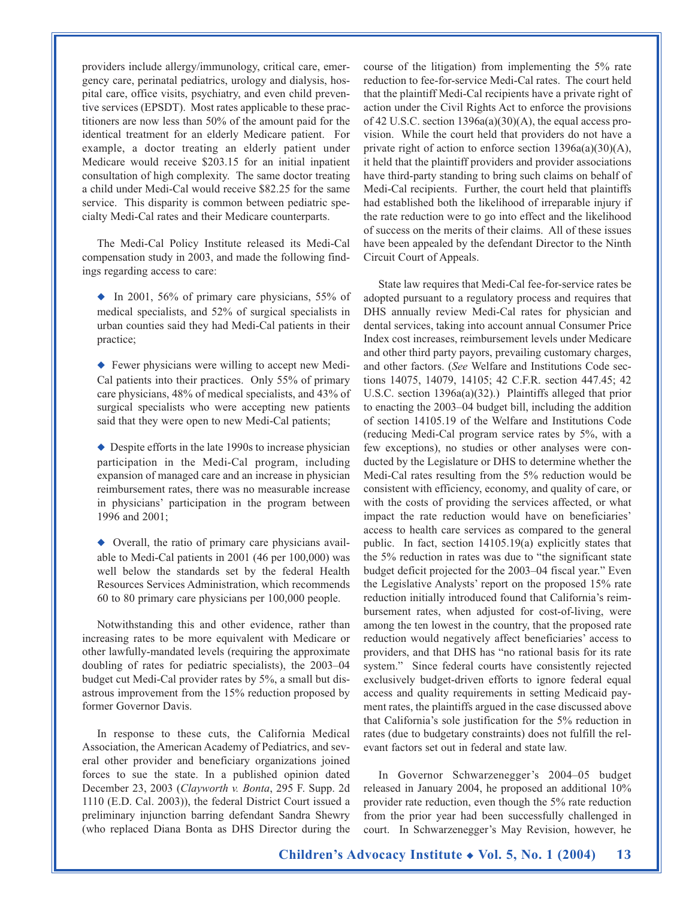providers include allergy/immunology, critical care, emergency care, perinatal pediatrics, urology and dialysis, hospital care, office visits, psychiatry, and even child preventive services (EPSDT). Most rates applicable to these practitioners are now less than 50% of the amount paid for the identical treatment for an elderly Medicare patient. For example, a doctor treating an elderly patient under Medicare would receive \$203.15 for an initial inpatient consultation of high complexity. The same doctor treating a child under Medi-Cal would receive \$82.25 for the same service. This disparity is common between pediatric specialty Medi-Cal rates and their Medicare counterparts.

The Medi-Cal Policy Institute released its Medi-Cal compensation study in 2003, and made the following findings regarding access to care:

 $\bullet$  In 2001, 56% of primary care physicians, 55% of medical specialists, and 52% of surgical specialists in urban counties said they had Medi-Cal patients in their practice;

◆ Fewer physicians were willing to accept new Medi-Cal patients into their practices. Only 55% of primary care physicians, 48% of medical specialists, and 43% of surgical specialists who were accepting new patients said that they were open to new Medi-Cal patients;

◆ Despite efforts in the late 1990s to increase physician participation in the Medi-Cal program, including expansion of managed care and an increase in physician reimbursement rates, there was no measurable increase in physicians' participation in the program between 1996 and 2001;

◆ Overall, the ratio of primary care physicians available to Medi-Cal patients in 2001 (46 per 100,000) was well below the standards set by the federal Health Resources Services Administration, which recommends 60 to 80 primary care physicians per 100,000 people.

Notwithstanding this and other evidence, rather than increasing rates to be more equivalent with Medicare or other lawfully-mandated levels (requiring the approximate doubling of rates for pediatric specialists), the 2003–04 budget cut Medi-Cal provider rates by 5%, a small but disastrous improvement from the 15% reduction proposed by former Governor Davis.

In response to these cuts, the California Medical Association, the American Academy of Pediatrics, and several other provider and beneficiary organizations joined forces to sue the state. In a published opinion dated December 23, 2003 (*Clayworth v. Bonta*, 295 F. Supp. 2d 1110 (E.D. Cal. 2003)), the federal District Court issued a preliminary injunction barring defendant Sandra Shewry (who replaced Diana Bonta as DHS Director during the

course of the litigation) from implementing the 5% rate reduction to fee-for-service Medi-Cal rates. The court held that the plaintiff Medi-Cal recipients have a private right of action under the Civil Rights Act to enforce the provisions of 42 U.S.C. section  $1396a(a)(30)(A)$ , the equal access provision. While the court held that providers do not have a private right of action to enforce section 1396a(a)(30)(A), it held that the plaintiff providers and provider associations have third-party standing to bring such claims on behalf of Medi-Cal recipients. Further, the court held that plaintiffs had established both the likelihood of irreparable injury if the rate reduction were to go into effect and the likelihood of success on the merits of their claims. All of these issues have been appealed by the defendant Director to the Ninth Circuit Court of Appeals.

State law requires that Medi-Cal fee-for-service rates be adopted pursuant to a regulatory process and requires that DHS annually review Medi-Cal rates for physician and dental services, taking into account annual Consumer Price Index cost increases, reimbursement levels under Medicare and other third party payors, prevailing customary charges, and other factors. (*See* Welfare and Institutions Code sections 14075, 14079, 14105; 42 C.F.R. section 447.45; 42 U.S.C. section 1396a(a)(32).) Plaintiffs alleged that prior to enacting the 2003–04 budget bill, including the addition of section 14105.19 of the Welfare and Institutions Code (reducing Medi-Cal program service rates by 5%, with a few exceptions), no studies or other analyses were conducted by the Legislature or DHS to determine whether the Medi-Cal rates resulting from the 5% reduction would be consistent with efficiency, economy, and quality of care, or with the costs of providing the services affected, or what impact the rate reduction would have on beneficiaries' access to health care services as compared to the general public. In fact, section 14105.19(a) explicitly states that the 5% reduction in rates was due to "the significant state budget deficit projected for the 2003–04 fiscal year." Even the Legislative Analysts' report on the proposed 15% rate reduction initially introduced found that California's reimbursement rates, when adjusted for cost-of-living, were among the ten lowest in the country, that the proposed rate reduction would negatively affect beneficiaries' access to providers, and that DHS has "no rational basis for its rate system." Since federal courts have consistently rejected exclusively budget-driven efforts to ignore federal equal access and quality requirements in setting Medicaid payment rates, the plaintiffs argued in the case discussed above that California's sole justification for the 5% reduction in rates (due to budgetary constraints) does not fulfill the relevant factors set out in federal and state law.

In Governor Schwarzenegger's 2004–05 budget released in January 2004, he proposed an additional 10% provider rate reduction, even though the 5% rate reduction from the prior year had been successfully challenged in court. In Schwarzenegger's May Revision, however, he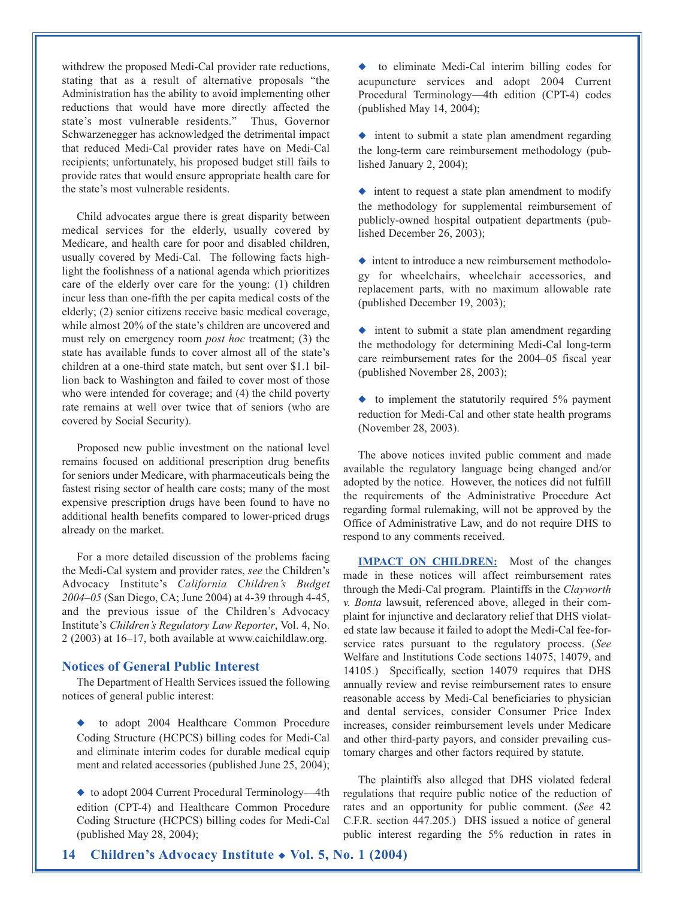withdrew the proposed Medi-Cal provider rate reductions, stating that as a result of alternative proposals "the Administration has the ability to avoid implementing other reductions that would have more directly affected the state's most vulnerable residents." Thus, Governor Schwarzenegger has acknowledged the detrimental impact that reduced Medi-Cal provider rates have on Medi-Cal recipients; unfortunately, his proposed budget still fails to provide rates that would ensure appropriate health care for the state's most vulnerable residents.

Child advocates argue there is great disparity between medical services for the elderly, usually covered by Medicare, and health care for poor and disabled children, usually covered by Medi-Cal. The following facts highlight the foolishness of a national agenda which prioritizes care of the elderly over care for the young: (1) children incur less than one-fifth the per capita medical costs of the elderly; (2) senior citizens receive basic medical coverage, while almost 20% of the state's children are uncovered and must rely on emergency room *post hoc* treatment; (3) the state has available funds to cover almost all of the state's children at a one-third state match, but sent over \$1.1 billion back to Washington and failed to cover most of those who were intended for coverage; and (4) the child poverty rate remains at well over twice that of seniors (who are covered by Social Security).

Proposed new public investment on the national level remains focused on additional prescription drug benefits for seniors under Medicare, with pharmaceuticals being the fastest rising sector of health care costs; many of the most expensive prescription drugs have been found to have no additional health benefits compared to lower-priced drugs already on the market.

For a more detailed discussion of the problems facing the Medi-Cal system and provider rates, *see* the Children's Advocacy Institute's *California Children's Budget 2004–05* (San Diego, CA; June 2004) at 4-39 through 4-45, and the previous issue of the Children's Advocacy Institute's *Children's Regulatory Law Reporter*, Vol. 4, No. 2 (2003) at 16–17, both available at www.caichildlaw.org.

#### **Notices of General Public Interest**

The Department of Health Services issued the following notices of general public interest:

to adopt 2004 Healthcare Common Procedure Coding Structure (HCPCS) billing codes for Medi-Cal and eliminate interim codes for durable medical equip ment and related accessories (published June 25, 2004);

◆ to adopt 2004 Current Procedural Terminology—4th edition (CPT-4) and Healthcare Common Procedure Coding Structure (HCPCS) billing codes for Medi-Cal (published May 28, 2004);

◆ to eliminate Medi-Cal interim billing codes for acupuncture services and adopt 2004 Current Procedural Terminology—4th edition (CPT-4) codes (published May 14, 2004);

◆ intent to submit a state plan amendment regarding the long-term care reimbursement methodology (published January 2, 2004);

◆ intent to request a state plan amendment to modify the methodology for supplemental reimbursement of publicly-owned hospital outpatient departments (published December 26, 2003);

◆ intent to introduce a new reimbursement methodology for wheelchairs, wheelchair accessories, and replacement parts, with no maximum allowable rate (published December 19, 2003);

◆ intent to submit a state plan amendment regarding the methodology for determining Medi-Cal long-term care reimbursement rates for the 2004–05 fiscal year (published November 28, 2003);

 $\bullet$  to implement the statutorily required 5% payment reduction for Medi-Cal and other state health programs (November 28, 2003).

The above notices invited public comment and made available the regulatory language being changed and/or adopted by the notice. However, the notices did not fulfill the requirements of the Administrative Procedure Act regarding formal rulemaking, will not be approved by the Office of Administrative Law, and do not require DHS to respond to any comments received.

**IMPACT ON CHILDREN:** Most of the changes made in these notices will affect reimbursement rates through the Medi-Cal program. Plaintiffs in the *Clayworth v. Bonta* lawsuit, referenced above, alleged in their complaint for injunctive and declaratory relief that DHS violated state law because it failed to adopt the Medi-Cal fee-forservice rates pursuant to the regulatory process. (*See* Welfare and Institutions Code sections 14075, 14079, and 14105.) Specifically, section 14079 requires that DHS annually review and revise reimbursement rates to ensure reasonable access by Medi-Cal beneficiaries to physician and dental services, consider Consumer Price Index increases, consider reimbursement levels under Medicare and other third-party payors, and consider prevailing customary charges and other factors required by statute.

The plaintiffs also alleged that DHS violated federal regulations that require public notice of the reduction of rates and an opportunity for public comment. (*See* 42 C.F.R. section 447.205.) DHS issued a notice of general public interest regarding the 5% reduction in rates in

**14 Children's Advocacy Institute** ◆ **Vol. 5, No. 1 (2004)**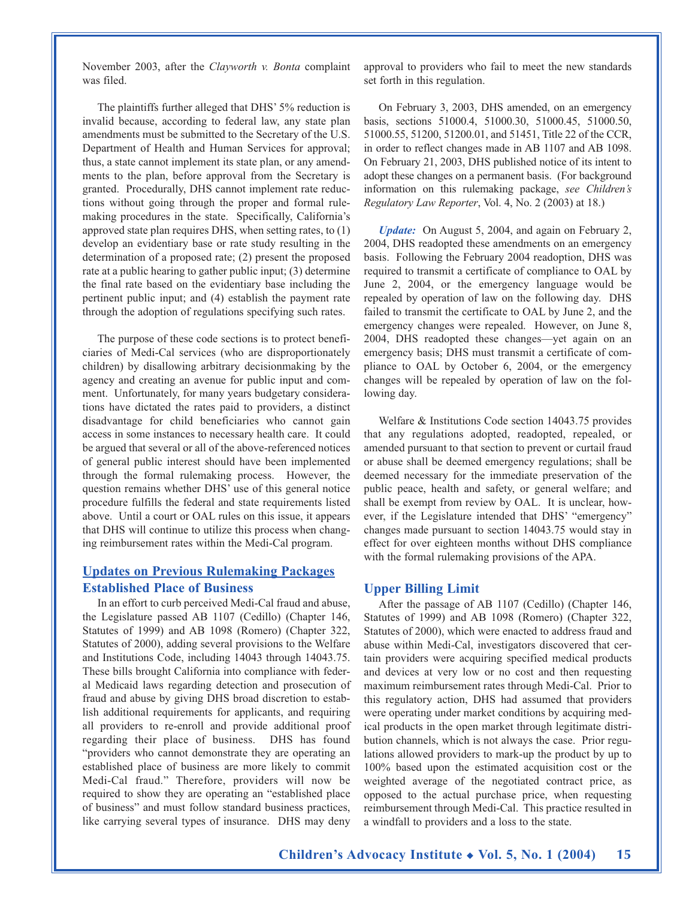November 2003, after the *Clayworth v. Bonta* complaint was filed.

The plaintiffs further alleged that DHS' 5% reduction is invalid because, according to federal law, any state plan amendments must be submitted to the Secretary of the U.S. Department of Health and Human Services for approval; thus, a state cannot implement its state plan, or any amendments to the plan, before approval from the Secretary is granted. Procedurally, DHS cannot implement rate reductions without going through the proper and formal rulemaking procedures in the state. Specifically, California's approved state plan requires DHS, when setting rates, to (1) develop an evidentiary base or rate study resulting in the determination of a proposed rate; (2) present the proposed rate at a public hearing to gather public input; (3) determine the final rate based on the evidentiary base including the pertinent public input; and (4) establish the payment rate through the adoption of regulations specifying such rates.

The purpose of these code sections is to protect beneficiaries of Medi-Cal services (who are disproportionately children) by disallowing arbitrary decisionmaking by the agency and creating an avenue for public input and comment. Unfortunately, for many years budgetary considerations have dictated the rates paid to providers, a distinct disadvantage for child beneficiaries who cannot gain access in some instances to necessary health care. It could be argued that several or all of the above-referenced notices of general public interest should have been implemented through the formal rulemaking process. However, the question remains whether DHS' use of this general notice procedure fulfills the federal and state requirements listed above. Until a court or OAL rules on this issue, it appears that DHS will continue to utilize this process when changing reimbursement rates within the Medi-Cal program.

#### **Updates on Previous Rulemaking Packages Established Place of Business**

In an effort to curb perceived Medi-Cal fraud and abuse, the Legislature passed AB 1107 (Cedillo) (Chapter 146, Statutes of 1999) and AB 1098 (Romero) (Chapter 322, Statutes of 2000), adding several provisions to the Welfare and Institutions Code, including 14043 through 14043.75. These bills brought California into compliance with federal Medicaid laws regarding detection and prosecution of fraud and abuse by giving DHS broad discretion to establish additional requirements for applicants, and requiring all providers to re-enroll and provide additional proof regarding their place of business. DHS has found "providers who cannot demonstrate they are operating an established place of business are more likely to commit Medi-Cal fraud." Therefore, providers will now be required to show they are operating an "established place of business" and must follow standard business practices, like carrying several types of insurance. DHS may deny

approval to providers who fail to meet the new standards set forth in this regulation.

On February 3, 2003, DHS amended, on an emergency basis, sections 51000.4, 51000.30, 51000.45, 51000.50, 51000.55, 51200, 51200.01, and 51451, Title 22 of the CCR, in order to reflect changes made in AB 1107 and AB 1098. On February 21, 2003, DHS published notice of its intent to adopt these changes on a permanent basis. (For background information on this rulemaking package, *see Children's Regulatory Law Reporter*, Vol. 4, No. 2 (2003) at 18.)

*Update:* On August 5, 2004, and again on February 2, 2004, DHS readopted these amendments on an emergency basis. Following the February 2004 readoption, DHS was required to transmit a certificate of compliance to OAL by June 2, 2004, or the emergency language would be repealed by operation of law on the following day. DHS failed to transmit the certificate to OAL by June 2, and the emergency changes were repealed. However, on June 8, 2004, DHS readopted these changes—yet again on an emergency basis; DHS must transmit a certificate of compliance to OAL by October 6, 2004, or the emergency changes will be repealed by operation of law on the following day.

Welfare & Institutions Code section 14043.75 provides that any regulations adopted, readopted, repealed, or amended pursuant to that section to prevent or curtail fraud or abuse shall be deemed emergency regulations; shall be deemed necessary for the immediate preservation of the public peace, health and safety, or general welfare; and shall be exempt from review by OAL. It is unclear, however, if the Legislature intended that DHS' "emergency" changes made pursuant to section 14043.75 would stay in effect for over eighteen months without DHS compliance with the formal rulemaking provisions of the APA.

#### **Upper Billing Limit**

After the passage of AB 1107 (Cedillo) (Chapter 146, Statutes of 1999) and AB 1098 (Romero) (Chapter 322, Statutes of 2000), which were enacted to address fraud and abuse within Medi-Cal, investigators discovered that certain providers were acquiring specified medical products and devices at very low or no cost and then requesting maximum reimbursement rates through Medi-Cal. Prior to this regulatory action, DHS had assumed that providers were operating under market conditions by acquiring medical products in the open market through legitimate distribution channels, which is not always the case. Prior regulations allowed providers to mark-up the product by up to 100% based upon the estimated acquisition cost or the weighted average of the negotiated contract price, as opposed to the actual purchase price, when requesting reimbursement through Medi-Cal. This practice resulted in a windfall to providers and a loss to the state.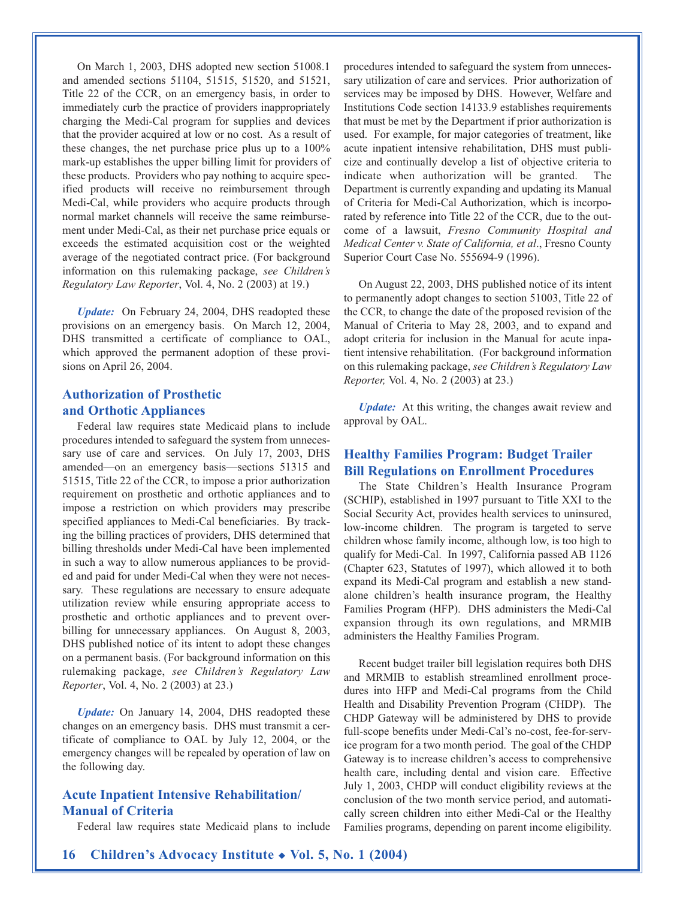On March 1, 2003, DHS adopted new section 51008.1 and amended sections 51104, 51515, 51520, and 51521, Title 22 of the CCR, on an emergency basis, in order to immediately curb the practice of providers inappropriately charging the Medi-Cal program for supplies and devices that the provider acquired at low or no cost. As a result of these changes, the net purchase price plus up to a 100% mark-up establishes the upper billing limit for providers of these products. Providers who pay nothing to acquire specified products will receive no reimbursement through Medi-Cal, while providers who acquire products through normal market channels will receive the same reimbursement under Medi-Cal, as their net purchase price equals or exceeds the estimated acquisition cost or the weighted average of the negotiated contract price. (For background information on this rulemaking package, *see Children's Regulatory Law Reporter*, Vol. 4, No. 2 (2003) at 19.)

*Update:* On February 24, 2004, DHS readopted these provisions on an emergency basis. On March 12, 2004, DHS transmitted a certificate of compliance to OAL, which approved the permanent adoption of these provisions on April 26, 2004.

## **Authorization of Prosthetic and Orthotic Appliances**

Federal law requires state Medicaid plans to include procedures intended to safeguard the system from unnecessary use of care and services. On July 17, 2003, DHS amended—on an emergency basis—sections 51315 and 51515, Title 22 of the CCR, to impose a prior authorization requirement on prosthetic and orthotic appliances and to impose a restriction on which providers may prescribe specified appliances to Medi-Cal beneficiaries. By tracking the billing practices of providers, DHS determined that billing thresholds under Medi-Cal have been implemented in such a way to allow numerous appliances to be provided and paid for under Medi-Cal when they were not necessary. These regulations are necessary to ensure adequate utilization review while ensuring appropriate access to prosthetic and orthotic appliances and to prevent overbilling for unnecessary appliances. On August 8, 2003, DHS published notice of its intent to adopt these changes on a permanent basis. (For background information on this rulemaking package, *see Children's Regulatory Law Reporter*, Vol. 4, No. 2 (2003) at 23.)

*Update:* On January 14, 2004, DHS readopted these changes on an emergency basis. DHS must transmit a certificate of compliance to OAL by July 12, 2004, or the emergency changes will be repealed by operation of law on the following day.

### **Acute Inpatient Intensive Rehabilitation/ Manual of Criteria**

Federal law requires state Medicaid plans to include

procedures intended to safeguard the system from unnecessary utilization of care and services. Prior authorization of services may be imposed by DHS. However, Welfare and Institutions Code section 14133.9 establishes requirements that must be met by the Department if prior authorization is used. For example, for major categories of treatment, like acute inpatient intensive rehabilitation, DHS must publicize and continually develop a list of objective criteria to indicate when authorization will be granted. The Department is currently expanding and updating its Manual of Criteria for Medi-Cal Authorization, which is incorporated by reference into Title 22 of the CCR, due to the outcome of a lawsuit, *Fresno Community Hospital and Medical Center v. State of California, et al*., Fresno County Superior Court Case No. 555694-9 (1996).

On August 22, 2003, DHS published notice of its intent to permanently adopt changes to section 51003, Title 22 of the CCR, to change the date of the proposed revision of the Manual of Criteria to May 28, 2003, and to expand and adopt criteria for inclusion in the Manual for acute inpatient intensive rehabilitation. (For background information on this rulemaking package, *see Children's Regulatory Law Reporter,* Vol. 4, No. 2 (2003) at 23.)

*Update:* At this writing, the changes await review and approval by OAL.

#### **Healthy Families Program: Budget Trailer Bill Regulations on Enrollment Procedures**

The State Children's Health Insurance Program (SCHIP), established in 1997 pursuant to Title XXI to the Social Security Act, provides health services to uninsured, low-income children. The program is targeted to serve children whose family income, although low, is too high to qualify for Medi-Cal. In 1997, California passed AB 1126 (Chapter 623, Statutes of 1997), which allowed it to both expand its Medi-Cal program and establish a new standalone children's health insurance program, the Healthy Families Program (HFP). DHS administers the Medi-Cal expansion through its own regulations, and MRMIB administers the Healthy Families Program.

Recent budget trailer bill legislation requires both DHS and MRMIB to establish streamlined enrollment procedures into HFP and Medi-Cal programs from the Child Health and Disability Prevention Program (CHDP). The CHDP Gateway will be administered by DHS to provide full-scope benefits under Medi-Cal's no-cost, fee-for-service program for a two month period. The goal of the CHDP Gateway is to increase children's access to comprehensive health care, including dental and vision care. Effective July 1, 2003, CHDP will conduct eligibility reviews at the conclusion of the two month service period, and automatically screen children into either Medi-Cal or the Healthy Families programs, depending on parent income eligibility.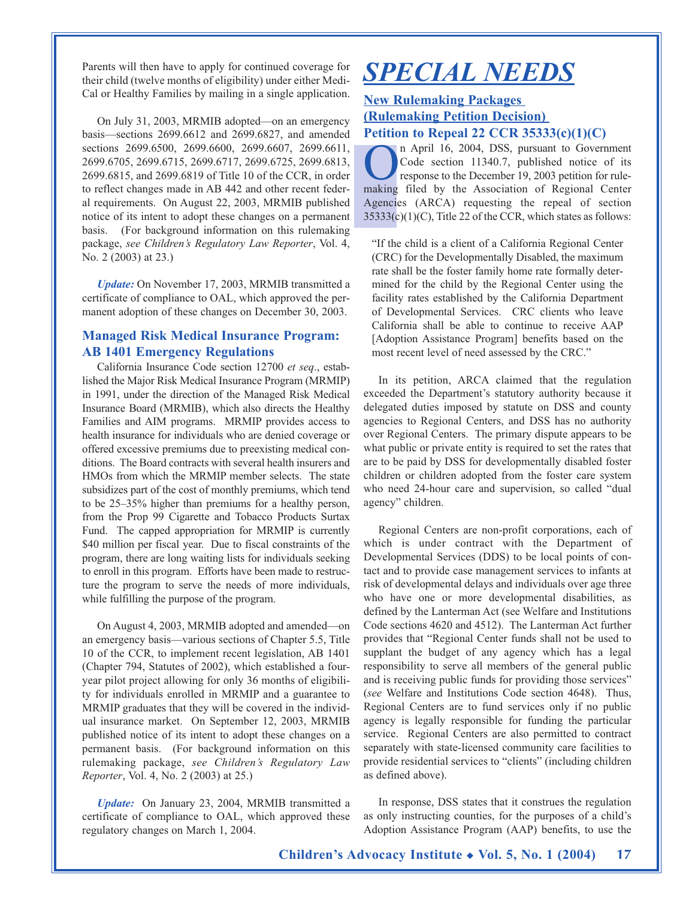Parents will then have to apply for continued coverage for their child (twelve months of eligibility) under either Medi-Cal or Healthy Families by mailing in a single application.

On July 31, 2003, MRMIB adopted—on an emergency basis—sections 2699.6612 and 2699.6827, and amended sections 2699.6500, 2699.6600, 2699.6607, 2699.6611, 2699.6705, 2699.6715, 2699.6717, 2699.6725, 2699.6813, 2699.6815, and 2699.6819 of Title 10 of the CCR, in order to reflect changes made in AB 442 and other recent federal requirements. On August 22, 2003, MRMIB published notice of its intent to adopt these changes on a permanent basis. (For background information on this rulemaking package, *see Children's Regulatory Law Reporter*, Vol. 4, No. 2 (2003) at 23.)

*Update:* On November 17, 2003, MRMIB transmitted a certificate of compliance to OAL, which approved the permanent adoption of these changes on December 30, 2003.

#### **Managed Risk Medical Insurance Program: AB 1401 Emergency Regulations**

California Insurance Code section 12700 *et seq*., established the Major Risk Medical Insurance Program (MRMIP) in 1991, under the direction of the Managed Risk Medical Insurance Board (MRMIB), which also directs the Healthy Families and AIM programs. MRMIP provides access to health insurance for individuals who are denied coverage or offered excessive premiums due to preexisting medical conditions. The Board contracts with several health insurers and HMOs from which the MRMIP member selects. The state subsidizes part of the cost of monthly premiums, which tend to be 25–35% higher than premiums for a healthy person, from the Prop 99 Cigarette and Tobacco Products Surtax Fund. The capped appropriation for MRMIP is currently \$40 million per fiscal year. Due to fiscal constraints of the program, there are long waiting lists for individuals seeking to enroll in this program. Efforts have been made to restructure the program to serve the needs of more individuals, while fulfilling the purpose of the program.

On August 4, 2003, MRMIB adopted and amended—on an emergency basis—various sections of Chapter 5.5, Title 10 of the CCR, to implement recent legislation, AB 1401 (Chapter 794, Statutes of 2002), which established a fouryear pilot project allowing for only 36 months of eligibility for individuals enrolled in MRMIP and a guarantee to MRMIP graduates that they will be covered in the individual insurance market. On September 12, 2003, MRMIB published notice of its intent to adopt these changes on a permanent basis. (For background information on this rulemaking package, *see Children's Regulatory Law Reporter*, Vol. 4, No. 2 (2003) at 25.)

*Update:* On January 23, 2004, MRMIB transmitted a certificate of compliance to OAL, which approved these regulatory changes on March 1, 2004.

# *SPECIAL NEEDS*

## **New Rulemaking Packages (Rulemaking Petition Decision) Petition to Repeal 22 CCR 35333(c)(1)(C)**

**On** April 16, 2004, DSS, pursuant to Government<br>Code section 11340.7, published notice of its<br>response to the December 19, 2003 petition for rule-<br>making filed by the Association of Regional Center Code section 11340.7, published notice of its response to the December 19, 2003 petition for rulemaking filed by the Association of Regional Center Agencies (ARCA) requesting the repeal of section  $35333(c)(1)(C)$ , Title 22 of the CCR, which states as follows:

"If the child is a client of a California Regional Center (CRC) for the Developmentally Disabled, the maximum rate shall be the foster family home rate formally determined for the child by the Regional Center using the facility rates established by the California Department of Developmental Services. CRC clients who leave California shall be able to continue to receive AAP [Adoption Assistance Program] benefits based on the most recent level of need assessed by the CRC."

In its petition, ARCA claimed that the regulation exceeded the Department's statutory authority because it delegated duties imposed by statute on DSS and county agencies to Regional Centers, and DSS has no authority over Regional Centers. The primary dispute appears to be what public or private entity is required to set the rates that are to be paid by DSS for developmentally disabled foster children or children adopted from the foster care system who need 24-hour care and supervision, so called "dual agency" children.

Regional Centers are non-profit corporations, each of which is under contract with the Department of Developmental Services (DDS) to be local points of contact and to provide case management services to infants at risk of developmental delays and individuals over age three who have one or more developmental disabilities, as defined by the Lanterman Act (see Welfare and Institutions Code sections 4620 and 4512). The Lanterman Act further provides that "Regional Center funds shall not be used to supplant the budget of any agency which has a legal responsibility to serve all members of the general public and is receiving public funds for providing those services" (*see* Welfare and Institutions Code section 4648). Thus, Regional Centers are to fund services only if no public agency is legally responsible for funding the particular service. Regional Centers are also permitted to contract separately with state-licensed community care facilities to provide residential services to "clients" (including children as defined above).

In response, DSS states that it construes the regulation as only instructing counties, for the purposes of a child's Adoption Assistance Program (AAP) benefits, to use the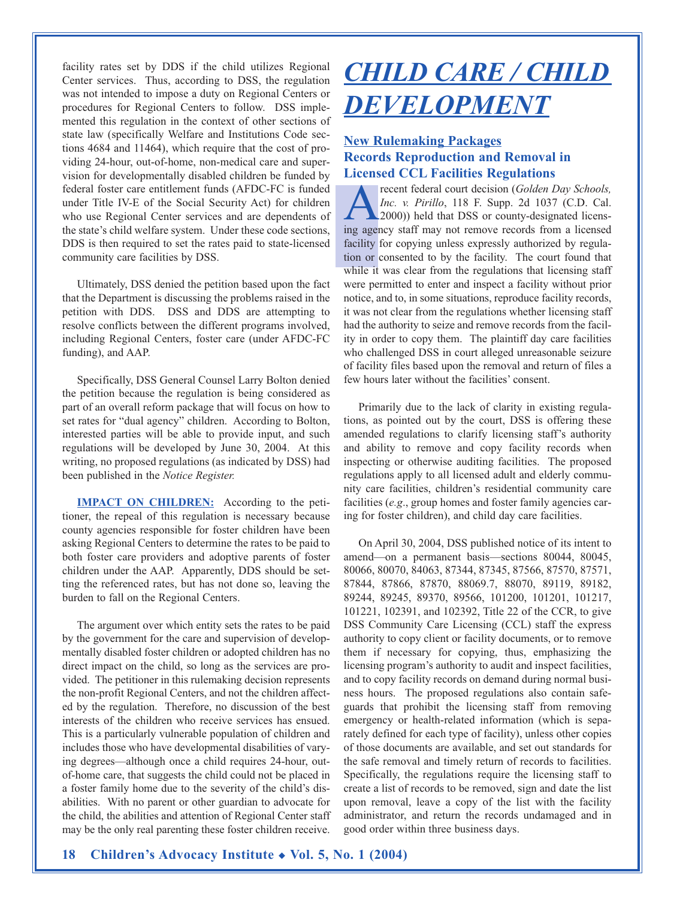facility rates set by DDS if the child utilizes Regional Center services. Thus, according to DSS, the regulation was not intended to impose a duty on Regional Centers or procedures for Regional Centers to follow. DSS implemented this regulation in the context of other sections of state law (specifically Welfare and Institutions Code sections 4684 and 11464), which require that the cost of providing 24-hour, out-of-home, non-medical care and supervision for developmentally disabled children be funded by federal foster care entitlement funds (AFDC-FC is funded under Title IV-E of the Social Security Act) for children who use Regional Center services and are dependents of the state's child welfare system. Under these code sections, DDS is then required to set the rates paid to state-licensed community care facilities by DSS.

Ultimately, DSS denied the petition based upon the fact that the Department is discussing the problems raised in the petition with DDS. DSS and DDS are attempting to resolve conflicts between the different programs involved, including Regional Centers, foster care (under AFDC-FC funding), and AAP.

Specifically, DSS General Counsel Larry Bolton denied the petition because the regulation is being considered as part of an overall reform package that will focus on how to set rates for "dual agency" children. According to Bolton, interested parties will be able to provide input, and such regulations will be developed by June 30, 2004. At this writing, no proposed regulations (as indicated by DSS) had been published in the *Notice Register.*

**IMPACT ON CHILDREN:** According to the petitioner, the repeal of this regulation is necessary because county agencies responsible for foster children have been asking Regional Centers to determine the rates to be paid to both foster care providers and adoptive parents of foster children under the AAP. Apparently, DDS should be setting the referenced rates, but has not done so, leaving the burden to fall on the Regional Centers.

The argument over which entity sets the rates to be paid by the government for the care and supervision of developmentally disabled foster children or adopted children has no direct impact on the child, so long as the services are provided. The petitioner in this rulemaking decision represents the non-profit Regional Centers, and not the children affected by the regulation. Therefore, no discussion of the best interests of the children who receive services has ensued. This is a particularly vulnerable population of children and includes those who have developmental disabilities of varying degrees—although once a child requires 24-hour, outof-home care, that suggests the child could not be placed in a foster family home due to the severity of the child's disabilities. With no parent or other guardian to advocate for the child, the abilities and attention of Regional Center staff may be the only real parenting these foster children receive.

# *CHILD CARE / CHILD DEVELOPMENT*

### **New Rulemaking Packages Records Reproduction and Removal in Licensed CCL Facilities Regulations**

**Arecent federal court decision (***Golden Day Schools, Inc. v. Pirillo***, 118 F. Supp. 2d 1037 (C.D. Cal. 2000)) held that DSS or county-designated licens-<br>ing agency staff may not remove records from a licensed** *Inc. v. Pirillo*, 118 F. Supp. 2d 1037 (C.D. Cal. 2000)) held that DSS or county-designated licensing agency staff may not remove records from a licensed facility for copying unless expressly authorized by regulation or consented to by the facility. The court found that while it was clear from the regulations that licensing staff were permitted to enter and inspect a facility without prior notice, and to, in some situations, reproduce facility records, it was not clear from the regulations whether licensing staff had the authority to seize and remove records from the facility in order to copy them. The plaintiff day care facilities who challenged DSS in court alleged unreasonable seizure of facility files based upon the removal and return of files a few hours later without the facilities' consent.

Primarily due to the lack of clarity in existing regulations, as pointed out by the court, DSS is offering these amended regulations to clarify licensing staff's authority and ability to remove and copy facility records when inspecting or otherwise auditing facilities. The proposed regulations apply to all licensed adult and elderly community care facilities, children's residential community care facilities (*e.g*., group homes and foster family agencies caring for foster children), and child day care facilities.

On April 30, 2004, DSS published notice of its intent to amend—on a permanent basis—sections 80044, 80045, 80066, 80070, 84063, 87344, 87345, 87566, 87570, 87571, 87844, 87866, 87870, 88069.7, 88070, 89119, 89182, 89244, 89245, 89370, 89566, 101200, 101201, 101217, 101221, 102391, and 102392, Title 22 of the CCR, to give DSS Community Care Licensing (CCL) staff the express authority to copy client or facility documents, or to remove them if necessary for copying, thus, emphasizing the licensing program's authority to audit and inspect facilities, and to copy facility records on demand during normal business hours. The proposed regulations also contain safeguards that prohibit the licensing staff from removing emergency or health-related information (which is separately defined for each type of facility), unless other copies of those documents are available, and set out standards for the safe removal and timely return of records to facilities. Specifically, the regulations require the licensing staff to create a list of records to be removed, sign and date the list upon removal, leave a copy of the list with the facility administrator, and return the records undamaged and in good order within three business days.

**18 Children's Advocacy Institute** ◆ **Vol. 5, No. 1 (2004)**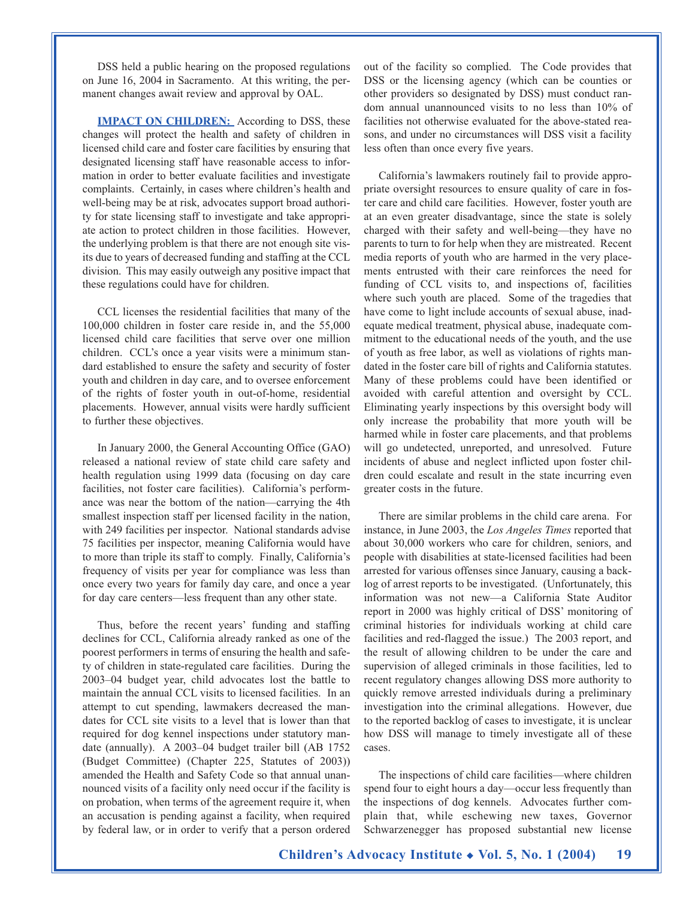DSS held a public hearing on the proposed regulations on June 16, 2004 in Sacramento. At this writing, the permanent changes await review and approval by OAL.

**IMPACT ON CHILDREN:** According to DSS, these changes will protect the health and safety of children in licensed child care and foster care facilities by ensuring that designated licensing staff have reasonable access to information in order to better evaluate facilities and investigate complaints. Certainly, in cases where children's health and well-being may be at risk, advocates support broad authority for state licensing staff to investigate and take appropriate action to protect children in those facilities. However, the underlying problem is that there are not enough site visits due to years of decreased funding and staffing at the CCL division. This may easily outweigh any positive impact that these regulations could have for children.

CCL licenses the residential facilities that many of the 100,000 children in foster care reside in, and the 55,000 licensed child care facilities that serve over one million children. CCL's once a year visits were a minimum standard established to ensure the safety and security of foster youth and children in day care, and to oversee enforcement of the rights of foster youth in out-of-home, residential placements. However, annual visits were hardly sufficient to further these objectives.

In January 2000, the General Accounting Office (GAO) released a national review of state child care safety and health regulation using 1999 data (focusing on day care facilities, not foster care facilities). California's performance was near the bottom of the nation—carrying the 4th smallest inspection staff per licensed facility in the nation, with 249 facilities per inspector. National standards advise 75 facilities per inspector, meaning California would have to more than triple its staff to comply. Finally, California's frequency of visits per year for compliance was less than once every two years for family day care, and once a year for day care centers—less frequent than any other state.

Thus, before the recent years' funding and staffing declines for CCL, California already ranked as one of the poorest performers in terms of ensuring the health and safety of children in state-regulated care facilities. During the 2003–04 budget year, child advocates lost the battle to maintain the annual CCL visits to licensed facilities. In an attempt to cut spending, lawmakers decreased the mandates for CCL site visits to a level that is lower than that required for dog kennel inspections under statutory mandate (annually). A 2003–04 budget trailer bill (AB 1752 (Budget Committee) (Chapter 225, Statutes of 2003)) amended the Health and Safety Code so that annual unannounced visits of a facility only need occur if the facility is on probation, when terms of the agreement require it, when an accusation is pending against a facility, when required by federal law, or in order to verify that a person ordered

out of the facility so complied. The Code provides that DSS or the licensing agency (which can be counties or other providers so designated by DSS) must conduct random annual unannounced visits to no less than 10% of facilities not otherwise evaluated for the above-stated reasons, and under no circumstances will DSS visit a facility less often than once every five years.

California's lawmakers routinely fail to provide appropriate oversight resources to ensure quality of care in foster care and child care facilities. However, foster youth are at an even greater disadvantage, since the state is solely charged with their safety and well-being—they have no parents to turn to for help when they are mistreated. Recent media reports of youth who are harmed in the very placements entrusted with their care reinforces the need for funding of CCL visits to, and inspections of, facilities where such youth are placed. Some of the tragedies that have come to light include accounts of sexual abuse, inadequate medical treatment, physical abuse, inadequate commitment to the educational needs of the youth, and the use of youth as free labor, as well as violations of rights mandated in the foster care bill of rights and California statutes. Many of these problems could have been identified or avoided with careful attention and oversight by CCL. Eliminating yearly inspections by this oversight body will only increase the probability that more youth will be harmed while in foster care placements, and that problems will go undetected, unreported, and unresolved. Future incidents of abuse and neglect inflicted upon foster children could escalate and result in the state incurring even greater costs in the future.

There are similar problems in the child care arena. For instance, in June 2003, the *Los Angeles Times* reported that about 30,000 workers who care for children, seniors, and people with disabilities at state-licensed facilities had been arrested for various offenses since January, causing a backlog of arrest reports to be investigated. (Unfortunately, this information was not new—a California State Auditor report in 2000 was highly critical of DSS' monitoring of criminal histories for individuals working at child care facilities and red-flagged the issue.) The 2003 report, and the result of allowing children to be under the care and supervision of alleged criminals in those facilities, led to recent regulatory changes allowing DSS more authority to quickly remove arrested individuals during a preliminary investigation into the criminal allegations. However, due to the reported backlog of cases to investigate, it is unclear how DSS will manage to timely investigate all of these cases.

The inspections of child care facilities—where children spend four to eight hours a day—occur less frequently than the inspections of dog kennels. Advocates further complain that, while eschewing new taxes, Governor Schwarzenegger has proposed substantial new license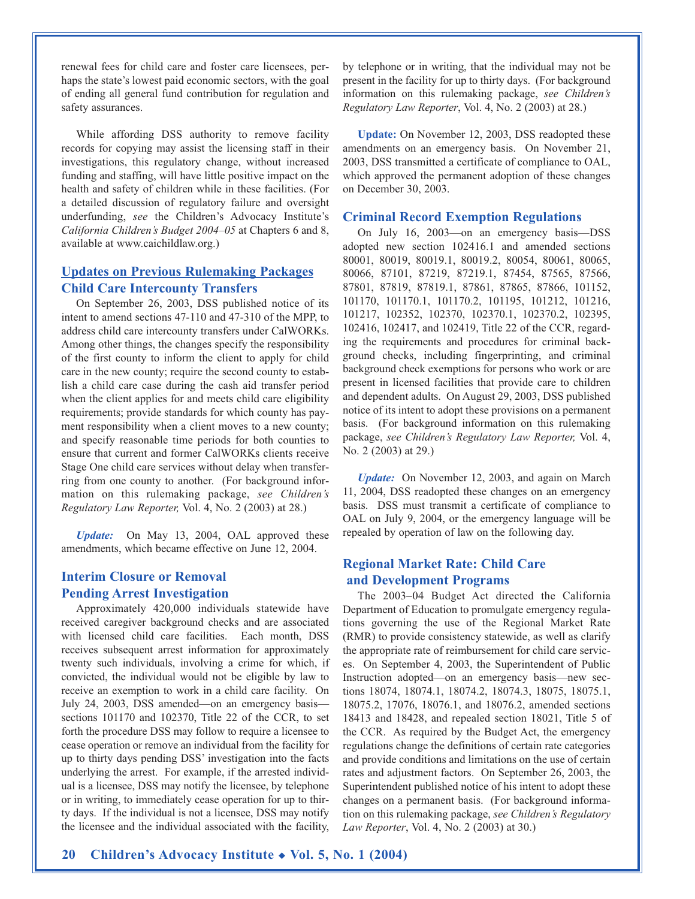renewal fees for child care and foster care licensees, perhaps the state's lowest paid economic sectors, with the goal of ending all general fund contribution for regulation and safety assurances.

While affording DSS authority to remove facility records for copying may assist the licensing staff in their investigations, this regulatory change, without increased funding and staffing, will have little positive impact on the health and safety of children while in these facilities. (For a detailed discussion of regulatory failure and oversight underfunding, *see* the Children's Advocacy Institute's *California Children's Budget 2004–05* at Chapters 6 and 8, available at www.caichildlaw.org.)

### **Updates on Previous Rulemaking Packages Child Care Intercounty Transfers**

On September 26, 2003, DSS published notice of its intent to amend sections 47-110 and 47-310 of the MPP, to address child care intercounty transfers under CalWORKs. Among other things, the changes specify the responsibility of the first county to inform the client to apply for child care in the new county; require the second county to establish a child care case during the cash aid transfer period when the client applies for and meets child care eligibility requirements; provide standards for which county has payment responsibility when a client moves to a new county; and specify reasonable time periods for both counties to ensure that current and former CalWORKs clients receive Stage One child care services without delay when transferring from one county to another. (For background information on this rulemaking package, *see Children's Regulatory Law Reporter,* Vol. 4, No. 2 (2003) at 28.)

*Update:* On May 13, 2004, OAL approved these amendments, which became effective on June 12, 2004.

#### **Interim Closure or Removal Pending Arrest Investigation**

Approximately 420,000 individuals statewide have received caregiver background checks and are associated with licensed child care facilities. Each month, DSS receives subsequent arrest information for approximately twenty such individuals, involving a crime for which, if convicted, the individual would not be eligible by law to receive an exemption to work in a child care facility. On July 24, 2003, DSS amended—on an emergency basis sections 101170 and 102370, Title 22 of the CCR, to set forth the procedure DSS may follow to require a licensee to cease operation or remove an individual from the facility for up to thirty days pending DSS' investigation into the facts underlying the arrest. For example, if the arrested individual is a licensee, DSS may notify the licensee, by telephone or in writing, to immediately cease operation for up to thirty days. If the individual is not a licensee, DSS may notify the licensee and the individual associated with the facility, by telephone or in writing, that the individual may not be present in the facility for up to thirty days. (For background information on this rulemaking package, *see Children's Regulatory Law Reporter*, Vol. 4, No. 2 (2003) at 28.)

**Update:** On November 12, 2003, DSS readopted these amendments on an emergency basis. On November 21, 2003, DSS transmitted a certificate of compliance to OAL, which approved the permanent adoption of these changes on December 30, 2003.

#### **Criminal Record Exemption Regulations**

On July 16, 2003—on an emergency basis—DSS adopted new section 102416.1 and amended sections 80001, 80019, 80019.1, 80019.2, 80054, 80061, 80065, 80066, 87101, 87219, 87219.1, 87454, 87565, 87566, 87801, 87819, 87819.1, 87861, 87865, 87866, 101152, 101170, 101170.1, 101170.2, 101195, 101212, 101216, 101217, 102352, 102370, 102370.1, 102370.2, 102395, 102416, 102417, and 102419, Title 22 of the CCR, regarding the requirements and procedures for criminal background checks, including fingerprinting, and criminal background check exemptions for persons who work or are present in licensed facilities that provide care to children and dependent adults. On August 29, 2003, DSS published notice of its intent to adopt these provisions on a permanent basis. (For background information on this rulemaking package, *see Children's Regulatory Law Reporter,* Vol. 4, No. 2 (2003) at 29.)

*Update:* On November 12, 2003, and again on March 11, 2004, DSS readopted these changes on an emergency basis. DSS must transmit a certificate of compliance to OAL on July 9, 2004, or the emergency language will be repealed by operation of law on the following day.

#### **Regional Market Rate: Child Care and Development Programs**

The 2003–04 Budget Act directed the California Department of Education to promulgate emergency regulations governing the use of the Regional Market Rate (RMR) to provide consistency statewide, as well as clarify the appropriate rate of reimbursement for child care services. On September 4, 2003, the Superintendent of Public Instruction adopted—on an emergency basis—new sections 18074, 18074.1, 18074.2, 18074.3, 18075, 18075.1, 18075.2, 17076, 18076.1, and 18076.2, amended sections 18413 and 18428, and repealed section 18021, Title 5 of the CCR. As required by the Budget Act, the emergency regulations change the definitions of certain rate categories and provide conditions and limitations on the use of certain rates and adjustment factors. On September 26, 2003, the Superintendent published notice of his intent to adopt these changes on a permanent basis. (For background information on this rulemaking package, *see Children's Regulatory Law Reporter*, Vol. 4, No. 2 (2003) at 30.)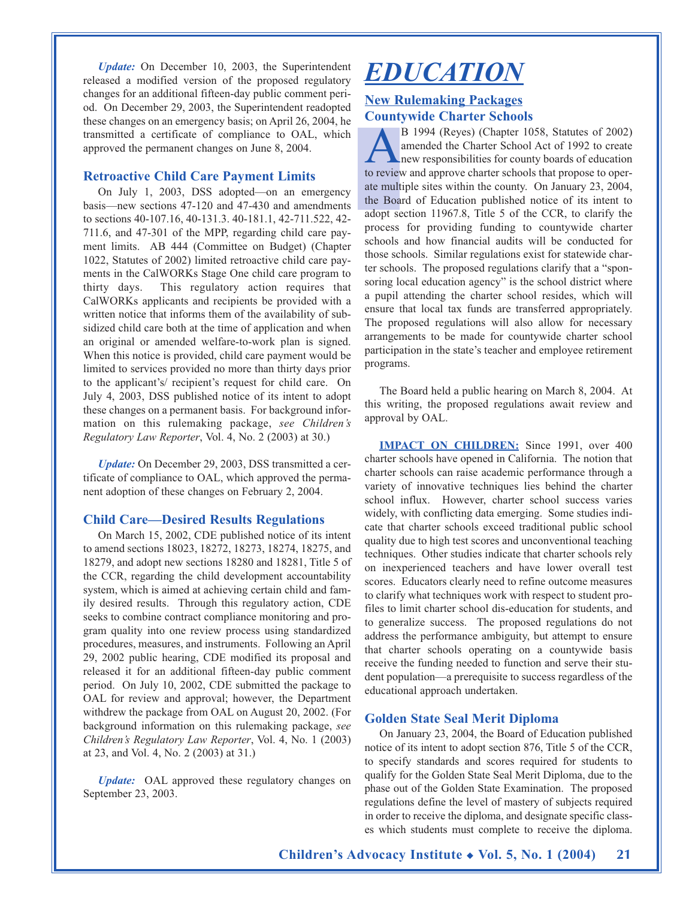*Update:* On December 10, 2003, the Superintendent released a modified version of the proposed regulatory changes for an additional fifteen-day public comment period. On December 29, 2003, the Superintendent readopted these changes on an emergency basis; on April 26, 2004, he transmitted a certificate of compliance to OAL, which approved the permanent changes on June 8, 2004.

#### **Retroactive Child Care Payment Limits**

On July 1, 2003, DSS adopted—on an emergency basis—new sections 47-120 and 47-430 and amendments to sections 40-107.16, 40-131.3. 40-181.1, 42-711.522, 42- 711.6, and 47-301 of the MPP, regarding child care payment limits. AB 444 (Committee on Budget) (Chapter 1022, Statutes of 2002) limited retroactive child care payments in the CalWORKs Stage One child care program to thirty days. This regulatory action requires that CalWORKs applicants and recipients be provided with a written notice that informs them of the availability of subsidized child care both at the time of application and when an original or amended welfare-to-work plan is signed. When this notice is provided, child care payment would be limited to services provided no more than thirty days prior to the applicant's/ recipient's request for child care. On July 4, 2003, DSS published notice of its intent to adopt these changes on a permanent basis. For background information on this rulemaking package, *see Children's Regulatory Law Reporter*, Vol. 4, No. 2 (2003) at 30.)

*Update:* On December 29, 2003, DSS transmitted a certificate of compliance to OAL, which approved the permanent adoption of these changes on February 2, 2004.

#### **Child Care—Desired Results Regulations**

On March 15, 2002, CDE published notice of its intent to amend sections 18023, 18272, 18273, 18274, 18275, and 18279, and adopt new sections 18280 and 18281, Title 5 of the CCR, regarding the child development accountability system, which is aimed at achieving certain child and family desired results. Through this regulatory action, CDE seeks to combine contract compliance monitoring and program quality into one review process using standardized procedures, measures, and instruments. Following an April 29, 2002 public hearing, CDE modified its proposal and released it for an additional fifteen-day public comment period. On July 10, 2002, CDE submitted the package to OAL for review and approval; however, the Department withdrew the package from OAL on August 20, 2002. (For background information on this rulemaking package, *see Children's Regulatory Law Reporter*, Vol. 4, No. 1 (2003) at 23, and Vol. 4, No. 2 (2003) at 31.)

*Update:* OAL approved these regulatory changes on September 23, 2003.

## *EDUCATION*

## **New Rulemaking Packages Countywide Charter Schools**

AB 1994 (Reyes) (Chapter 1058, Statutes of 2002) amended the Charter School Act of 1992 to create new responsibilities for county boards of education to review and approve charter schools that propose to operate multiple sites within the county. On January 23, 2004, the Board of Education published notice of its intent to adopt section 11967.8, Title 5 of the CCR, to clarify the process for providing funding to countywide charter schools and how financial audits will be conducted for those schools. Similar regulations exist for statewide charter schools. The proposed regulations clarify that a "sponsoring local education agency" is the school district where a pupil attending the charter school resides, which will ensure that local tax funds are transferred appropriately. The proposed regulations will also allow for necessary arrangements to be made for countywide charter school participation in the state's teacher and employee retirement programs.

The Board held a public hearing on March 8, 2004. At this writing, the proposed regulations await review and approval by OAL.

**IMPACT ON CHILDREN:** Since 1991, over 400 charter schools have opened in California. The notion that charter schools can raise academic performance through a variety of innovative techniques lies behind the charter school influx. However, charter school success varies widely, with conflicting data emerging. Some studies indicate that charter schools exceed traditional public school quality due to high test scores and unconventional teaching techniques. Other studies indicate that charter schools rely on inexperienced teachers and have lower overall test scores. Educators clearly need to refine outcome measures to clarify what techniques work with respect to student profiles to limit charter school dis-education for students, and to generalize success. The proposed regulations do not address the performance ambiguity, but attempt to ensure that charter schools operating on a countywide basis receive the funding needed to function and serve their student population—a prerequisite to success regardless of the educational approach undertaken.

#### **Golden State Seal Merit Diploma**

On January 23, 2004, the Board of Education published notice of its intent to adopt section 876, Title 5 of the CCR, to specify standards and scores required for students to qualify for the Golden State Seal Merit Diploma, due to the phase out of the Golden State Examination. The proposed regulations define the level of mastery of subjects required in order to receive the diploma, and designate specific classes which students must complete to receive the diploma.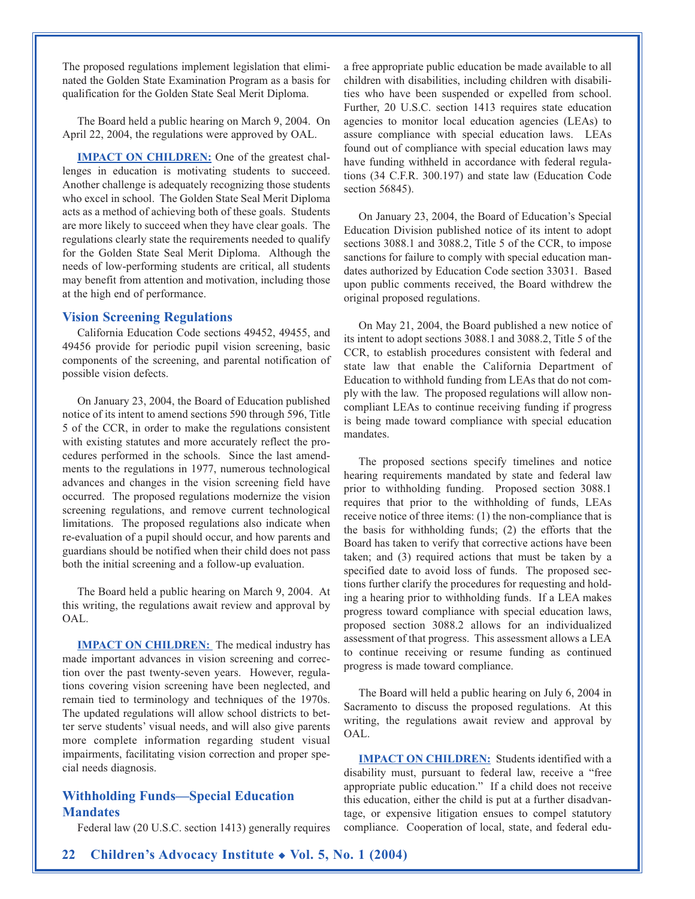The proposed regulations implement legislation that eliminated the Golden State Examination Program as a basis for qualification for the Golden State Seal Merit Diploma.

The Board held a public hearing on March 9, 2004. On April 22, 2004, the regulations were approved by OAL.

**IMPACT ON CHILDREN:** One of the greatest challenges in education is motivating students to succeed. Another challenge is adequately recognizing those students who excel in school. The Golden State Seal Merit Diploma acts as a method of achieving both of these goals. Students are more likely to succeed when they have clear goals. The regulations clearly state the requirements needed to qualify for the Golden State Seal Merit Diploma. Although the needs of low-performing students are critical, all students may benefit from attention and motivation, including those at the high end of performance.

#### **Vision Screening Regulations**

California Education Code sections 49452, 49455, and 49456 provide for periodic pupil vision screening, basic components of the screening, and parental notification of possible vision defects.

On January 23, 2004, the Board of Education published notice of its intent to amend sections 590 through 596, Title 5 of the CCR, in order to make the regulations consistent with existing statutes and more accurately reflect the procedures performed in the schools. Since the last amendments to the regulations in 1977, numerous technological advances and changes in the vision screening field have occurred. The proposed regulations modernize the vision screening regulations, and remove current technological limitations. The proposed regulations also indicate when re-evaluation of a pupil should occur, and how parents and guardians should be notified when their child does not pass both the initial screening and a follow-up evaluation.

The Board held a public hearing on March 9, 2004. At this writing, the regulations await review and approval by OAL.

**IMPACT ON CHILDREN:** The medical industry has made important advances in vision screening and correction over the past twenty-seven years. However, regulations covering vision screening have been neglected, and remain tied to terminology and techniques of the 1970s. The updated regulations will allow school districts to better serve students' visual needs, and will also give parents more complete information regarding student visual impairments, facilitating vision correction and proper special needs diagnosis.

#### **Withholding Funds—Special Education Mandates**

Federal law (20 U.S.C. section 1413) generally requires

a free appropriate public education be made available to all children with disabilities, including children with disabilities who have been suspended or expelled from school. Further, 20 U.S.C. section 1413 requires state education agencies to monitor local education agencies (LEAs) to assure compliance with special education laws. LEAs found out of compliance with special education laws may have funding withheld in accordance with federal regulations (34 C.F.R. 300.197) and state law (Education Code section 56845).

On January 23, 2004, the Board of Education's Special Education Division published notice of its intent to adopt sections 3088.1 and 3088.2, Title 5 of the CCR, to impose sanctions for failure to comply with special education mandates authorized by Education Code section 33031. Based upon public comments received, the Board withdrew the original proposed regulations.

On May 21, 2004, the Board published a new notice of its intent to adopt sections 3088.1 and 3088.2, Title 5 of the CCR, to establish procedures consistent with federal and state law that enable the California Department of Education to withhold funding from LEAs that do not comply with the law. The proposed regulations will allow noncompliant LEAs to continue receiving funding if progress is being made toward compliance with special education mandates.

The proposed sections specify timelines and notice hearing requirements mandated by state and federal law prior to withholding funding. Proposed section 3088.1 requires that prior to the withholding of funds, LEAs receive notice of three items: (1) the non-compliance that is the basis for withholding funds; (2) the efforts that the Board has taken to verify that corrective actions have been taken; and (3) required actions that must be taken by a specified date to avoid loss of funds. The proposed sections further clarify the procedures for requesting and holding a hearing prior to withholding funds. If a LEA makes progress toward compliance with special education laws, proposed section 3088.2 allows for an individualized assessment of that progress. This assessment allows a LEA to continue receiving or resume funding as continued progress is made toward compliance.

The Board will held a public hearing on July 6, 2004 in Sacramento to discuss the proposed regulations. At this writing, the regulations await review and approval by OAL.

**IMPACT ON CHILDREN:** Students identified with a disability must, pursuant to federal law, receive a "free appropriate public education." If a child does not receive this education, either the child is put at a further disadvantage, or expensive litigation ensues to compel statutory compliance. Cooperation of local, state, and federal edu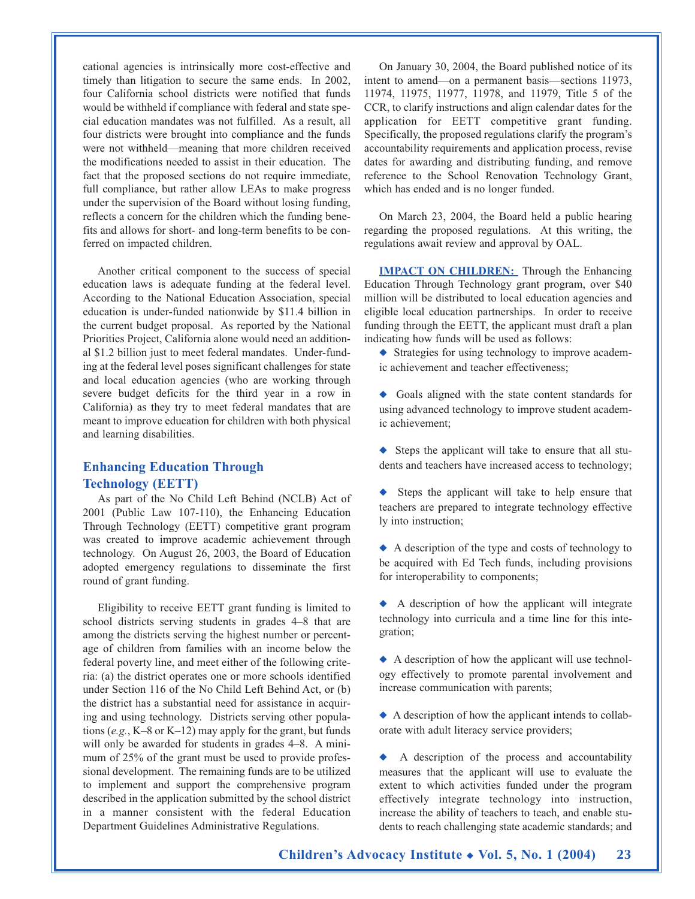cational agencies is intrinsically more cost-effective and timely than litigation to secure the same ends. In 2002, four California school districts were notified that funds would be withheld if compliance with federal and state special education mandates was not fulfilled. As a result, all four districts were brought into compliance and the funds were not withheld—meaning that more children received the modifications needed to assist in their education. The fact that the proposed sections do not require immediate, full compliance, but rather allow LEAs to make progress under the supervision of the Board without losing funding, reflects a concern for the children which the funding benefits and allows for short- and long-term benefits to be conferred on impacted children.

Another critical component to the success of special education laws is adequate funding at the federal level. According to the National Education Association, special education is under-funded nationwide by \$11.4 billion in the current budget proposal. As reported by the National Priorities Project, California alone would need an additional \$1.2 billion just to meet federal mandates. Under-funding at the federal level poses significant challenges for state and local education agencies (who are working through severe budget deficits for the third year in a row in California) as they try to meet federal mandates that are meant to improve education for children with both physical and learning disabilities.

#### **Enhancing Education Through Technology (EETT)**

As part of the No Child Left Behind (NCLB) Act of 2001 (Public Law 107-110), the Enhancing Education Through Technology (EETT) competitive grant program was created to improve academic achievement through technology. On August 26, 2003, the Board of Education adopted emergency regulations to disseminate the first round of grant funding.

Eligibility to receive EETT grant funding is limited to school districts serving students in grades 4–8 that are among the districts serving the highest number or percentage of children from families with an income below the federal poverty line, and meet either of the following criteria: (a) the district operates one or more schools identified under Section 116 of the No Child Left Behind Act, or (b) the district has a substantial need for assistance in acquiring and using technology. Districts serving other populations (*e.g.*, K–8 or K–12) may apply for the grant, but funds will only be awarded for students in grades  $4-8$ . A minimum of 25% of the grant must be used to provide professional development. The remaining funds are to be utilized to implement and support the comprehensive program described in the application submitted by the school district in a manner consistent with the federal Education Department Guidelines Administrative Regulations.

On January 30, 2004, the Board published notice of its intent to amend—on a permanent basis—sections 11973, 11974, 11975, 11977, 11978, and 11979, Title 5 of the CCR, to clarify instructions and align calendar dates for the application for EETT competitive grant funding. Specifically, the proposed regulations clarify the program's accountability requirements and application process, revise dates for awarding and distributing funding, and remove reference to the School Renovation Technology Grant, which has ended and is no longer funded.

On March 23, 2004, the Board held a public hearing regarding the proposed regulations. At this writing, the regulations await review and approval by OAL.

**IMPACT ON CHILDREN:** Through the Enhancing Education Through Technology grant program, over \$40 million will be distributed to local education agencies and eligible local education partnerships. In order to receive funding through the EETT, the applicant must draft a plan indicating how funds will be used as follows:

◆ Strategies for using technology to improve academic achievement and teacher effectiveness;

- ◆ Goals aligned with the state content standards for using advanced technology to improve student academic achievement;
- ◆ Steps the applicant will take to ensure that all students and teachers have increased access to technology;
- ◆ Steps the applicant will take to help ensure that teachers are prepared to integrate technology effective ly into instruction;
- ◆ A description of the type and costs of technology to be acquired with Ed Tech funds, including provisions for interoperability to components;
- ◆ A description of how the applicant will integrate technology into curricula and a time line for this integration;
- ◆ A description of how the applicant will use technology effectively to promote parental involvement and increase communication with parents;
- ◆ A description of how the applicant intends to collaborate with adult literacy service providers;
- ◆ A description of the process and accountability measures that the applicant will use to evaluate the extent to which activities funded under the program effectively integrate technology into instruction, increase the ability of teachers to teach, and enable students to reach challenging state academic standards; and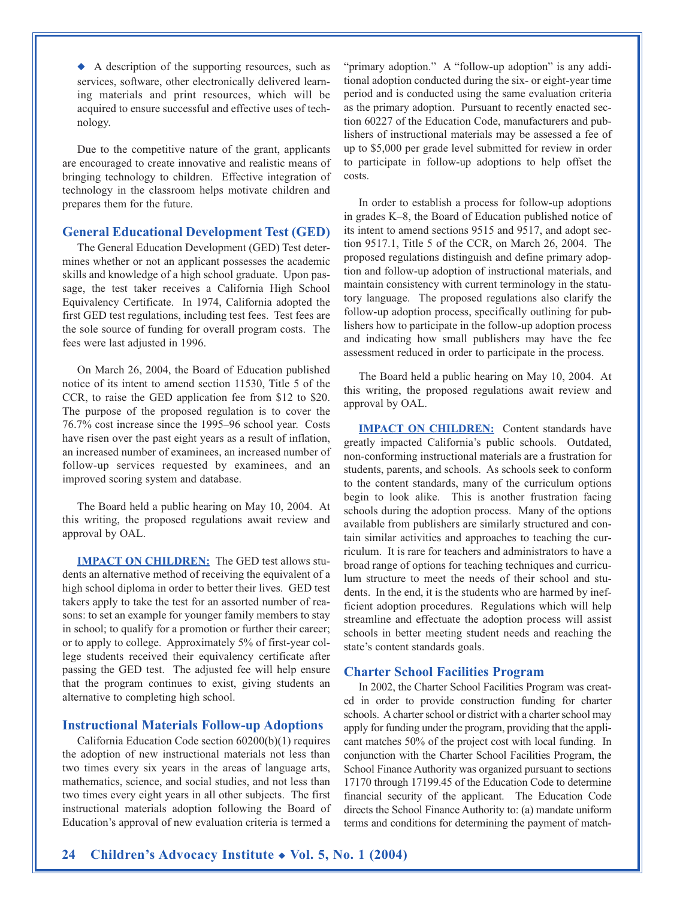◆ A description of the supporting resources, such as services, software, other electronically delivered learning materials and print resources, which will be acquired to ensure successful and effective uses of technology.

Due to the competitive nature of the grant, applicants are encouraged to create innovative and realistic means of bringing technology to children. Effective integration of technology in the classroom helps motivate children and prepares them for the future.

#### **General Educational Development Test (GED)**

The General Education Development (GED) Test determines whether or not an applicant possesses the academic skills and knowledge of a high school graduate. Upon passage, the test taker receives a California High School Equivalency Certificate. In 1974, California adopted the first GED test regulations, including test fees. Test fees are the sole source of funding for overall program costs. The fees were last adjusted in 1996.

On March 26, 2004, the Board of Education published notice of its intent to amend section 11530, Title 5 of the CCR, to raise the GED application fee from \$12 to \$20. The purpose of the proposed regulation is to cover the 76.7% cost increase since the 1995–96 school year. Costs have risen over the past eight years as a result of inflation, an increased number of examinees, an increased number of follow-up services requested by examinees, and an improved scoring system and database.

The Board held a public hearing on May 10, 2004. At this writing, the proposed regulations await review and approval by OAL.

**IMPACT ON CHILDREN:** The GED test allows students an alternative method of receiving the equivalent of a high school diploma in order to better their lives. GED test takers apply to take the test for an assorted number of reasons: to set an example for younger family members to stay in school; to qualify for a promotion or further their career; or to apply to college. Approximately 5% of first-year college students received their equivalency certificate after passing the GED test. The adjusted fee will help ensure that the program continues to exist, giving students an alternative to completing high school.

#### **Instructional Materials Follow-up Adoptions**

California Education Code section 60200(b)(1) requires the adoption of new instructional materials not less than two times every six years in the areas of language arts, mathematics, science, and social studies, and not less than two times every eight years in all other subjects. The first instructional materials adoption following the Board of Education's approval of new evaluation criteria is termed a

"primary adoption." A "follow-up adoption" is any additional adoption conducted during the six- or eight-year time period and is conducted using the same evaluation criteria as the primary adoption. Pursuant to recently enacted section 60227 of the Education Code, manufacturers and publishers of instructional materials may be assessed a fee of up to \$5,000 per grade level submitted for review in order to participate in follow-up adoptions to help offset the costs.

In order to establish a process for follow-up adoptions in grades K–8, the Board of Education published notice of its intent to amend sections 9515 and 9517, and adopt section 9517.1, Title 5 of the CCR, on March 26, 2004. The proposed regulations distinguish and define primary adoption and follow-up adoption of instructional materials, and maintain consistency with current terminology in the statutory language. The proposed regulations also clarify the follow-up adoption process, specifically outlining for publishers how to participate in the follow-up adoption process and indicating how small publishers may have the fee assessment reduced in order to participate in the process.

The Board held a public hearing on May 10, 2004. At this writing, the proposed regulations await review and approval by OAL.

**IMPACT ON CHILDREN:** Content standards have greatly impacted California's public schools. Outdated, non-conforming instructional materials are a frustration for students, parents, and schools. As schools seek to conform to the content standards, many of the curriculum options begin to look alike. This is another frustration facing schools during the adoption process. Many of the options available from publishers are similarly structured and contain similar activities and approaches to teaching the curriculum. It is rare for teachers and administrators to have a broad range of options for teaching techniques and curriculum structure to meet the needs of their school and students. In the end, it is the students who are harmed by inefficient adoption procedures. Regulations which will help streamline and effectuate the adoption process will assist schools in better meeting student needs and reaching the state's content standards goals.

#### **Charter School Facilities Program**

In 2002, the Charter School Facilities Program was created in order to provide construction funding for charter schools. A charter school or district with a charter school may apply for funding under the program, providing that the applicant matches 50% of the project cost with local funding. In conjunction with the Charter School Facilities Program, the School Finance Authority was organized pursuant to sections 17170 through 17199.45 of the Education Code to determine financial security of the applicant. The Education Code directs the School Finance Authority to: (a) mandate uniform terms and conditions for determining the payment of match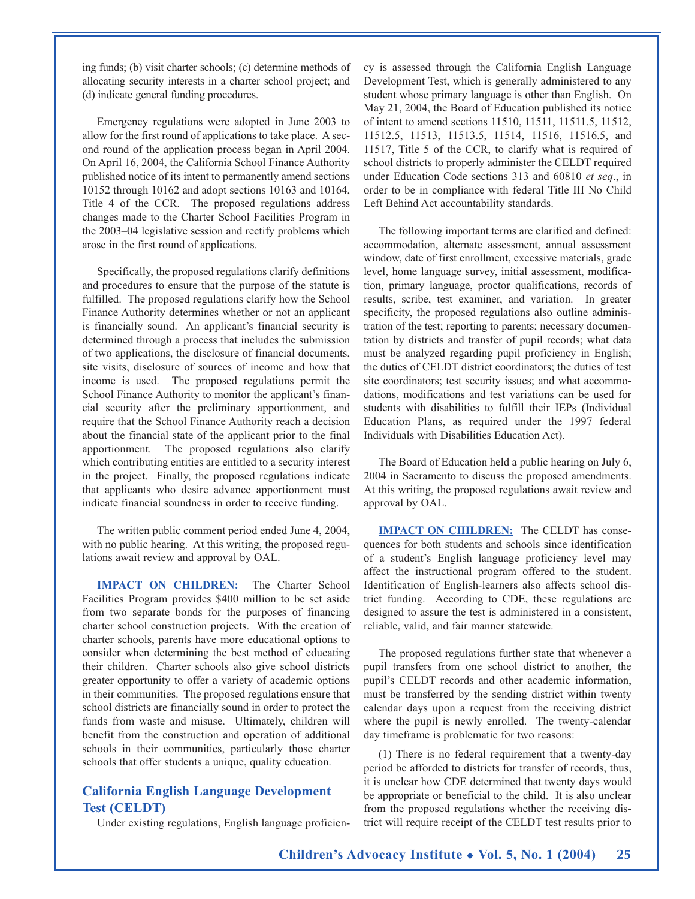ing funds; (b) visit charter schools; (c) determine methods of allocating security interests in a charter school project; and (d) indicate general funding procedures.

Emergency regulations were adopted in June 2003 to allow for the first round of applications to take place. A second round of the application process began in April 2004. On April 16, 2004, the California School Finance Authority published notice of its intent to permanently amend sections 10152 through 10162 and adopt sections 10163 and 10164, Title 4 of the CCR. The proposed regulations address changes made to the Charter School Facilities Program in the 2003–04 legislative session and rectify problems which arose in the first round of applications.

Specifically, the proposed regulations clarify definitions and procedures to ensure that the purpose of the statute is fulfilled. The proposed regulations clarify how the School Finance Authority determines whether or not an applicant is financially sound. An applicant's financial security is determined through a process that includes the submission of two applications, the disclosure of financial documents, site visits, disclosure of sources of income and how that income is used. The proposed regulations permit the School Finance Authority to monitor the applicant's financial security after the preliminary apportionment, and require that the School Finance Authority reach a decision about the financial state of the applicant prior to the final apportionment. The proposed regulations also clarify which contributing entities are entitled to a security interest in the project. Finally, the proposed regulations indicate that applicants who desire advance apportionment must indicate financial soundness in order to receive funding.

The written public comment period ended June 4, 2004, with no public hearing. At this writing, the proposed regulations await review and approval by OAL.

**IMPACT ON CHILDREN:** The Charter School Facilities Program provides \$400 million to be set aside from two separate bonds for the purposes of financing charter school construction projects. With the creation of charter schools, parents have more educational options to consider when determining the best method of educating their children. Charter schools also give school districts greater opportunity to offer a variety of academic options in their communities. The proposed regulations ensure that school districts are financially sound in order to protect the funds from waste and misuse. Ultimately, children will benefit from the construction and operation of additional schools in their communities, particularly those charter schools that offer students a unique, quality education.

#### **California English Language Development Test (CELDT)**

Under existing regulations, English language proficien-

cy is assessed through the California English Language Development Test, which is generally administered to any student whose primary language is other than English. On May 21, 2004, the Board of Education published its notice of intent to amend sections 11510, 11511, 11511.5, 11512, 11512.5, 11513, 11513.5, 11514, 11516, 11516.5, and 11517, Title 5 of the CCR, to clarify what is required of school districts to properly administer the CELDT required under Education Code sections 313 and 60810 *et seq*., in order to be in compliance with federal Title III No Child Left Behind Act accountability standards.

The following important terms are clarified and defined: accommodation, alternate assessment, annual assessment window, date of first enrollment, excessive materials, grade level, home language survey, initial assessment, modification, primary language, proctor qualifications, records of results, scribe, test examiner, and variation. In greater specificity, the proposed regulations also outline administration of the test; reporting to parents; necessary documentation by districts and transfer of pupil records; what data must be analyzed regarding pupil proficiency in English; the duties of CELDT district coordinators; the duties of test site coordinators; test security issues; and what accommodations, modifications and test variations can be used for students with disabilities to fulfill their IEPs (Individual Education Plans, as required under the 1997 federal Individuals with Disabilities Education Act).

The Board of Education held a public hearing on July 6, 2004 in Sacramento to discuss the proposed amendments. At this writing, the proposed regulations await review and approval by OAL.

**IMPACT ON CHILDREN:** The CELDT has consequences for both students and schools since identification of a student's English language proficiency level may affect the instructional program offered to the student. Identification of English-learners also affects school district funding. According to CDE, these regulations are designed to assure the test is administered in a consistent, reliable, valid, and fair manner statewide.

The proposed regulations further state that whenever a pupil transfers from one school district to another, the pupil's CELDT records and other academic information, must be transferred by the sending district within twenty calendar days upon a request from the receiving district where the pupil is newly enrolled. The twenty-calendar day timeframe is problematic for two reasons:

(1) There is no federal requirement that a twenty-day period be afforded to districts for transfer of records, thus, it is unclear how CDE determined that twenty days would be appropriate or beneficial to the child. It is also unclear from the proposed regulations whether the receiving district will require receipt of the CELDT test results prior to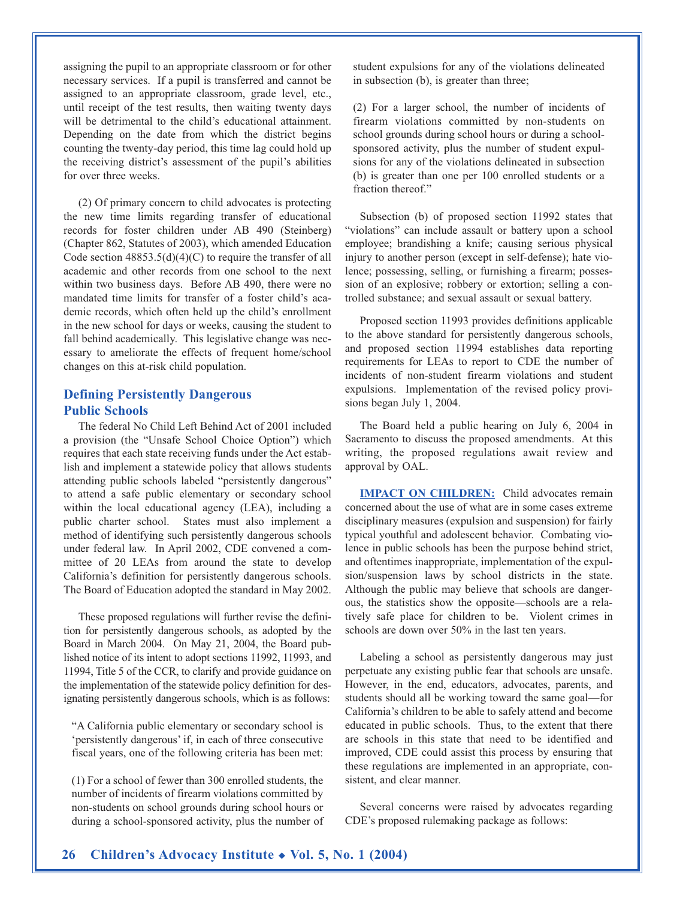assigning the pupil to an appropriate classroom or for other necessary services. If a pupil is transferred and cannot be assigned to an appropriate classroom, grade level, etc., until receipt of the test results, then waiting twenty days will be detrimental to the child's educational attainment. Depending on the date from which the district begins counting the twenty-day period, this time lag could hold up the receiving district's assessment of the pupil's abilities for over three weeks.

(2) Of primary concern to child advocates is protecting the new time limits regarding transfer of educational records for foster children under AB 490 (Steinberg) (Chapter 862, Statutes of 2003), which amended Education Code section  $48853.5(d)(4)(C)$  to require the transfer of all academic and other records from one school to the next within two business days. Before AB 490, there were no mandated time limits for transfer of a foster child's academic records, which often held up the child's enrollment in the new school for days or weeks, causing the student to fall behind academically. This legislative change was necessary to ameliorate the effects of frequent home/school changes on this at-risk child population.

### **Defining Persistently Dangerous Public Schools**

The federal No Child Left Behind Act of 2001 included a provision (the "Unsafe School Choice Option") which requires that each state receiving funds under the Act establish and implement a statewide policy that allows students attending public schools labeled "persistently dangerous" to attend a safe public elementary or secondary school within the local educational agency (LEA), including a public charter school. States must also implement a method of identifying such persistently dangerous schools under federal law. In April 2002, CDE convened a committee of 20 LEAs from around the state to develop California's definition for persistently dangerous schools. The Board of Education adopted the standard in May 2002.

These proposed regulations will further revise the definition for persistently dangerous schools, as adopted by the Board in March 2004. On May 21, 2004, the Board published notice of its intent to adopt sections 11992, 11993, and 11994, Title 5 of the CCR, to clarify and provide guidance on the implementation of the statewide policy definition for designating persistently dangerous schools, which is as follows:

"A California public elementary or secondary school is 'persistently dangerous' if, in each of three consecutive fiscal years, one of the following criteria has been met:

(1) For a school of fewer than 300 enrolled students, the number of incidents of firearm violations committed by non-students on school grounds during school hours or during a school-sponsored activity, plus the number of student expulsions for any of the violations delineated in subsection (b), is greater than three;

(2) For a larger school, the number of incidents of firearm violations committed by non-students on school grounds during school hours or during a schoolsponsored activity, plus the number of student expulsions for any of the violations delineated in subsection (b) is greater than one per 100 enrolled students or a fraction thereof."

Subsection (b) of proposed section 11992 states that "violations" can include assault or battery upon a school employee; brandishing a knife; causing serious physical injury to another person (except in self-defense); hate violence; possessing, selling, or furnishing a firearm; possession of an explosive; robbery or extortion; selling a controlled substance; and sexual assault or sexual battery.

Proposed section 11993 provides definitions applicable to the above standard for persistently dangerous schools, and proposed section 11994 establishes data reporting requirements for LEAs to report to CDE the number of incidents of non-student firearm violations and student expulsions. Implementation of the revised policy provisions began July 1, 2004.

The Board held a public hearing on July 6, 2004 in Sacramento to discuss the proposed amendments. At this writing, the proposed regulations await review and approval by OAL.

**IMPACT ON CHILDREN:** Child advocates remain concerned about the use of what are in some cases extreme disciplinary measures (expulsion and suspension) for fairly typical youthful and adolescent behavior. Combating violence in public schools has been the purpose behind strict, and oftentimes inappropriate, implementation of the expulsion/suspension laws by school districts in the state. Although the public may believe that schools are dangerous, the statistics show the opposite—schools are a relatively safe place for children to be. Violent crimes in schools are down over 50% in the last ten years.

Labeling a school as persistently dangerous may just perpetuate any existing public fear that schools are unsafe. However, in the end, educators, advocates, parents, and students should all be working toward the same goal—for California's children to be able to safely attend and become educated in public schools. Thus, to the extent that there are schools in this state that need to be identified and improved, CDE could assist this process by ensuring that these regulations are implemented in an appropriate, consistent, and clear manner.

Several concerns were raised by advocates regarding CDE's proposed rulemaking package as follows: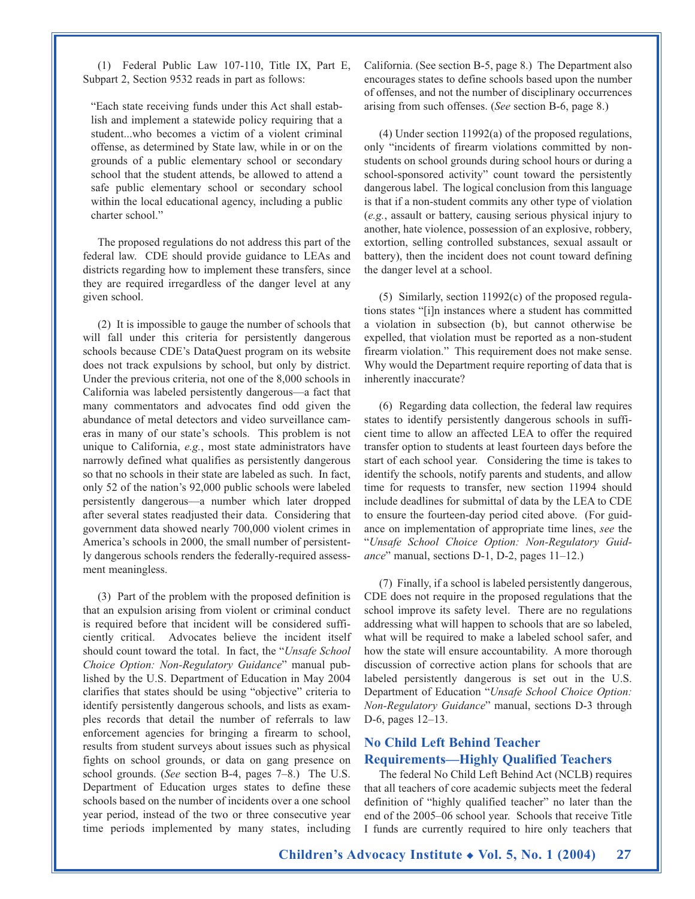(1) Federal Public Law 107-110, Title IX, Part E, Subpart 2, Section 9532 reads in part as follows:

"Each state receiving funds under this Act shall establish and implement a statewide policy requiring that a student...who becomes a victim of a violent criminal offense, as determined by State law, while in or on the grounds of a public elementary school or secondary school that the student attends, be allowed to attend a safe public elementary school or secondary school within the local educational agency, including a public charter school."

The proposed regulations do not address this part of the federal law. CDE should provide guidance to LEAs and districts regarding how to implement these transfers, since they are required irregardless of the danger level at any given school.

(2) It is impossible to gauge the number of schools that will fall under this criteria for persistently dangerous schools because CDE's DataQuest program on its website does not track expulsions by school, but only by district. Under the previous criteria, not one of the 8,000 schools in California was labeled persistently dangerous—a fact that many commentators and advocates find odd given the abundance of metal detectors and video surveillance cameras in many of our state's schools. This problem is not unique to California, *e.g.*, most state administrators have narrowly defined what qualifies as persistently dangerous so that no schools in their state are labeled as such. In fact, only 52 of the nation's 92,000 public schools were labeled persistently dangerous—a number which later dropped after several states readjusted their data. Considering that government data showed nearly 700,000 violent crimes in America's schools in 2000, the small number of persistently dangerous schools renders the federally-required assessment meaningless.

(3) Part of the problem with the proposed definition is that an expulsion arising from violent or criminal conduct is required before that incident will be considered sufficiently critical. Advocates believe the incident itself should count toward the total. In fact, the "*Unsafe School Choice Option: Non-Regulatory Guidance*" manual published by the U.S. Department of Education in May 2004 clarifies that states should be using "objective" criteria to identify persistently dangerous schools, and lists as examples records that detail the number of referrals to law enforcement agencies for bringing a firearm to school, results from student surveys about issues such as physical fights on school grounds, or data on gang presence on school grounds. (*See* section B-4, pages 7–8.) The U.S. Department of Education urges states to define these schools based on the number of incidents over a one school year period, instead of the two or three consecutive year time periods implemented by many states, including California. (See section B-5, page 8.) The Department also encourages states to define schools based upon the number of offenses, and not the number of disciplinary occurrences arising from such offenses. (*See* section B-6, page 8.)

(4) Under section 11992(a) of the proposed regulations, only "incidents of firearm violations committed by nonstudents on school grounds during school hours or during a school-sponsored activity" count toward the persistently dangerous label. The logical conclusion from this language is that if a non-student commits any other type of violation (*e.g.*, assault or battery, causing serious physical injury to another, hate violence, possession of an explosive, robbery, extortion, selling controlled substances, sexual assault or battery), then the incident does not count toward defining the danger level at a school.

(5) Similarly, section 11992(c) of the proposed regulations states "[i]n instances where a student has committed a violation in subsection (b), but cannot otherwise be expelled, that violation must be reported as a non-student firearm violation." This requirement does not make sense. Why would the Department require reporting of data that is inherently inaccurate?

(6) Regarding data collection, the federal law requires states to identify persistently dangerous schools in sufficient time to allow an affected LEA to offer the required transfer option to students at least fourteen days before the start of each school year. Considering the time is takes to identify the schools, notify parents and students, and allow time for requests to transfer, new section 11994 should include deadlines for submittal of data by the LEA to CDE to ensure the fourteen-day period cited above. (For guidance on implementation of appropriate time lines, *see* the "*Unsafe School Choice Option: Non-Regulatory Guidance*" manual, sections D-1, D-2, pages 11–12.)

(7) Finally, if a school is labeled persistently dangerous, CDE does not require in the proposed regulations that the school improve its safety level. There are no regulations addressing what will happen to schools that are so labeled, what will be required to make a labeled school safer, and how the state will ensure accountability. A more thorough discussion of corrective action plans for schools that are labeled persistently dangerous is set out in the U.S. Department of Education "*Unsafe School Choice Option: Non-Regulatory Guidance*" manual, sections D-3 through D-6, pages 12–13.

## **No Child Left Behind Teacher Requirements—Highly Qualified Teachers**

The federal No Child Left Behind Act (NCLB) requires that all teachers of core academic subjects meet the federal definition of "highly qualified teacher" no later than the end of the 2005–06 school year. Schools that receive Title I funds are currently required to hire only teachers that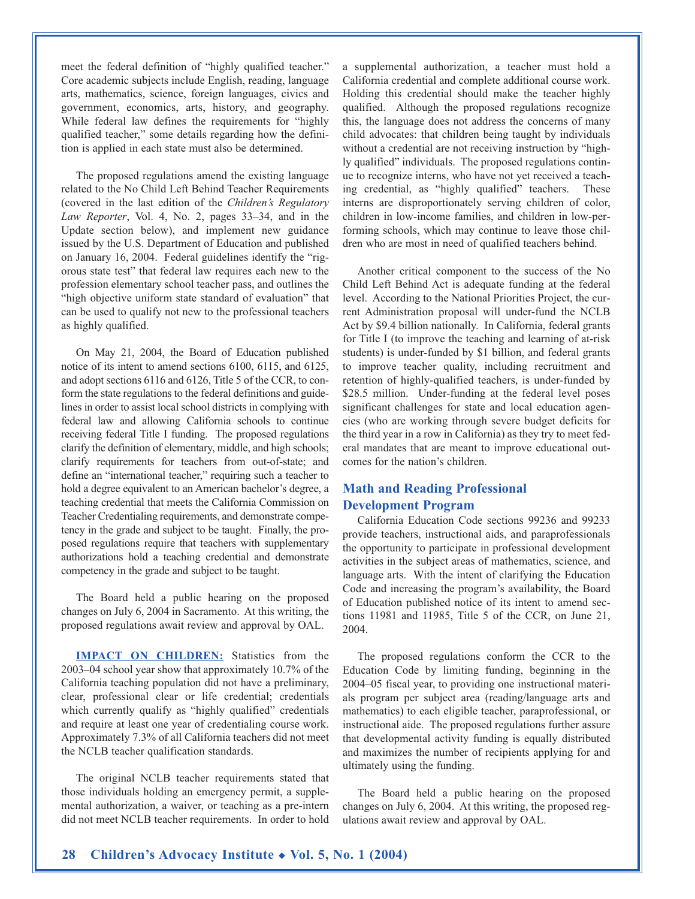meet the federal definition of "highly qualified teacher." Core academic subjects include English, reading, language arts, mathematics, science, foreign languages, civics and government, economics, arts, history, and geography. While federal law defines the requirements for "highly qualified teacher," some details regarding how the definition is applied in each state must also be determined.

The proposed regulations amend the existing language related to the No Child Left Behind Teacher Requirements (covered in the last edition of the *Children's Regulatory Law Reporter*, Vol. 4, No. 2, pages 33–34, and in the Update section below), and implement new guidance issued by the U.S. Department of Education and published on January 16, 2004. Federal guidelines identify the "rigorous state test" that federal law requires each new to the profession elementary school teacher pass, and outlines the "high objective uniform state standard of evaluation" that can be used to qualify not new to the professional teachers as highly qualified.

On May 21, 2004, the Board of Education published notice of its intent to amend sections 6100, 6115, and 6125, and adopt sections 6116 and 6126, Title 5 of the CCR, to conform the state regulations to the federal definitions and guidelines in order to assist local school districts in complying with federal law and allowing California schools to continue receiving federal Title I funding. The proposed regulations clarify the definition of elementary, middle, and high schools; clarify requirements for teachers from out-of-state; and define an "international teacher," requiring such a teacher to hold a degree equivalent to an American bachelor's degree, a teaching credential that meets the California Commission on Teacher Credentialing requirements, and demonstrate competency in the grade and subject to be taught. Finally, the proposed regulations require that teachers with supplementary authorizations hold a teaching credential and demonstrate competency in the grade and subject to be taught.

The Board held a public hearing on the proposed changes on July 6, 2004 in Sacramento. At this writing, the proposed regulations await review and approval by OAL.

**IMPACT ON CHILDREN:** Statistics from the 2003–04 school year show that approximately 10.7% of the California teaching population did not have a preliminary, clear, professional clear or life credential; credentials which currently qualify as "highly qualified" credentials and require at least one year of credentialing course work. Approximately 7.3% of all California teachers did not meet the NCLB teacher qualification standards.

The original NCLB teacher requirements stated that those individuals holding an emergency permit, a supplemental authorization, a waiver, or teaching as a pre-intern did not meet NCLB teacher requirements. In order to hold a supplemental authorization, a teacher must hold a California credential and complete additional course work. Holding this credential should make the teacher highly qualified. Although the proposed regulations recognize this, the language does not address the concerns of many child advocates: that children being taught by individuals without a credential are not receiving instruction by "highly qualified" individuals. The proposed regulations continue to recognize interns, who have not yet received a teaching credential, as "highly qualified" teachers. These interns are disproportionately serving children of color, children in low-income families, and children in low-performing schools, which may continue to leave those children who are most in need of qualified teachers behind.

Another critical component to the success of the No Child Left Behind Act is adequate funding at the federal level. According to the National Priorities Project, the current Administration proposal will under-fund the NCLB Act by \$9.4 billion nationally. In California, federal grants for Title I (to improve the teaching and learning of at-risk students) is under-funded by \$1 billion, and federal grants to improve teacher quality, including recruitment and retention of highly-qualified teachers, is under-funded by \$28.5 million. Under-funding at the federal level poses significant challenges for state and local education agencies (who are working through severe budget deficits for the third year in a row in California) as they try to meet federal mandates that are meant to improve educational outcomes for the nation's children.

#### **Math and Reading Professional Development Program**

California Education Code sections 99236 and 99233 provide teachers, instructional aids, and paraprofessionals the opportunity to participate in professional development activities in the subject areas of mathematics, science, and language arts. With the intent of clarifying the Education Code and increasing the program's availability, the Board of Education published notice of its intent to amend sections 11981 and 11985, Title 5 of the CCR, on June 21, 2004.

The proposed regulations conform the CCR to the Education Code by limiting funding, beginning in the 2004–05 fiscal year, to providing one instructional materials program per subject area (reading/language arts and mathematics) to each eligible teacher, paraprofessional, or instructional aide. The proposed regulations further assure that developmental activity funding is equally distributed and maximizes the number of recipients applying for and ultimately using the funding.

The Board held a public hearing on the proposed changes on July 6, 2004. At this writing, the proposed regulations await review and approval by OAL.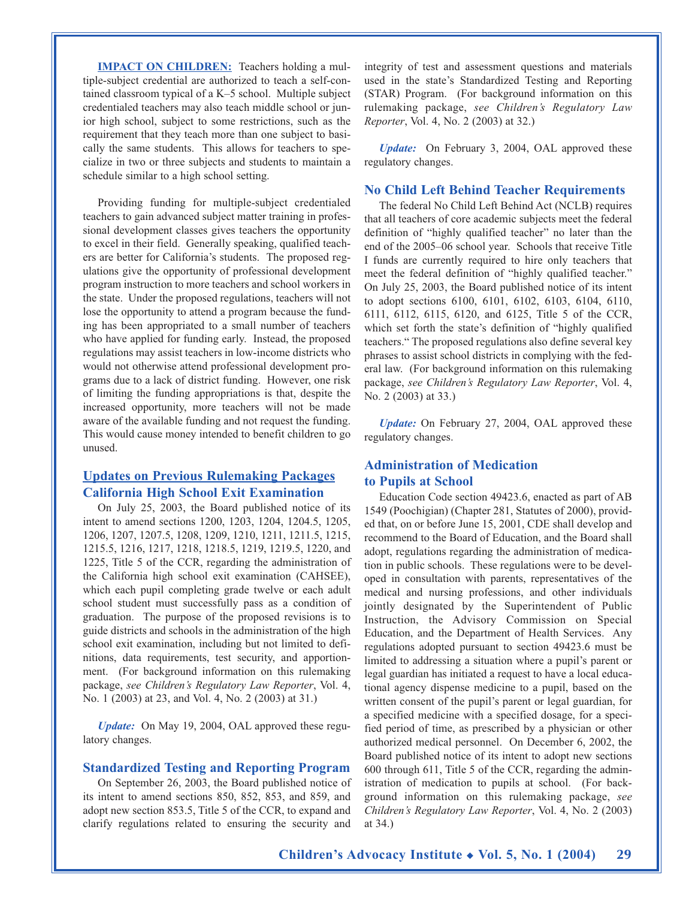**IMPACT ON CHILDREN:** Teachers holding a multiple-subject credential are authorized to teach a self-contained classroom typical of a K–5 school. Multiple subject credentialed teachers may also teach middle school or junior high school, subject to some restrictions, such as the requirement that they teach more than one subject to basically the same students. This allows for teachers to specialize in two or three subjects and students to maintain a schedule similar to a high school setting.

Providing funding for multiple-subject credentialed teachers to gain advanced subject matter training in professional development classes gives teachers the opportunity to excel in their field. Generally speaking, qualified teachers are better for California's students. The proposed regulations give the opportunity of professional development program instruction to more teachers and school workers in the state. Under the proposed regulations, teachers will not lose the opportunity to attend a program because the funding has been appropriated to a small number of teachers who have applied for funding early. Instead, the proposed regulations may assist teachers in low-income districts who would not otherwise attend professional development programs due to a lack of district funding. However, one risk of limiting the funding appropriations is that, despite the increased opportunity, more teachers will not be made aware of the available funding and not request the funding. This would cause money intended to benefit children to go unused.

#### **Updates on Previous Rulemaking Packages California High School Exit Examination**

On July 25, 2003, the Board published notice of its intent to amend sections 1200, 1203, 1204, 1204.5, 1205, 1206, 1207, 1207.5, 1208, 1209, 1210, 1211, 1211.5, 1215, 1215.5, 1216, 1217, 1218, 1218.5, 1219, 1219.5, 1220, and 1225, Title 5 of the CCR, regarding the administration of the California high school exit examination (CAHSEE), which each pupil completing grade twelve or each adult school student must successfully pass as a condition of graduation. The purpose of the proposed revisions is to guide districts and schools in the administration of the high school exit examination, including but not limited to definitions, data requirements, test security, and apportionment. (For background information on this rulemaking package, *see Children's Regulatory Law Reporter*, Vol. 4, No. 1 (2003) at 23, and Vol. 4, No. 2 (2003) at 31.)

*Update:* On May 19, 2004, OAL approved these regulatory changes.

#### **Standardized Testing and Reporting Program**

On September 26, 2003, the Board published notice of its intent to amend sections 850, 852, 853, and 859, and adopt new section 853.5, Title 5 of the CCR, to expand and clarify regulations related to ensuring the security and integrity of test and assessment questions and materials used in the state's Standardized Testing and Reporting (STAR) Program. (For background information on this rulemaking package, *see Children's Regulatory Law Reporter*, Vol. 4, No. 2 (2003) at 32.)

*Update:* On February 3, 2004, OAL approved these regulatory changes.

#### **No Child Left Behind Teacher Requirements**

The federal No Child Left Behind Act (NCLB) requires that all teachers of core academic subjects meet the federal definition of "highly qualified teacher" no later than the end of the 2005–06 school year. Schools that receive Title I funds are currently required to hire only teachers that meet the federal definition of "highly qualified teacher." On July 25, 2003, the Board published notice of its intent to adopt sections 6100, 6101, 6102, 6103, 6104, 6110, 6111, 6112, 6115, 6120, and 6125, Title 5 of the CCR, which set forth the state's definition of "highly qualified teachers." The proposed regulations also define several key phrases to assist school districts in complying with the federal law. (For background information on this rulemaking package, *see Children's Regulatory Law Reporter*, Vol. 4, No. 2 (2003) at 33.)

*Update:* On February 27, 2004, OAL approved these regulatory changes.

### **Administration of Medication to Pupils at School**

Education Code section 49423.6, enacted as part of AB 1549 (Poochigian) (Chapter 281, Statutes of 2000), provided that, on or before June 15, 2001, CDE shall develop and recommend to the Board of Education, and the Board shall adopt, regulations regarding the administration of medication in public schools. These regulations were to be developed in consultation with parents, representatives of the medical and nursing professions, and other individuals jointly designated by the Superintendent of Public Instruction, the Advisory Commission on Special Education, and the Department of Health Services. Any regulations adopted pursuant to section 49423.6 must be limited to addressing a situation where a pupil's parent or legal guardian has initiated a request to have a local educational agency dispense medicine to a pupil, based on the written consent of the pupil's parent or legal guardian, for a specified medicine with a specified dosage, for a specified period of time, as prescribed by a physician or other authorized medical personnel. On December 6, 2002, the Board published notice of its intent to adopt new sections 600 through 611, Title 5 of the CCR, regarding the administration of medication to pupils at school. (For background information on this rulemaking package, *see Children's Regulatory Law Reporter*, Vol. 4, No. 2 (2003) at 34.)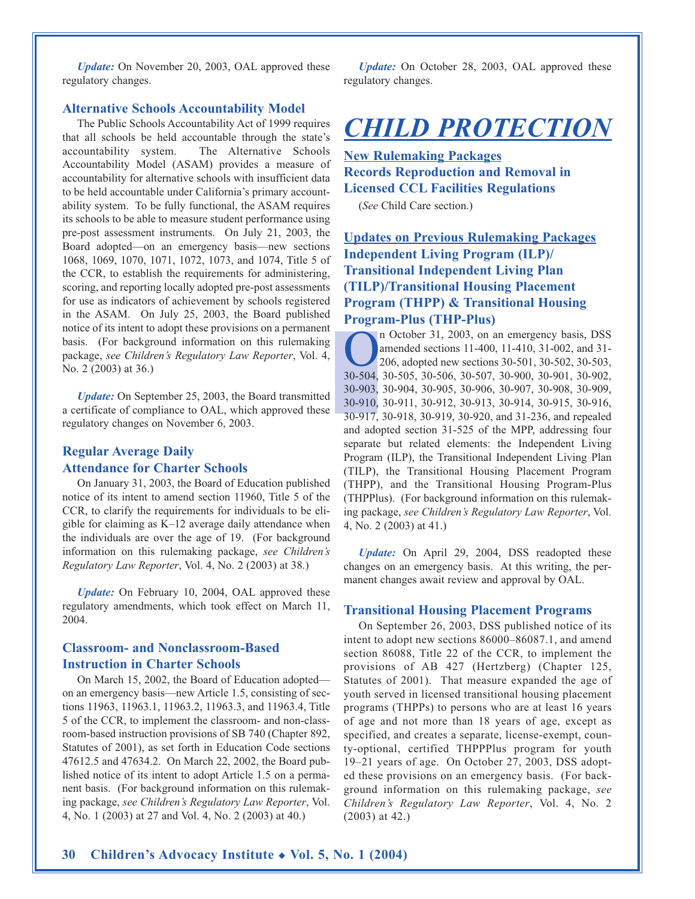*Update:* On November 20, 2003, OAL approved these regulatory changes.

#### **Alternative Schools Accountability Model**

The Public Schools Accountability Act of 1999 requires that all schools be held accountable through the state's accountability system. The Alternative Schools Accountability Model (ASAM) provides a measure of accountability for alternative schools with insufficient data to be held accountable under California's primary accountability system. To be fully functional, the ASAM requires its schools to be able to measure student performance using pre-post assessment instruments. On July 21, 2003, the Board adopted—on an emergency basis—new sections 1068, 1069, 1070, 1071, 1072, 1073, and 1074, Title 5 of the CCR, to establish the requirements for administering, scoring, and reporting locally adopted pre-post assessments for use as indicators of achievement by schools registered in the ASAM. On July 25, 2003, the Board published notice of its intent to adopt these provisions on a permanent basis. (For background information on this rulemaking package, *see Children's Regulatory Law Reporter*, Vol. 4, No. 2 (2003) at 36.)

*Update:* On September 25, 2003, the Board transmitted a certificate of compliance to OAL, which approved these regulatory changes on November 6, 2003.

#### **Regular Average Daily Attendance for Charter Schools**

On January 31, 2003, the Board of Education published notice of its intent to amend section 11960, Title 5 of the CCR, to clarify the requirements for individuals to be eligible for claiming as K–12 average daily attendance when the individuals are over the age of 19. (For background information on this rulemaking package, *see Children's Regulatory Law Reporter*, Vol. 4, No. 2 (2003) at 38.)

*Update:* On February 10, 2004, OAL approved these regulatory amendments, which took effect on March 11, 2004.

#### **Classroom- and Nonclassroom-Based Instruction in Charter Schools**

On March 15, 2002, the Board of Education adopted on an emergency basis—new Article 1.5, consisting of sections 11963, 11963.1, 11963.2, 11963.3, and 11963.4, Title 5 of the CCR, to implement the classroom- and non-classroom-based instruction provisions of SB 740 (Chapter 892, Statutes of 2001), as set forth in Education Code sections 47612.5 and 47634.2. On March 22, 2002, the Board published notice of its intent to adopt Article 1.5 on a permanent basis. (For background information on this rulemaking package, *see Children's Regulatory Law Reporter*, Vol. 4, No. 1 (2003) at 27 and Vol. 4, No. 2 (2003) at 40.)

*Update:* On October 28, 2003, OAL approved these regulatory changes.

# *CHILD PROTECTION*

**New Rulemaking Packages Records Reproduction and Removal in Licensed CCL Facilities Regulations** 

(*See* Child Care section.)

## **Updates on Previous Rulemaking Packages Independent Living Program (ILP)/ Transitional Independent Living Plan (TILP)/Transitional Housing Placement Program (THPP) & Transitional Housing Program-Plus (THP-Plus)**

n October 31, 2003, on an emergency basis, DSS<br>amended sections 11-400, 11-410, 31-002, and 31-<br>206, adopted new sections 30-501, 30-502, 30-503,<br>30-504, 30-505, 30-506, 30-507, 30-900, 30-901, 30-902 amended sections 11-400, 11-410, 31-002, and 31- 206, adopted new sections 30-501, 30-502, 30-503, 30-504, 30-505, 30-506, 30-507, 30-900, 30-901, 30-902, 30-903, 30-904, 30-905, 30-906, 30-907, 30-908, 30-909, 30-910, 30-911, 30-912, 30-913, 30-914, 30-915, 30-916, 30-917, 30-918, 30-919, 30-920, and 31-236, and repealed and adopted section 31-525 of the MPP, addressing four separate but related elements: the Independent Living Program (ILP), the Transitional Independent Living Plan (TILP), the Transitional Housing Placement Program (THPP), and the Transitional Housing Program-Plus (THPPlus). (For background information on this rulemaking package, *see Children's Regulatory Law Reporter*, Vol. 4, No. 2 (2003) at 41.)

*Update:* On April 29, 2004, DSS readopted these changes on an emergency basis. At this writing, the permanent changes await review and approval by OAL.

#### **Transitional Housing Placement Programs**

On September 26, 2003, DSS published notice of its intent to adopt new sections 86000–86087.1, and amend section 86088, Title 22 of the CCR, to implement the provisions of AB 427 (Hertzberg) (Chapter 125, Statutes of 2001). That measure expanded the age of youth served in licensed transitional housing placement programs (THPPs) to persons who are at least 16 years of age and not more than 18 years of age, except as specified, and creates a separate, license-exempt, county-optional, certified THPPPlus program for youth 19–21 years of age. On October 27, 2003, DSS adopted these provisions on an emergency basis. (For background information on this rulemaking package, *see Children's Regulatory Law Reporter*, Vol. 4, No. 2 (2003) at 42.)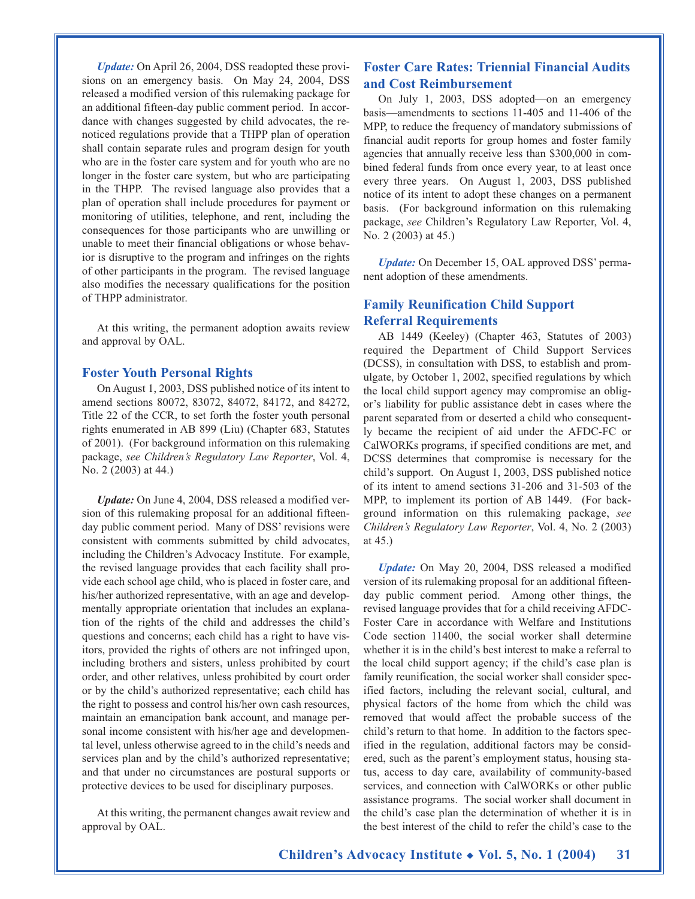*Update:* On April 26, 2004, DSS readopted these provisions on an emergency basis. On May 24, 2004, DSS released a modified version of this rulemaking package for an additional fifteen-day public comment period. In accordance with changes suggested by child advocates, the renoticed regulations provide that a THPP plan of operation shall contain separate rules and program design for youth who are in the foster care system and for youth who are no longer in the foster care system, but who are participating in the THPP. The revised language also provides that a plan of operation shall include procedures for payment or monitoring of utilities, telephone, and rent, including the consequences for those participants who are unwilling or unable to meet their financial obligations or whose behavior is disruptive to the program and infringes on the rights of other participants in the program. The revised language also modifies the necessary qualifications for the position of THPP administrator.

At this writing, the permanent adoption awaits review and approval by OAL.

#### **Foster Youth Personal Rights**

On August 1, 2003, DSS published notice of its intent to amend sections 80072, 83072, 84072, 84172, and 84272, Title 22 of the CCR, to set forth the foster youth personal rights enumerated in AB 899 (Liu) (Chapter 683, Statutes of 2001). (For background information on this rulemaking package, *see Children's Regulatory Law Reporter*, Vol. 4, No. 2 (2003) at 44.)

*Update:* On June 4, 2004, DSS released a modified version of this rulemaking proposal for an additional fifteenday public comment period. Many of DSS' revisions were consistent with comments submitted by child advocates, including the Children's Advocacy Institute. For example, the revised language provides that each facility shall provide each school age child, who is placed in foster care, and his/her authorized representative, with an age and developmentally appropriate orientation that includes an explanation of the rights of the child and addresses the child's questions and concerns; each child has a right to have visitors, provided the rights of others are not infringed upon, including brothers and sisters, unless prohibited by court order, and other relatives, unless prohibited by court order or by the child's authorized representative; each child has the right to possess and control his/her own cash resources, maintain an emancipation bank account, and manage personal income consistent with his/her age and developmental level, unless otherwise agreed to in the child's needs and services plan and by the child's authorized representative; and that under no circumstances are postural supports or protective devices to be used for disciplinary purposes.

At this writing, the permanent changes await review and approval by OAL.

### **Foster Care Rates: Triennial Financial Audits and Cost Reimbursement**

On July 1, 2003, DSS adopted—on an emergency basis—amendments to sections 11-405 and 11-406 of the MPP, to reduce the frequency of mandatory submissions of financial audit reports for group homes and foster family agencies that annually receive less than \$300,000 in combined federal funds from once every year, to at least once every three years. On August 1, 2003, DSS published notice of its intent to adopt these changes on a permanent basis. (For background information on this rulemaking package, *see* Children's Regulatory Law Reporter, Vol. 4, No. 2 (2003) at 45.)

*Update:* On December 15, OAL approved DSS' permanent adoption of these amendments.

#### **Family Reunification Child Support Referral Requirements**

AB 1449 (Keeley) (Chapter 463, Statutes of 2003) required the Department of Child Support Services (DCSS), in consultation with DSS, to establish and promulgate, by October 1, 2002, specified regulations by which the local child support agency may compromise an obligor's liability for public assistance debt in cases where the parent separated from or deserted a child who consequently became the recipient of aid under the AFDC-FC or CalWORKs programs, if specified conditions are met, and DCSS determines that compromise is necessary for the child's support. On August 1, 2003, DSS published notice of its intent to amend sections 31-206 and 31-503 of the MPP, to implement its portion of AB 1449. (For background information on this rulemaking package, *see Children's Regulatory Law Reporter*, Vol. 4, No. 2 (2003) at 45.)

*Update:* On May 20, 2004, DSS released a modified version of its rulemaking proposal for an additional fifteenday public comment period. Among other things, the revised language provides that for a child receiving AFDC-Foster Care in accordance with Welfare and Institutions Code section 11400, the social worker shall determine whether it is in the child's best interest to make a referral to the local child support agency; if the child's case plan is family reunification, the social worker shall consider specified factors, including the relevant social, cultural, and physical factors of the home from which the child was removed that would affect the probable success of the child's return to that home. In addition to the factors specified in the regulation, additional factors may be considered, such as the parent's employment status, housing status, access to day care, availability of community-based services, and connection with CalWORKs or other public assistance programs. The social worker shall document in the child's case plan the determination of whether it is in the best interest of the child to refer the child's case to the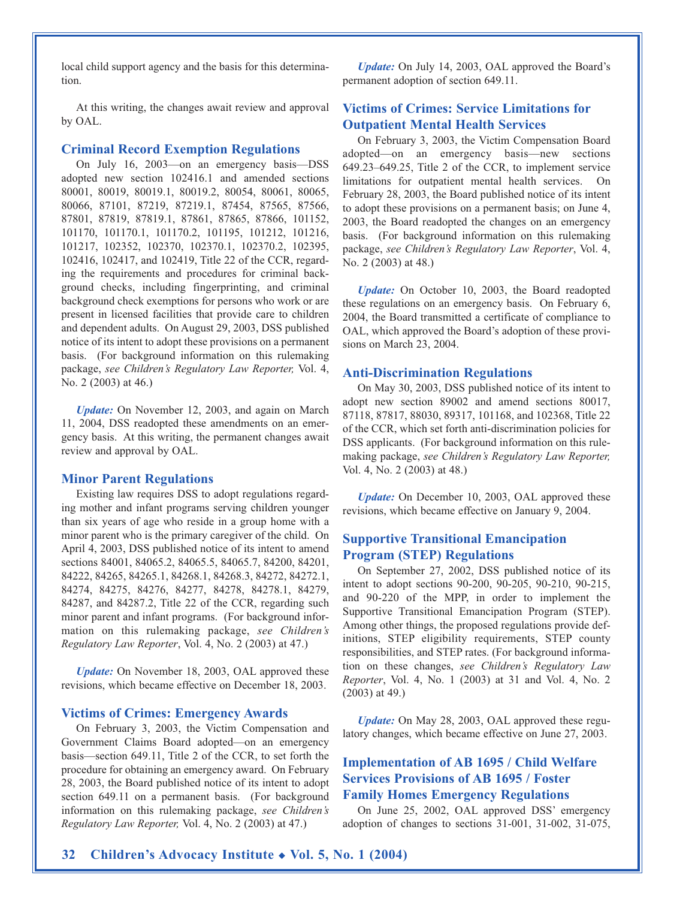local child support agency and the basis for this determination.

At this writing, the changes await review and approval by OAL.

#### **Criminal Record Exemption Regulations**

On July 16, 2003—on an emergency basis—DSS adopted new section 102416.1 and amended sections 80001, 80019, 80019.1, 80019.2, 80054, 80061, 80065, 80066, 87101, 87219, 87219.1, 87454, 87565, 87566, 87801, 87819, 87819.1, 87861, 87865, 87866, 101152, 101170, 101170.1, 101170.2, 101195, 101212, 101216, 101217, 102352, 102370, 102370.1, 102370.2, 102395, 102416, 102417, and 102419, Title 22 of the CCR, regarding the requirements and procedures for criminal background checks, including fingerprinting, and criminal background check exemptions for persons who work or are present in licensed facilities that provide care to children and dependent adults. On August 29, 2003, DSS published notice of its intent to adopt these provisions on a permanent basis. (For background information on this rulemaking package, *see Children's Regulatory Law Reporter,* Vol. 4, No. 2 (2003) at 46.)

*Update:* On November 12, 2003, and again on March 11, 2004, DSS readopted these amendments on an emergency basis. At this writing, the permanent changes await review and approval by OAL.

#### **Minor Parent Regulations**

Existing law requires DSS to adopt regulations regarding mother and infant programs serving children younger than six years of age who reside in a group home with a minor parent who is the primary caregiver of the child. On April 4, 2003, DSS published notice of its intent to amend sections 84001, 84065.2, 84065.5, 84065.7, 84200, 84201, 84222, 84265, 84265.1, 84268.1, 84268.3, 84272, 84272.1, 84274, 84275, 84276, 84277, 84278, 84278.1, 84279, 84287, and 84287.2, Title 22 of the CCR, regarding such minor parent and infant programs. (For background information on this rulemaking package, *see Children's Regulatory Law Reporter*, Vol. 4, No. 2 (2003) at 47.)

*Update:* On November 18, 2003, OAL approved these revisions, which became effective on December 18, 2003.

#### **Victims of Crimes: Emergency Awards**

On February 3, 2003, the Victim Compensation and Government Claims Board adopted—on an emergency basis—section 649.11, Title 2 of the CCR, to set forth the procedure for obtaining an emergency award. On February 28, 2003, the Board published notice of its intent to adopt section 649.11 on a permanent basis. (For background information on this rulemaking package, *see Children's Regulatory Law Reporter,* Vol. 4, No. 2 (2003) at 47.)

*Update:* On July 14, 2003, OAL approved the Board's permanent adoption of section 649.11.

### **Victims of Crimes: Service Limitations for Outpatient Mental Health Services**

On February 3, 2003, the Victim Compensation Board adopted—on an emergency basis—new sections 649.23–649.25, Title 2 of the CCR, to implement service limitations for outpatient mental health services. On February 28, 2003, the Board published notice of its intent to adopt these provisions on a permanent basis; on June 4, 2003, the Board readopted the changes on an emergency basis. (For background information on this rulemaking package, *see Children's Regulatory Law Reporter*, Vol. 4, No. 2 (2003) at 48.)

*Update:* On October 10, 2003, the Board readopted these regulations on an emergency basis. On February 6, 2004, the Board transmitted a certificate of compliance to OAL, which approved the Board's adoption of these provisions on March 23, 2004.

#### **Anti-Discrimination Regulations**

On May 30, 2003, DSS published notice of its intent to adopt new section 89002 and amend sections 80017, 87118, 87817, 88030, 89317, 101168, and 102368, Title 22 of the CCR, which set forth anti-discrimination policies for DSS applicants. (For background information on this rulemaking package, *see Children's Regulatory Law Reporter,* Vol. 4, No. 2 (2003) at 48.)

*Update:* On December 10, 2003, OAL approved these revisions, which became effective on January 9, 2004.

#### **Supportive Transitional Emancipation Program (STEP) Regulations**

On September 27, 2002, DSS published notice of its intent to adopt sections 90-200, 90-205, 90-210, 90-215, and 90-220 of the MPP, in order to implement the Supportive Transitional Emancipation Program (STEP). Among other things, the proposed regulations provide definitions, STEP eligibility requirements, STEP county responsibilities, and STEP rates. (For background information on these changes, *see Children's Regulatory Law Reporter*, Vol. 4, No. 1 (2003) at 31 and Vol. 4, No. 2 (2003) at 49.)

*Update:* On May 28, 2003, OAL approved these regulatory changes, which became effective on June 27, 2003.

## **Implementation of AB 1695 / Child Welfare Services Provisions of AB 1695 / Foster Family Homes Emergency Regulations**

On June 25, 2002, OAL approved DSS' emergency adoption of changes to sections 31-001, 31-002, 31-075,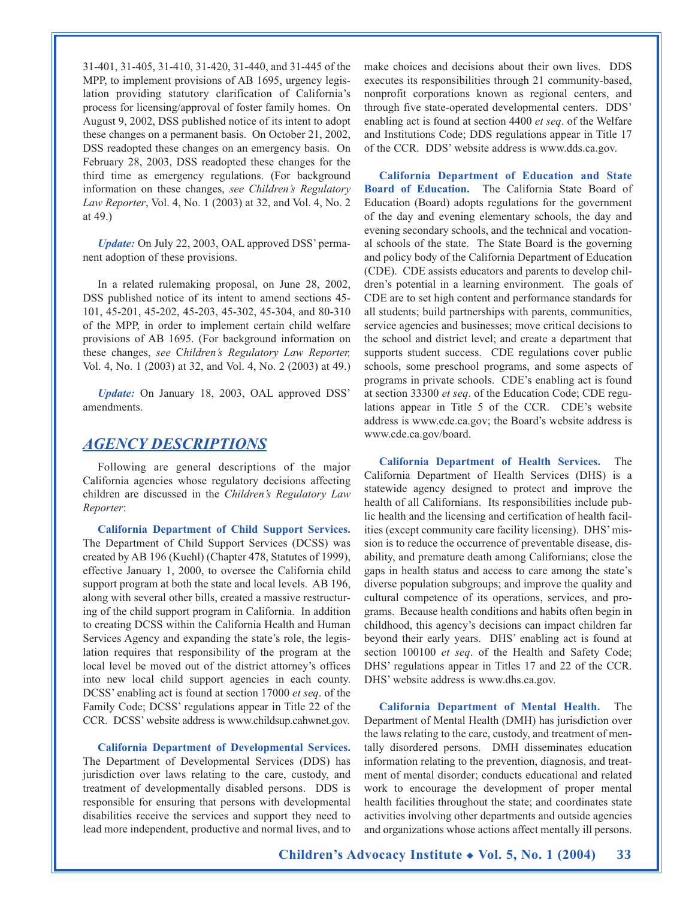31-401, 31-405, 31-410, 31-420, 31-440, and 31-445 of the MPP, to implement provisions of AB 1695, urgency legislation providing statutory clarification of California's process for licensing/approval of foster family homes. On August 9, 2002, DSS published notice of its intent to adopt these changes on a permanent basis. On October 21, 2002, DSS readopted these changes on an emergency basis. On February 28, 2003, DSS readopted these changes for the third time as emergency regulations. (For background information on these changes, *see Children's Regulatory Law Reporter*, Vol. 4, No. 1 (2003) at 32, and Vol. 4, No. 2 at 49.)

*Update:* On July 22, 2003, OAL approved DSS' permanent adoption of these provisions.

In a related rulemaking proposal, on June 28, 2002, DSS published notice of its intent to amend sections 45- 101, 45-201, 45-202, 45-203, 45-302, 45-304, and 80-310 of the MPP, in order to implement certain child welfare provisions of AB 1695. (For background information on these changes, *see* C*hildren's Regulatory Law Reporter,* Vol. 4, No. 1 (2003) at 32, and Vol. 4, No. 2 (2003) at 49.)

*Update:* On January 18, 2003, OAL approved DSS' amendments.

#### *AGENCY DESCRIPTIONS*

Following are general descriptions of the major California agencies whose regulatory decisions affecting children are discussed in the *Children's Regulatory Law Reporter*:

**California Department of Child Support Services.** The Department of Child Support Services (DCSS) was created by AB 196 (Kuehl) (Chapter 478, Statutes of 1999), effective January 1, 2000, to oversee the California child support program at both the state and local levels. AB 196, along with several other bills, created a massive restructuring of the child support program in California. In addition to creating DCSS within the California Health and Human Services Agency and expanding the state's role, the legislation requires that responsibility of the program at the local level be moved out of the district attorney's offices into new local child support agencies in each county. DCSS' enabling act is found at section 17000 *et seq*. of the Family Code; DCSS' regulations appear in Title 22 of the CCR. DCSS' website address is www.childsup.cahwnet.gov.

**California Department of Developmental Services.** The Department of Developmental Services (DDS) has jurisdiction over laws relating to the care, custody, and treatment of developmentally disabled persons. DDS is responsible for ensuring that persons with developmental disabilities receive the services and support they need to lead more independent, productive and normal lives, and to

make choices and decisions about their own lives. DDS executes its responsibilities through 21 community-based, nonprofit corporations known as regional centers, and through five state-operated developmental centers. DDS' enabling act is found at section 4400 *et seq*. of the Welfare and Institutions Code; DDS regulations appear in Title 17 of the CCR. DDS' website address is www.dds.ca.gov.

**California Department of Education and State Board of Education.** The California State Board of Education (Board) adopts regulations for the government of the day and evening elementary schools, the day and evening secondary schools, and the technical and vocational schools of the state. The State Board is the governing and policy body of the California Department of Education (CDE). CDE assists educators and parents to develop children's potential in a learning environment. The goals of CDE are to set high content and performance standards for all students; build partnerships with parents, communities, service agencies and businesses; move critical decisions to the school and district level; and create a department that supports student success. CDE regulations cover public schools, some preschool programs, and some aspects of programs in private schools. CDE's enabling act is found at section 33300 *et seq*. of the Education Code; CDE regulations appear in Title 5 of the CCR. CDE's website address is www.cde.ca.gov; the Board's website address is www.cde.ca.gov/board.

**California Department of Health Services.** The California Department of Health Services (DHS) is a statewide agency designed to protect and improve the health of all Californians. Its responsibilities include public health and the licensing and certification of health facilities (except community care facility licensing). DHS' mission is to reduce the occurrence of preventable disease, disability, and premature death among Californians; close the gaps in health status and access to care among the state's diverse population subgroups; and improve the quality and cultural competence of its operations, services, and programs. Because health conditions and habits often begin in childhood, this agency's decisions can impact children far beyond their early years. DHS' enabling act is found at section 100100 *et seq*. of the Health and Safety Code; DHS' regulations appear in Titles 17 and 22 of the CCR. DHS' website address is www.dhs.ca.gov.

**California Department of Mental Health.** The Department of Mental Health (DMH) has jurisdiction over the laws relating to the care, custody, and treatment of mentally disordered persons. DMH disseminates education information relating to the prevention, diagnosis, and treatment of mental disorder; conducts educational and related work to encourage the development of proper mental health facilities throughout the state; and coordinates state activities involving other departments and outside agencies and organizations whose actions affect mentally ill persons.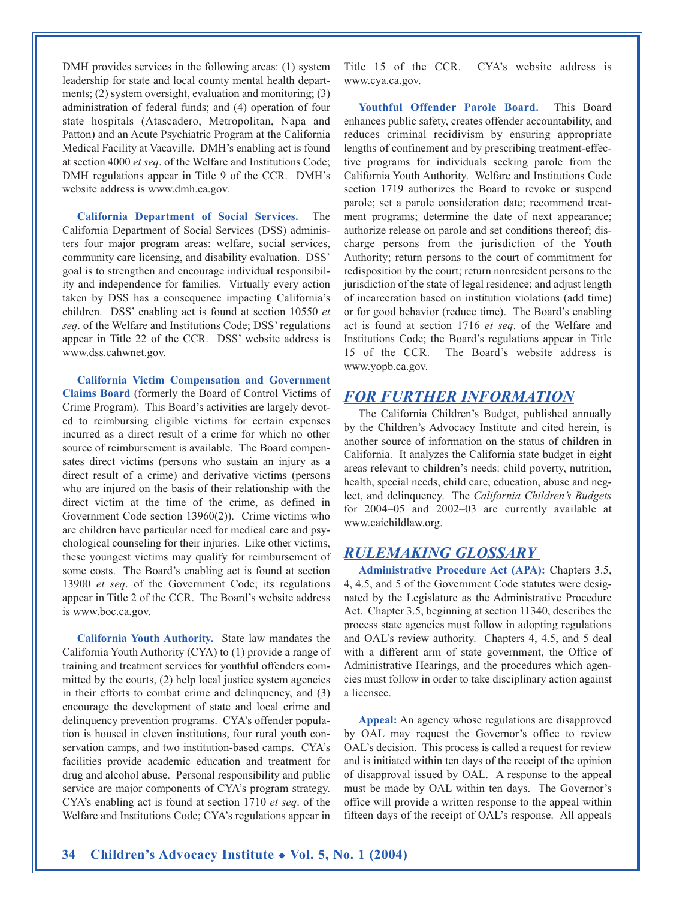DMH provides services in the following areas: (1) system leadership for state and local county mental health departments; (2) system oversight, evaluation and monitoring; (3) administration of federal funds; and (4) operation of four state hospitals (Atascadero, Metropolitan, Napa and Patton) and an Acute Psychiatric Program at the California Medical Facility at Vacaville. DMH's enabling act is found at section 4000 *et seq*. of the Welfare and Institutions Code; DMH regulations appear in Title 9 of the CCR. DMH's website address is www.dmh.ca.gov.

**California Department of Social Services.** The California Department of Social Services (DSS) administers four major program areas: welfare, social services, community care licensing, and disability evaluation. DSS' goal is to strengthen and encourage individual responsibility and independence for families. Virtually every action taken by DSS has a consequence impacting California's children. DSS' enabling act is found at section 10550 *et seq*. of the Welfare and Institutions Code; DSS' regulations appear in Title 22 of the CCR. DSS' website address is www.dss.cahwnet.gov.

**California Victim Compensation and Government Claims Board** (formerly the Board of Control Victims of Crime Program). This Board's activities are largely devoted to reimbursing eligible victims for certain expenses incurred as a direct result of a crime for which no other source of reimbursement is available. The Board compensates direct victims (persons who sustain an injury as a direct result of a crime) and derivative victims (persons who are injured on the basis of their relationship with the direct victim at the time of the crime, as defined in Government Code section 13960(2)). Crime victims who are children have particular need for medical care and psychological counseling for their injuries. Like other victims, these youngest victims may qualify for reimbursement of some costs. The Board's enabling act is found at section 13900 *et seq*. of the Government Code; its regulations appear in Title 2 of the CCR. The Board's website address is www.boc.ca.gov.

**California Youth Authority.** State law mandates the California Youth Authority (CYA) to (1) provide a range of training and treatment services for youthful offenders committed by the courts, (2) help local justice system agencies in their efforts to combat crime and delinquency, and (3) encourage the development of state and local crime and delinquency prevention programs. CYA's offender population is housed in eleven institutions, four rural youth conservation camps, and two institution-based camps. CYA's facilities provide academic education and treatment for drug and alcohol abuse. Personal responsibility and public service are major components of CYA's program strategy. CYA's enabling act is found at section 1710 *et seq*. of the Welfare and Institutions Code; CYA's regulations appear in Title 15 of the CCR. CYA's website address is www.cya.ca.gov.

**Youthful Offender Parole Board.** This Board enhances public safety, creates offender accountability, and reduces criminal recidivism by ensuring appropriate lengths of confinement and by prescribing treatment-effective programs for individuals seeking parole from the California Youth Authority. Welfare and Institutions Code section 1719 authorizes the Board to revoke or suspend parole; set a parole consideration date; recommend treatment programs; determine the date of next appearance; authorize release on parole and set conditions thereof; discharge persons from the jurisdiction of the Youth Authority; return persons to the court of commitment for redisposition by the court; return nonresident persons to the jurisdiction of the state of legal residence; and adjust length of incarceration based on institution violations (add time) or for good behavior (reduce time). The Board's enabling act is found at section 1716 *et seq*. of the Welfare and Institutions Code; the Board's regulations appear in Title 15 of the CCR. The Board's website address is www.yopb.ca.gov.

#### *FOR FURTHER INFORMATION*

The California Children's Budget, published annually by the Children's Advocacy Institute and cited herein, is another source of information on the status of children in California. It analyzes the California state budget in eight areas relevant to children's needs: child poverty, nutrition, health, special needs, child care, education, abuse and neglect, and delinquency. The *California Children's Budgets* for 2004–05 and 2002–03 are currently available at www.caichildlaw.org.

#### *RULEMAKING GLOSSARY*

**Administrative Procedure Act (APA):** Chapters 3.5, 4, 4.5, and 5 of the Government Code statutes were designated by the Legislature as the Administrative Procedure Act. Chapter 3.5, beginning at section 11340, describes the process state agencies must follow in adopting regulations and OAL's review authority. Chapters 4, 4.5, and 5 deal with a different arm of state government, the Office of Administrative Hearings, and the procedures which agencies must follow in order to take disciplinary action against a licensee.

**Appeal:** An agency whose regulations are disapproved by OAL may request the Governor's office to review OAL's decision. This process is called a request for review and is initiated within ten days of the receipt of the opinion of disapproval issued by OAL. A response to the appeal must be made by OAL within ten days. The Governor's office will provide a written response to the appeal within fifteen days of the receipt of OAL's response. All appeals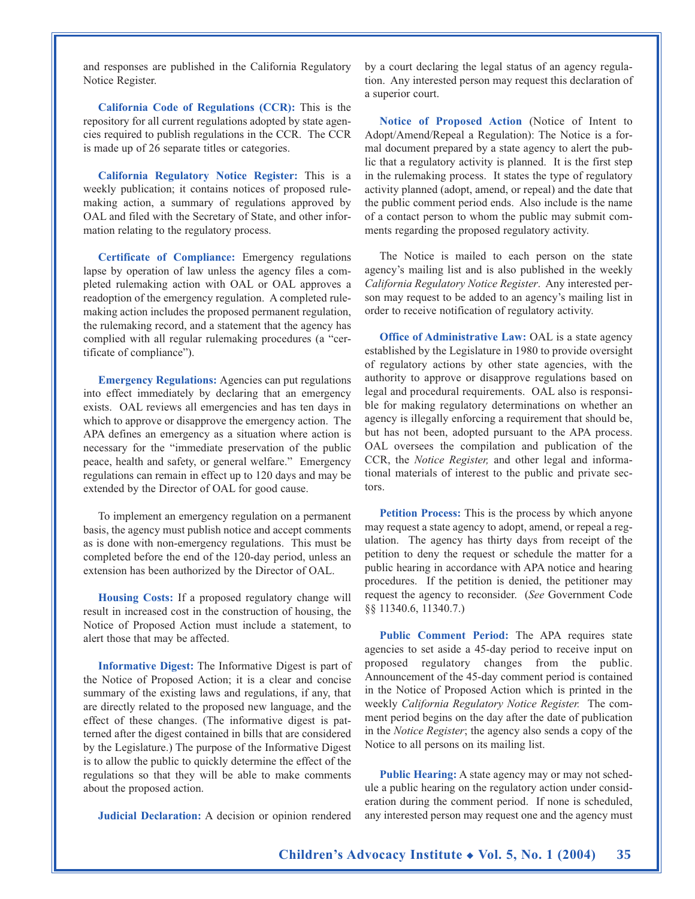and responses are published in the California Regulatory Notice Register.

**California Code of Regulations (CCR):** This is the repository for all current regulations adopted by state agencies required to publish regulations in the CCR. The CCR is made up of 26 separate titles or categories.

**California Regulatory Notice Register:** This is a weekly publication; it contains notices of proposed rulemaking action, a summary of regulations approved by OAL and filed with the Secretary of State, and other information relating to the regulatory process.

**Certificate of Compliance:** Emergency regulations lapse by operation of law unless the agency files a completed rulemaking action with OAL or OAL approves a readoption of the emergency regulation. A completed rulemaking action includes the proposed permanent regulation, the rulemaking record, and a statement that the agency has complied with all regular rulemaking procedures (a "certificate of compliance").

**Emergency Regulations:** Agencies can put regulations into effect immediately by declaring that an emergency exists. OAL reviews all emergencies and has ten days in which to approve or disapprove the emergency action. The APA defines an emergency as a situation where action is necessary for the "immediate preservation of the public peace, health and safety, or general welfare." Emergency regulations can remain in effect up to 120 days and may be extended by the Director of OAL for good cause.

To implement an emergency regulation on a permanent basis, the agency must publish notice and accept comments as is done with non-emergency regulations. This must be completed before the end of the 120-day period, unless an extension has been authorized by the Director of OAL.

**Housing Costs:** If a proposed regulatory change will result in increased cost in the construction of housing, the Notice of Proposed Action must include a statement, to alert those that may be affected.

**Informative Digest:** The Informative Digest is part of the Notice of Proposed Action; it is a clear and concise summary of the existing laws and regulations, if any, that are directly related to the proposed new language, and the effect of these changes. (The informative digest is patterned after the digest contained in bills that are considered by the Legislature.) The purpose of the Informative Digest is to allow the public to quickly determine the effect of the regulations so that they will be able to make comments about the proposed action.

**Judicial Declaration:** A decision or opinion rendered

by a court declaring the legal status of an agency regulation. Any interested person may request this declaration of a superior court.

**Notice of Proposed Action** (Notice of Intent to Adopt/Amend/Repeal a Regulation): The Notice is a formal document prepared by a state agency to alert the public that a regulatory activity is planned. It is the first step in the rulemaking process. It states the type of regulatory activity planned (adopt, amend, or repeal) and the date that the public comment period ends. Also include is the name of a contact person to whom the public may submit comments regarding the proposed regulatory activity.

The Notice is mailed to each person on the state agency's mailing list and is also published in the weekly *California Regulatory Notice Register*. Any interested person may request to be added to an agency's mailing list in order to receive notification of regulatory activity.

**Office of Administrative Law: OAL is a state agency** established by the Legislature in 1980 to provide oversight of regulatory actions by other state agencies, with the authority to approve or disapprove regulations based on legal and procedural requirements. OAL also is responsible for making regulatory determinations on whether an agency is illegally enforcing a requirement that should be, but has not been, adopted pursuant to the APA process. OAL oversees the compilation and publication of the CCR, the *Notice Register,* and other legal and informational materials of interest to the public and private sectors.

**Petition Process:** This is the process by which anyone may request a state agency to adopt, amend, or repeal a regulation. The agency has thirty days from receipt of the petition to deny the request or schedule the matter for a public hearing in accordance with APA notice and hearing procedures. If the petition is denied, the petitioner may request the agency to reconsider. (*See* Government Code §§ 11340.6, 11340.7.)

**Public Comment Period:** The APA requires state agencies to set aside a 45-day period to receive input on proposed regulatory changes from the public. Announcement of the 45-day comment period is contained in the Notice of Proposed Action which is printed in the weekly *California Regulatory Notice Register.* The comment period begins on the day after the date of publication in the *Notice Register*; the agency also sends a copy of the Notice to all persons on its mailing list.

**Public Hearing:** A state agency may or may not schedule a public hearing on the regulatory action under consideration during the comment period. If none is scheduled, any interested person may request one and the agency must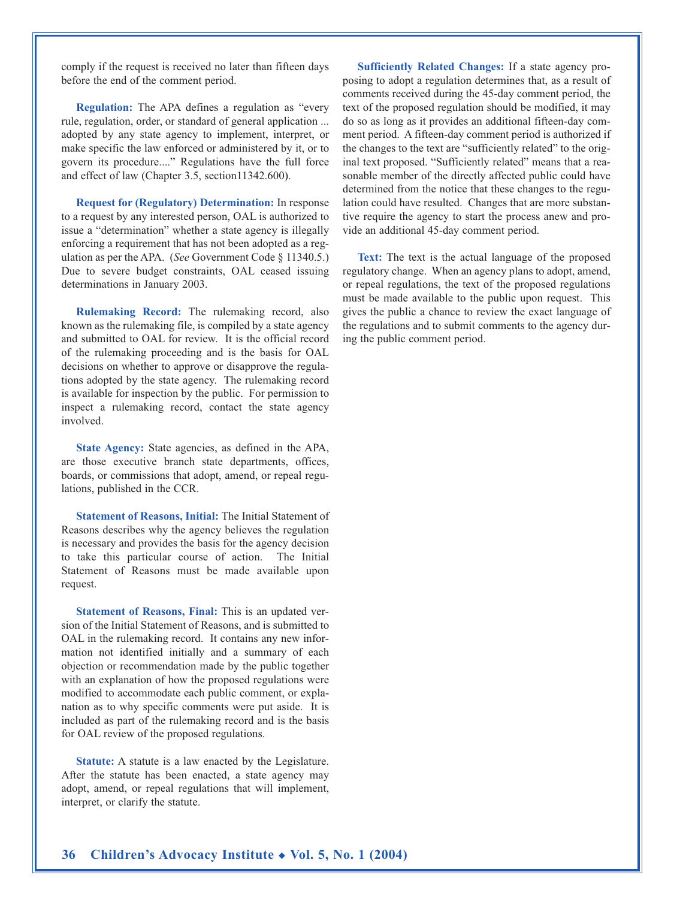comply if the request is received no later than fifteen days before the end of the comment period.

**Regulation:** The APA defines a regulation as "every rule, regulation, order, or standard of general application ... adopted by any state agency to implement, interpret, or make specific the law enforced or administered by it, or to govern its procedure...." Regulations have the full force and effect of law (Chapter 3.5, section11342.600).

**Request for (Regulatory) Determination:** In response to a request by any interested person, OAL is authorized to issue a "determination" whether a state agency is illegally enforcing a requirement that has not been adopted as a regulation as per the APA. (*See* Government Code § 11340.5.) Due to severe budget constraints, OAL ceased issuing determinations in January 2003.

**Rulemaking Record:** The rulemaking record, also known as the rulemaking file, is compiled by a state agency and submitted to OAL for review. It is the official record of the rulemaking proceeding and is the basis for OAL decisions on whether to approve or disapprove the regulations adopted by the state agency. The rulemaking record is available for inspection by the public. For permission to inspect a rulemaking record, contact the state agency involved.

**State Agency:** State agencies, as defined in the APA, are those executive branch state departments, offices, boards, or commissions that adopt, amend, or repeal regulations, published in the CCR.

**Statement of Reasons, Initial:** The Initial Statement of Reasons describes why the agency believes the regulation is necessary and provides the basis for the agency decision to take this particular course of action. The Initial Statement of Reasons must be made available upon request.

**Statement of Reasons, Final:** This is an updated version of the Initial Statement of Reasons, and is submitted to OAL in the rulemaking record. It contains any new information not identified initially and a summary of each objection or recommendation made by the public together with an explanation of how the proposed regulations were modified to accommodate each public comment, or explanation as to why specific comments were put aside. It is included as part of the rulemaking record and is the basis for OAL review of the proposed regulations.

**Statute:** A statute is a law enacted by the Legislature. After the statute has been enacted, a state agency may adopt, amend, or repeal regulations that will implement, interpret, or clarify the statute.

**Sufficiently Related Changes:** If a state agency proposing to adopt a regulation determines that, as a result of comments received during the 45-day comment period, the text of the proposed regulation should be modified, it may do so as long as it provides an additional fifteen-day comment period. A fifteen-day comment period is authorized if the changes to the text are "sufficiently related" to the original text proposed. "Sufficiently related" means that a reasonable member of the directly affected public could have determined from the notice that these changes to the regulation could have resulted. Changes that are more substantive require the agency to start the process anew and provide an additional 45-day comment period.

**Text:** The text is the actual language of the proposed regulatory change. When an agency plans to adopt, amend, or repeal regulations, the text of the proposed regulations must be made available to the public upon request. This gives the public a chance to review the exact language of the regulations and to submit comments to the agency during the public comment period.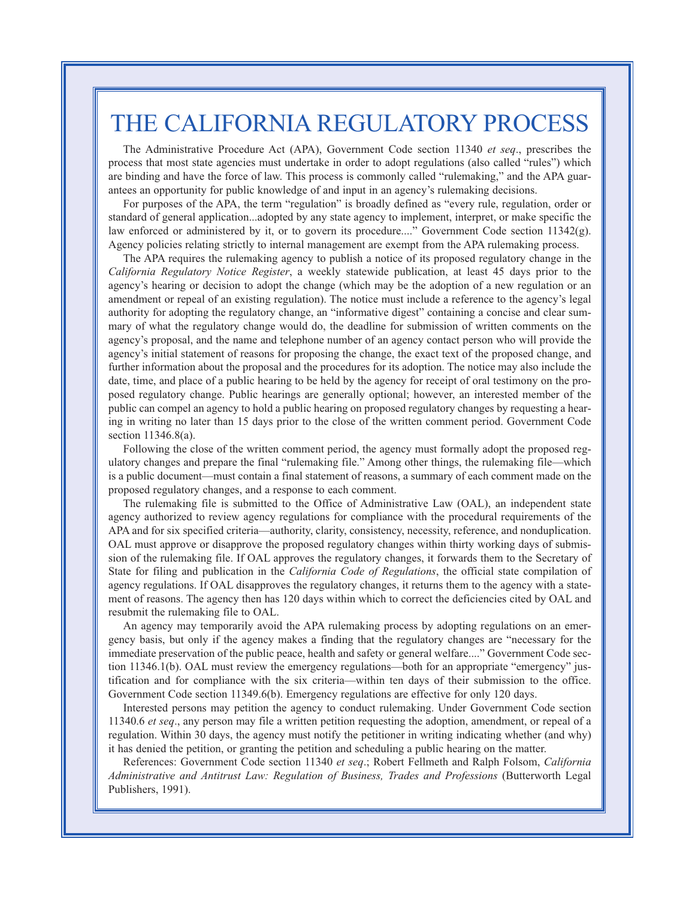## THE CALIFORNIA REGULATORY PROCESS

The Administrative Procedure Act (APA), Government Code section 11340 *et seq*., prescribes the process that most state agencies must undertake in order to adopt regulations (also called "rules") which are binding and have the force of law. This process is commonly called "rulemaking," and the APA guarantees an opportunity for public knowledge of and input in an agency's rulemaking decisions.

For purposes of the APA, the term "regulation" is broadly defined as "every rule, regulation, order or standard of general application...adopted by any state agency to implement, interpret, or make specific the law enforced or administered by it, or to govern its procedure...." Government Code section 11342(g). Agency policies relating strictly to internal management are exempt from the APA rulemaking process.

The APA requires the rulemaking agency to publish a notice of its proposed regulatory change in the *California Regulatory Notice Register*, a weekly statewide publication, at least 45 days prior to the agency's hearing or decision to adopt the change (which may be the adoption of a new regulation or an amendment or repeal of an existing regulation). The notice must include a reference to the agency's legal authority for adopting the regulatory change, an "informative digest" containing a concise and clear summary of what the regulatory change would do, the deadline for submission of written comments on the agency's proposal, and the name and telephone number of an agency contact person who will provide the agency's initial statement of reasons for proposing the change, the exact text of the proposed change, and further information about the proposal and the procedures for its adoption. The notice may also include the date, time, and place of a public hearing to be held by the agency for receipt of oral testimony on the proposed regulatory change. Public hearings are generally optional; however, an interested member of the public can compel an agency to hold a public hearing on proposed regulatory changes by requesting a hearing in writing no later than 15 days prior to the close of the written comment period. Government Code section 11346.8(a).

Following the close of the written comment period, the agency must formally adopt the proposed regulatory changes and prepare the final "rulemaking file." Among other things, the rulemaking file—which is a public document—must contain a final statement of reasons, a summary of each comment made on the proposed regulatory changes, and a response to each comment.

The rulemaking file is submitted to the Office of Administrative Law (OAL), an independent state agency authorized to review agency regulations for compliance with the procedural requirements of the APA and for six specified criteria—authority, clarity, consistency, necessity, reference, and nonduplication. OAL must approve or disapprove the proposed regulatory changes within thirty working days of submission of the rulemaking file. If OAL approves the regulatory changes, it forwards them to the Secretary of State for filing and publication in the *California Code of Regulations*, the official state compilation of agency regulations. If OAL disapproves the regulatory changes, it returns them to the agency with a statement of reasons. The agency then has 120 days within which to correct the deficiencies cited by OAL and resubmit the rulemaking file to OAL.

An agency may temporarily avoid the APA rulemaking process by adopting regulations on an emergency basis, but only if the agency makes a finding that the regulatory changes are "necessary for the immediate preservation of the public peace, health and safety or general welfare...." Government Code section 11346.1(b). OAL must review the emergency regulations—both for an appropriate "emergency" justification and for compliance with the six criteria—within ten days of their submission to the office. Government Code section 11349.6(b). Emergency regulations are effective for only 120 days.

Interested persons may petition the agency to conduct rulemaking. Under Government Code section 11340.6 *et seq*., any person may file a written petition requesting the adoption, amendment, or repeal of a regulation. Within 30 days, the agency must notify the petitioner in writing indicating whether (and why) it has denied the petition, or granting the petition and scheduling a public hearing on the matter.

References: Government Code section 11340 *et seq*.; Robert Fellmeth and Ralph Folsom, *California Administrative and Antitrust Law: Regulation of Business, Trades and Professions* (Butterworth Legal Publishers, 1991).